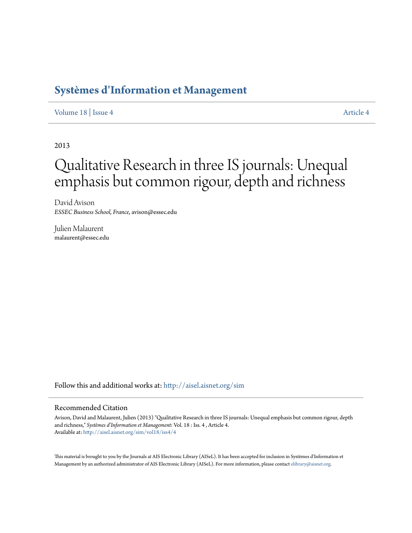# **[Systèmes d'Information et Management](http://aisel.aisnet.org/sim?utm_source=aisel.aisnet.org%2Fsim%2Fvol18%2Fiss4%2F4&utm_medium=PDF&utm_campaign=PDFCoverPages)**

[Volume 18](http://aisel.aisnet.org/sim/vol18?utm_source=aisel.aisnet.org%2Fsim%2Fvol18%2Fiss4%2F4&utm_medium=PDF&utm_campaign=PDFCoverPages) | [Issue 4](http://aisel.aisnet.org/sim/vol18/iss4?utm_source=aisel.aisnet.org%2Fsim%2Fvol18%2Fiss4%2F4&utm_medium=PDF&utm_campaign=PDFCoverPages) [Article 4](http://aisel.aisnet.org/sim/vol18/iss4/4?utm_source=aisel.aisnet.org%2Fsim%2Fvol18%2Fiss4%2F4&utm_medium=PDF&utm_campaign=PDFCoverPages)

2013

# Qualitative Research in three IS journals: Unequal emphasis but common rigour, depth and richness

David Avison *ESSEC Business School, France*, avison@essec.edu

Julien Malaurent malaurent@essec.edu

Follow this and additional works at: [http://aisel.aisnet.org/sim](http://aisel.aisnet.org/sim?utm_source=aisel.aisnet.org%2Fsim%2Fvol18%2Fiss4%2F4&utm_medium=PDF&utm_campaign=PDFCoverPages)

## Recommended Citation

Avison, David and Malaurent, Julien (2013) "Qualitative Research in three IS journals: Unequal emphasis but common rigour, depth and richness," *Systèmes d'Information et Management*: Vol. 18 : Iss. 4 , Article 4. Available at: [http://aisel.aisnet.org/sim/vol18/iss4/4](http://aisel.aisnet.org/sim/vol18/iss4/4?utm_source=aisel.aisnet.org%2Fsim%2Fvol18%2Fiss4%2F4&utm_medium=PDF&utm_campaign=PDFCoverPages)

This material is brought to you by the Journals at AIS Electronic Library (AISeL). It has been accepted for inclusion in Systèmes d'Information et Management by an authorized administrator of AIS Electronic Library (AISeL). For more information, please contact [elibrary@aisnet.org](mailto:elibrary@aisnet.org%3E).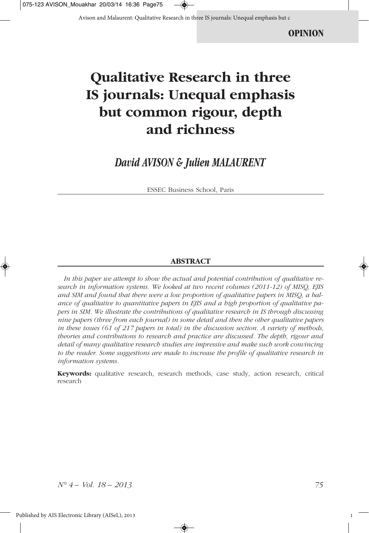Avison and Malaurent: Qualitative Research in three IS journals: Unequal emphasis but c

# **Qualitative Research in three IS journals: Unequal emphasis but common rigour, depth and richness**

## *David AVISON & Julien MALAURENT*

ESSEC Business School, Paris

#### **ABSTRACT**

*In this paper we attempt to show the actual and potential contribution of qualitative research in information systems. We looked at two recent volumes (2011-12) of MISQ, EJIS and SIM and found that there were a low proportion of qualitative papers in MISQ, a balance of qualitative to quantitative papers in EJIS and a high proportion of qualitative papers in SIM. We illustrate the contributions of qualitative research in IS through discussing nine papers (three from each journal) in some detail and then the other qualitative papers in these issues (61 of 217 papers in total) in the discussion section. A variety of methods, theories and contributions to research and practice are discussed. The depth, rigour and detail of many qualitative research studies are impressive and make such work convincing to the reader. Some suggestions are made to increase the profile of qualitative research in information systems.* 

**Keywords:** qualitative research, research methods, case study, action research, critical research

*N° 4 – Vol. 18 – 2013 75*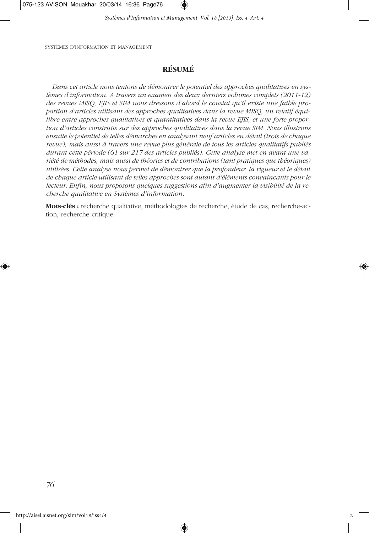075-123 AVISON\_Mouakhar 20/03/14 16:36 Page76

*Systèmes d'Information et Management, Vol. 18 [2013], Iss. 4, Art. 4*

SYSTÈMES D'INFORMATION ET MANAGEMENT

## **RÉSUMÉ**

*Dans cet article nous tentons de démontrer le potentiel des approches qualitatives en systèmes d'information. A travers un examen des deux derniers volumes complets (2011-12) des revues MISQ, EJIS et SIM nous dressons d'abord le constat qu'il existe une faible proportion d'articles utilisant des approches qualitatives dans la revue MISQ, un relatif équilibre entre approches qualitatives et quantitatives dans la revue EJIS, et une forte proportion d'articles construits sur des approches qualitatives dans la revue SIM. Nous illustrons ensuite le potentiel de telles démarches en analysant neuf articles en détail (trois de chaque revue), mais aussi à travers une revue plus générale de tous les articles qualitatifs publiés durant cette période (61 sur 217 des articles publiés). Cette analyse met en avant une variété de méthodes, mais aussi de théories et de contributions (tant pratiques que théoriques) utilisées. Cette analyse nous permet de démontrer que la profondeur, la rigueur et le détail de chaque article utilisant de telles approches sont autant d'éléments convaincants pour le lecteur. Enfin, nous proposons quelques suggestions afin d'augmenter la visibilité de la recherche qualitative en Systèmes d'information.*

**Mots-clés :** recherche qualitative, méthodologies de recherche, étude de cas, recherche-action, recherche critique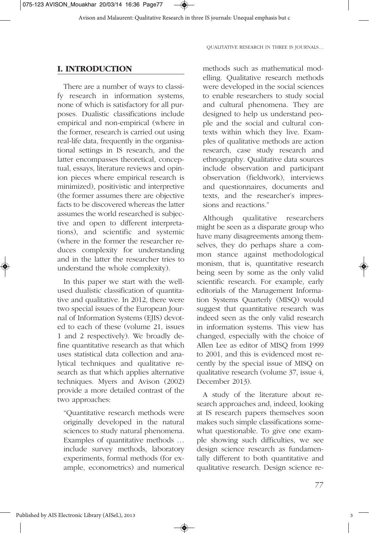

Avison and Malaurent: Qualitative Research in three IS journals: Unequal emphasis but c

QUALITATIVE RESEARCH IN THREE IS JOURNALS…

#### **I. INTRODUCTION**

There are a number of ways to classify research in information systems, none of which is satisfactory for all purposes. Dualistic classifications include empirical and non-empirical (where in the former, research is carried out using real-life data, frequently in the organisational settings in IS research, and the latter encompasses theoretical, conceptual, essays, literature reviews and opinion pieces where empirical research is minimized), positivistic and interpretive (the former assumes there are objective facts to be discovered whereas the latter assumes the world researched is subjective and open to different interpretations), and scientific and systemic (where in the former the researcher reduces complexity for understanding and in the latter the researcher tries to understand the whole complexity).

In this paper we start with the wellused dualistic classification of quantitative and qualitative. In 2012, there were two special issues of the European Journal of Information Systems (EJIS) devoted to each of these (volume 21, issues 1 and 2 respectively). We broadly define quantitative research as that which uses statistical data collection and analytical techniques and qualitative research as that which applies alternative techniques. Myers and Avison (2002) provide a more detailed contrast of the two approaches:

"Quantitative research methods were originally developed in the natural sciences to study natural phenomena. Examples of quantitative methods … include survey methods, laboratory experiments, formal methods (for example, econometrics) and numerical

methods such as mathematical modelling. Qualitative research methods were developed in the social sciences to enable researchers to study social and cultural phenomena. They are designed to help us understand people and the social and cultural contexts within which they live. Examples of qualitative methods are action research, case study research and ethnography. Qualitative data sources include observation and participant observation (fieldwork), interviews and questionnaires, documents and texts, and the researcher's impressions and reactions."

Although qualitative researchers might be seen as a disparate group who have many disagreements among themselves, they do perhaps share a common stance against methodological monism, that is, quantitative research being seen by some as the only valid scientific research. For example, early editorials of the Management Information Systems Quarterly (MISQ) would suggest that quantitative research was indeed seen as the only valid research in information systems. This view has changed, especially with the choice of Allen Lee as editor of MISQ from 1999 to 2001, and this is evidenced most recently by the special issue of MISQ on qualitative research (volume 37, issue 4, December 2013).

A study of the literature about research approaches and, indeed, looking at IS research papers themselves soon makes such simple classifications somewhat questionable. To give one example showing such difficulties, we see design science research as fundamentally different to both quantitative and qualitative research. Design science re-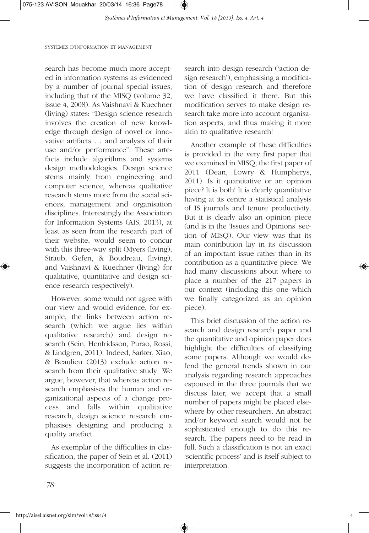*Systèmes d'Information et Management, Vol. 18 [2013], Iss. 4, Art. 4*

SYSTÈMES D'INFORMATION ET MANAGEMENT

search has become much more accepted in information systems as evidenced by a number of journal special issues, including that of the MISQ (volume 32, issue 4, 2008). As Vaishnavi & Kuechner (living) states: "Design science research involves the creation of new knowledge through design of novel or innovative artifacts … and analysis of their use and/or performance". These artefacts include algorithms and systems design methodologies. Design science stems mainly from engineering and computer science, whereas qualitative research stems more from the social sciences, management and organisation disciplines. Interestingly the Association for Information Systems (AIS, 2013), at least as seen from the research part of their website, would seem to concur with this three-way split (Myers (living); Straub, Gefen, & Boudreau, (living); and Vaishnavi & Kuechner (living) for qualitative, quantitative and design science research respectively).

However, some would not agree with our view and would evidence, for example, the links between action research (which we argue lies within qualitative research) and design research (Sein, Henfridsson, Purao, Rossi, & Lindgren, 2011). Indeed, Sarker, Xiao, & Beaulieu (2013) exclude action research from their qualitative study. We argue, however, that whereas action research emphasises the human and organizational aspects of a change process and falls within qualitative research, design science research emphasises designing and producing a quality artefact.

As exemplar of the difficulties in classification, the paper of Sein et al. (2011) suggests the incorporation of action research into design research ('action design research'), emphasising a modification of design research and therefore we have classified it there. But this modification serves to make design research take more into account organisation aspects, and thus making it more akin to qualitative research!

Another example of these difficulties is provided in the very first paper that we examined in MISQ, the first paper of 2011 (Dean, Lowry & Humpherys, 2011). Is it quantitative or an opinion piece? It is both! It is clearly quantitative having at its centre a statistical analysis of IS journals and tenure productivity. But it is clearly also an opinion piece (and is in the 'Issues and Opinions' section of MISQ). Our view was that its main contribution lay in its discussion of an important issue rather than in its contribution as a quantitative piece. We had many discussions about where to place a number of the 217 papers in our context (including this one which we finally categorized as an opinion piece).

This brief discussion of the action research and design research paper and the quantitative and opinion paper does highlight the difficulties of classifying some papers. Although we would defend the general trends shown in our analysis regarding research approaches espoused in the three journals that we discuss later, we accept that a small number of papers might be placed elsewhere by other researchers. An abstract and/or keyword search would not be sophisticated enough to do this research. The papers need to be read in full. Such a classification is not an exact 'scientific process' and is itself subject to interpretation.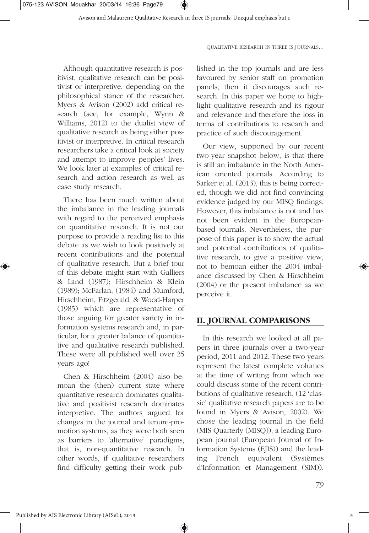Avison and Malaurent: Qualitative Research in three IS journals: Unequal emphasis but c

QUALITATIVE RESEARCH IN THREE IS JOURNALS…

Although quantitative research is positivist, qualitative research can be positivist or interpretive, depending on the philosophical stance of the researcher. Myers & Avison (2002) add critical research (see, for example, Wynn & Williams, 2012) to the dualist view of qualitative research as being either positivist or interpretive. In critical research researchers take a critical look at society and attempt to improve peoples' lives. We look later at examples of critical research and action research as well as case study research.

There has been much written about the imbalance in the leading journals with regard to the perceived emphasis on quantitative research. It is not our purpose to provide a reading list to this debate as we wish to look positively at recent contributions and the potential of qualitative research. But a brief tour of this debate might start with Galliers & Land (1987); Hirschheim & Klein (1989); McFarlan, (1984) and Mumford, Hirschheim, Fitzgerald, & Wood-Harper (1985) which are representative of those arguing for greater variety in information systems research and, in particular, for a greater balance of quantitative and qualitative research published. These were all published well over 25 years ago!

Chen & Hirschheim (2004) also bemoan the (then) current state where quantitative research dominates qualitative and positivist research dominates interpretive. The authors argued for changes in the journal and tenure-promotion systems, as they were both seen as barriers to 'alternative' paradigms, that is, non-quantitative research. In other words, if qualitative researchers find difficulty getting their work published in the top journals and are less favoured by senior staff on promotion panels, then it discourages such research. In this paper we hope to highlight qualitative research and its rigour and relevance and therefore the loss in terms of contributions to research and practice of such discouragement.

Our view, supported by our recent two-year snapshot below, is that there is still an imbalance in the North American oriented journals. According to Sarker et al. (2013), this is being corrected, though we did not find convincing evidence judged by our MISQ findings. However, this imbalance is not and has not been evident in the Europeanbased journals. Nevertheless, the purpose of this paper is to show the actual and potential contributions of qualitative research, to give a positive view, not to bemoan either the 2004 imbalance discussed by Chen & Hirschheim (2004) or the present imbalance as we perceive it.

#### **II. JOURNAL COMPARISONS**

In this research we looked at all papers in three journals over a two-year period, 2011 and 2012. These two years represent the latest complete volumes at the time of writing from which we could discuss some of the recent contributions of qualitative research. (12 'classic' qualitative research papers are to be found in Myers & Avison, 2002). We chose the leading journal in the field (MIS Quarterly (MISQ)), a leading European journal (European Journal of Information Systems (EJIS)) and the leading French equivalent (Systèmes d'Information et Management (SIM)).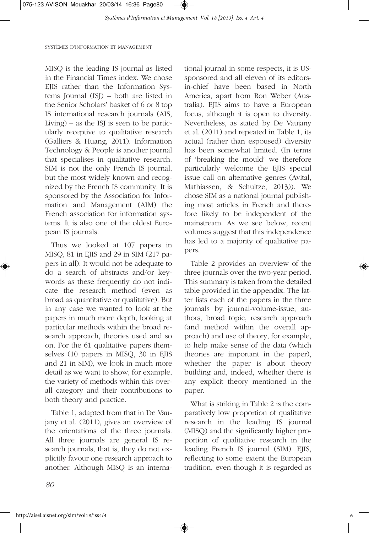*Systèmes d'Information et Management, Vol. 18 [2013], Iss. 4, Art. 4*

#### SYSTÈMES D'INFORMATION ET MANAGEMENT

MISQ is the leading IS journal as listed in the Financial Times index. We chose EJIS rather than the Information Systems Journal (ISJ) – both are listed in the Senior Scholars' basket of 6 or 8 top IS international research journals (AIS, Living) – as the ISJ is seen to be particularly receptive to qualitative research (Galliers & Huang, 2011). Information Technology & People is another journal that specialises in qualitative research. SIM is not the only French IS journal, but the most widely known and recognized by the French IS community. It is sponsored by the Association for Information and Management (AIM) the French association for information systems. It is also one of the oldest European IS journals.

Thus we looked at 107 papers in MISQ, 81 in EJIS and 29 in SIM (217 papers in all). It would not be adequate to do a search of abstracts and/or keywords as these frequently do not indicate the research method (even as broad as quantitative or qualitative). But in any case we wanted to look at the papers in much more depth, looking at particular methods within the broad research approach, theories used and so on. For the 61 qualitative papers themselves (10 papers in MISQ, 30 in EJIS and 21 in SIM), we look in much more detail as we want to show, for example, the variety of methods within this overall category and their contributions to both theory and practice.

Table 1, adapted from that in De Vaujany et al. (2011), gives an overview of the orientations of the three journals. All three journals are general IS research journals, that is, they do not explicitly favour one research approach to another. Although MISQ is an international journal in some respects, it is USsponsored and all eleven of its editorsin-chief have been based in North America, apart from Ron Weber (Australia). EJIS aims to have a European focus, although it is open to diversity. Nevertheless, as stated by De Vaujany et al. (2011) and repeated in Table 1, its actual (rather than espoused) diversity has been somewhat limited. (In terms of 'breaking the mould' we therefore particularly welcome the EJIS special issue call on alternative genres (Avital, Mathiassen, & Schultze, 2013)). We chose SIM as a national journal publishing most articles in French and therefore likely to be independent of the mainstream. As we see below, recent volumes suggest that this independence has led to a majority of qualitative papers.

Table 2 provides an overview of the three journals over the two-year period. This summary is taken from the detailed table provided in the appendix. The latter lists each of the papers in the three journals by journal-volume-issue, authors, broad topic, research approach (and method within the overall approach) and use of theory, for example, to help make sense of the data (which theories are important in the paper), whether the paper is about theory building and, indeed, whether there is any explicit theory mentioned in the paper.

What is striking in Table 2 is the comparatively low proportion of qualitative research in the leading IS journal (MISQ) and the significantly higher proportion of qualitative research in the leading French IS journal (SIM). EJIS, reflecting to some extent the European tradition, even though it is regarded as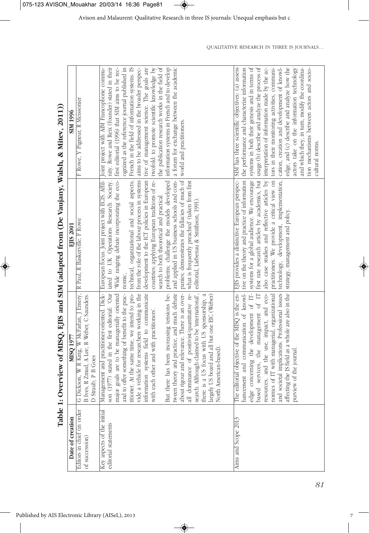Table 1: Overview of MISO. EIIS and SIM (adapted from (De Vaujany, Walsh. & Mitev. 2011)) **Table 1: Overview of MISQ, EJIS and SIM (adapted from (De Vaujany, Walsh, & Mitev, 2011))**

Published by AIS Electronic Library (AISeL), 2013

| SIM 1996            | F Rowe, Y Pigneur, R Meissonier                                                                                                                      | aims to be addressed in the broader perspec-<br>tive of management science. The goals are<br>information systems in French and to develop<br>nity. Rowe and Reix (founder) stated in their<br>first editorial (1996) that SIM aims to be rec-<br>ognized as the reference journal published in<br>twofold: to promote scientific knowledge by<br>the publication research works in the field of<br>a forum for exchange between the academic<br>French in the field of information systems. IS<br>Joint project with AIM Francophone commu-<br>world and practitioners.                                                                                                                                                                                                  | the performance and characterize information<br>interpretation of information made by the ac-<br>tors in their monitoring activities, communi-<br>cation, creation and development of knowl-<br>systems in both their genesis and in terms of<br>edge, and (c) describe and analyze how the<br>actors take on the information technology<br>and which they, in turn, modify the coordina-<br>SIM has three scientific objectives: (a) assess<br>usage (b) describe and analyze the process of<br>tion mechanisms between actors and socio-<br>cultural norms. |
|---------------------|------------------------------------------------------------------------------------------------------------------------------------------------------|--------------------------------------------------------------------------------------------------------------------------------------------------------------------------------------------------------------------------------------------------------------------------------------------------------------------------------------------------------------------------------------------------------------------------------------------------------------------------------------------------------------------------------------------------------------------------------------------------------------------------------------------------------------------------------------------------------------------------------------------------------------------------|---------------------------------------------------------------------------------------------------------------------------------------------------------------------------------------------------------------------------------------------------------------------------------------------------------------------------------------------------------------------------------------------------------------------------------------------------------------------------------------------------------------------------------------------------------------|
| י<br>י<br>EIIS 2001 |                                                                                                                                                      | iated to UK Operations Research Society.<br>European focus. Joint project with ECIS. Affil-<br>and applied in US business schools and com-<br>panies; demonstrates the fallacies of much of<br>'Wide ranging debate incorporating the eco-<br>countries; applying European traditions of re-<br>development to the ICT policies in European<br>problems; challenge the models developed<br>from the role of the labour process in systems<br>technical, organizational and social aspects;<br>what is frequently preached' (taken from first<br>search to both theoretical and practical<br>editorial, Liebenau & Smithson, 1991)<br>nomic,                                                                                                                              | first rate research articles by academics, but<br>systems for a global audience. We encourage<br>tive on the theory and practice of information<br>also case studies and reflective articles by<br>practitioners. We provide a critical view on<br>EJIS provides a distinctive European perspec-<br>technology, development, implementation,<br>strategy, management and policy.                                                                                                                                                                              |
| MISO 1977           | ickson, W R King, W McFarlan, J Emery, R Paul, R Baskerville, F Rowe<br>B Ives, R Zmud, A Lee, R Weber, C Saunders.<br>D Straub, P B Goes<br>ΑÖ<br>Ο | (1977) stated in the first editorial: 'Our<br>tween theory and practice, and much debate<br>about rigour and relevance. There is an over-<br>Management and practitioner-oriented. Dick-<br>major goals are to be managerially oriented<br>search. Although claimed to be 'international',<br>vide a vehicle for researchers working in the<br>information systems field to communicate<br>all dominance of positivist/quantitative re-<br>and to offer something of benefit to the prac-<br>there has been increasing tensions be-<br>titioner. At the same time, we intend to pro-<br>there is a US focus with US sponsorship, a<br>largely US board and all but one EIC (Weber)<br>each other and with practitioners'.<br>North American-based)<br>with<br>son<br>But | ics of IT with managerial, organizational<br>affecting the IS field as a whole are also in the<br>resources, and the use, impact, and eco-<br>societal implications. Professional issues<br>The editorial objective of the MISQ is the en-<br>hancement and communication of knowl-<br>edge concerning the development of IT-<br>based services, the management of IT<br>purview of the journal<br>nomi<br>and                                                                                                                                                |
| Date of creation    | Editors in chief (in order<br>of succession)                                                                                                         | Key aspects of the initial<br>editorial statements                                                                                                                                                                                                                                                                                                                                                                                                                                                                                                                                                                                                                                                                                                                       | Aims and Scope 2013                                                                                                                                                                                                                                                                                                                                                                                                                                                                                                                                           |

◈

QUALITATIVE RESEARCH IN THREE IS JOURNALS…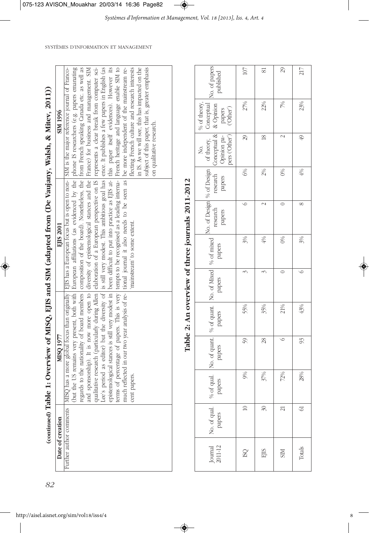| I<br>I<br>$\frac{1}{2}$                                                                              |  |
|------------------------------------------------------------------------------------------------------|--|
|                                                                                                      |  |
|                                                                                                      |  |
|                                                                                                      |  |
|                                                                                                      |  |
| <b>THAN TANK</b>                                                                                     |  |
| f MISO FIIS and SIM (adapted from CDe Vanjany Walsh & Mitey 2<br>I<br><b>The Second Second Party</b> |  |
|                                                                                                      |  |
|                                                                                                      |  |
| i<br>I<br>I<br>I                                                                                     |  |
| )<br> }                                                                                              |  |
|                                                                                                      |  |
|                                                                                                      |  |
| "Table 1: Overview of M.                                                                             |  |
|                                                                                                      |  |
|                                                                                                      |  |
|                                                                                                      |  |
| ļ                                                                                                    |  |
|                                                                                                      |  |
|                                                                                                      |  |
|                                                                                                      |  |
|                                                                                                      |  |
|                                                                                                      |  |

| Date of creation | MISO 1977                                                                                                                                                                                                                         | EJIS 2001                                                                                                                                                                                                                         | SIM 1996                                         |
|------------------|-----------------------------------------------------------------------------------------------------------------------------------------------------------------------------------------------------------------------------------|-----------------------------------------------------------------------------------------------------------------------------------------------------------------------------------------------------------------------------------|--------------------------------------------------|
|                  | Further author comments   MISQ has a more global focus than originally   EJIS has a European focus but is open to non-   SIM is the major reference journal of Franco-<br>  (but the US remains very present, both with   Europea |                                                                                                                                                                                                                                   |                                                  |
|                  |                                                                                                                                                                                                                                   |                                                                                                                                                                                                                                   |                                                  |
|                  |                                                                                                                                                                                                                                   | regards to the nationality of board members composition of the board). Nonetheless, the from French speaking Canada etc. as well as                                                                                               |                                                  |
|                  |                                                                                                                                                                                                                                   | and sponsorship). It is now more open to diversity of epistemological stances and the France) for business and management. SIM                                                                                                    |                                                  |
|                  |                                                                                                                                                                                                                                   |                                                                                                                                                                                                                                   |                                                  |
|                  |                                                                                                                                                                                                                                   | qualitative research (particularly during Allen   elaboration of a European perspective on 1S   represents a clear break from computer sci-<br>Lee's period as editor) but the diversity of   is still very modest. This ambitiou |                                                  |
|                  |                                                                                                                                                                                                                                   | epistemological stances is still very modest in been difficult to put into practice as EJIS at- this paper itself evidences). However its                                                                                         |                                                  |
|                  |                                                                                                                                                                                                                                   | terms of percentage of papers. This is very tempts to be recognised as a leading interna- French heritage and language enable SIM to                                                                                              |                                                  |
|                  |                                                                                                                                                                                                                                   | much reflected in our two year analysis of re-   tional journal it also needs to be seen as   be more independent of the mainstream re-                                                                                           |                                                  |
|                  | cent papers.                                                                                                                                                                                                                      | 'mainstream' to some extent.                                                                                                                                                                                                      | flecting French culture and research interests   |
|                  |                                                                                                                                                                                                                                   |                                                                                                                                                                                                                                   | in IS. As we will see, this has impacted on the  |
|                  |                                                                                                                                                                                                                                   |                                                                                                                                                                                                                                   | subject of this paper, that is, greater emphasis |
|                  |                                                                                                                                                                                                                                   |                                                                                                                                                                                                                                   | on qualitative research.                         |
|                  |                                                                                                                                                                                                                                   |                                                                                                                                                                                                                                   |                                                  |
|                  |                                                                                                                                                                                                                                   |                                                                                                                                                                                                                                   |                                                  |

|                                                  |                                                                                                                                                                                                                      | 107         | $\overline{81}$ | 29                   | 217                 |
|--------------------------------------------------|----------------------------------------------------------------------------------------------------------------------------------------------------------------------------------------------------------------------|-------------|-----------------|----------------------|---------------------|
|                                                  | % of theory,                                                                                                                                                                                                         | 27%         | 22%             | 7%                   | 23%                 |
|                                                  | No.                                                                                                                                                                                                                  | 29          | $\frac{8}{2}$   | $\sim$               | $\overline{\Theta}$ |
|                                                  |                                                                                                                                                                                                                      | 6%          | 2%              | $\frac{1}{\sqrt{2}}$ | $4\%$               |
| Table 2: An overview of three journals 2011-2012 | No. of quant.   No. of Mixed   % of mixed   No. of Design   % of Design   of theory,   Conceptual   No. of papers  <br>papers   papers   papers   papers   papers   papers   papers   papinon pa- papers   published |             | $\sim$          |                      | $\infty$            |
|                                                  |                                                                                                                                                                                                                      | 3%          | $\frac{40}{6}$  | $\infty$             | 3%                  |
|                                                  |                                                                                                                                                                                                                      |             |                 |                      |                     |
|                                                  |                                                                                                                                                                                                                      | 55%         | 35%             | 21%                  | 43%                 |
|                                                  |                                                                                                                                                                                                                      | 59          | 28              | $\circ$              | 93                  |
|                                                  | qual.<br>papers                                                                                                                                                                                                      | 9%          | 37%             | 72%                  | 28%                 |
|                                                  | No. of qual. $\begin{bmatrix} 96 \text{ of } q \\ \text{papers} \\ \text{panere} \end{bmatrix}$                                                                                                                      | $\supseteq$ | 30 <sup>1</sup> | $\overline{21}$      | $\Im$               |
|                                                  | $\begin{array}{c} \text{Journal} \\ \text{2011-12} \end{array}$                                                                                                                                                      | <b>ISQ</b>  | <b>EJIS</b>     | <b>NIIS</b>          | Totals              |

◈

SYSTÈMES D'INFORMATION ET MANAGEMENT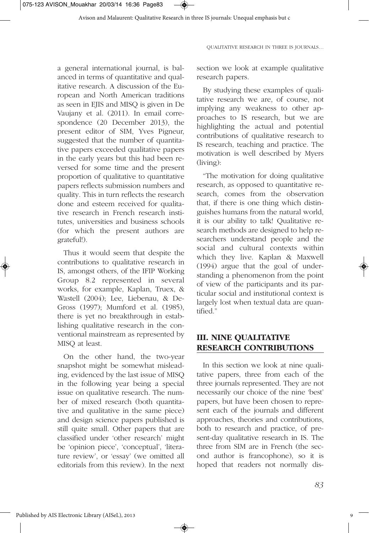a general international journal, is balanced in terms of quantitative and qualitative research. A discussion of the European and North American traditions as seen in EJIS and MISQ is given in De Vaujany et al. (2011). In email correspondence (20 December 2013), the present editor of SIM, Yves Pigneur, suggested that the number of quantitative papers exceeded qualitative papers in the early years but this had been reversed for some time and the present proportion of qualitative to quantitative papers reflects submission numbers and quality. This in turn reflects the research done and esteem received for qualitative research in French research institutes, universities and business schools (for which the present authors are grateful!).

Thus it would seem that despite the contributions to qualitative research in IS, amongst others, of the IFIP Working Group 8.2 represented in several works, for example, Kaplan, Truex, & Wastell (2004); Lee, Liebenau, & De-Gross (1997); Mumford et al. (1985), there is yet no breakthrough in establishing qualitative research in the conventional mainstream as represented by MISQ at least.

On the other hand, the two-year snapshot might be somewhat misleading, evidenced by the last issue of MISQ in the following year being a special issue on qualitative research. The number of mixed research (both quantitative and qualitative in the same piece) and design science papers published is still quite small. Other papers that are classified under 'other research' might be 'opinion piece', 'conceptual', 'literature review', or 'essay' (we omitted all editorials from this review). In the next

QUALITATIVE RESEARCH IN THREE IS JOURNALS…

section we look at example qualitative research papers.

By studying these examples of qualitative research we are, of course, not implying any weakness to other approaches to IS research, but we are highlighting the actual and potential contributions of qualitative research to IS research, teaching and practice. The motivation is well described by Myers (living):

"The motivation for doing qualitative research, as opposed to quantitative research, comes from the observation that, if there is one thing which distinguishes humans from the natural world, it is our ability to talk! Qualitative research methods are designed to help researchers understand people and the social and cultural contexts within which they live. Kaplan & Maxwell (1994) argue that the goal of understanding a phenomenon from the point of view of the participants and its particular social and institutional context is largely lost when textual data are quantified."

## **III. NINE QUALITATIVE RESEARCH CONTRIBUTIONS**

In this section we look at nine qualitative papers, three from each of the three journals represented. They are not necessarily our choice of the nine 'best' papers, but have been chosen to represent each of the journals and different approaches, theories and contributions, both to research and practice, of present-day qualitative research in IS. The three from SIM are in French (the second author is francophone), so it is hoped that readers not normally dis-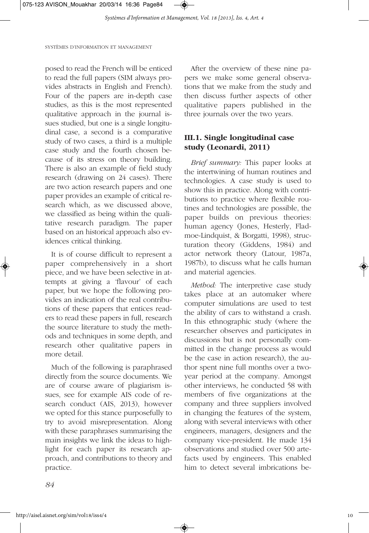

posed to read the French will be enticed to read the full papers (SIM always provides abstracts in English and French). Four of the papers are in-depth case studies, as this is the most represented qualitative approach in the journal issues studied, but one is a single longitudinal case, a second is a comparative study of two cases, a third is a multiple case study and the fourth chosen because of its stress on theory building. There is also an example of field study research (drawing on 24 cases). There are two action research papers and one paper provides an example of critical research which, as we discussed above, we classified as being within the qualitative research paradigm. The paper based on an historical approach also evidences critical thinking.

It is of course difficult to represent a paper comprehensively in a short piece, and we have been selective in attempts at giving a 'flavour' of each paper, but we hope the following provides an indication of the real contributions of these papers that entices readers to read these papers in full, research the source literature to study the methods and techniques in some depth, and research other qualitative papers in more detail.

Much of the following is paraphrased directly from the source documents. We are of course aware of plagiarism issues, see for example AIS code of research conduct (AIS, 2013), however we opted for this stance purposefully to try to avoid misrepresentation. Along with these paraphrases summarising the main insights we link the ideas to highlight for each paper its research approach, and contributions to theory and practice.

After the overview of these nine papers we make some general observations that we make from the study and then discuss further aspects of other qualitative papers published in the three journals over the two years.

## **III.1. Single longitudinal case study (Leonardi, 2011)**

*Brief summary:* This paper looks at the intertwining of human routines and technologies. A case study is used to show this in practice. Along with contributions to practice where flexible routines and technologies are possible, the paper builds on previous theories: human agency (Jones, Hesterly, Fladmoe-Lindquist, & Borgatti, 1998), structuration theory (Giddens, 1984) and actor network theory (Latour, 1987a, 1987b), to discuss what he calls human and material agencies.

*Method:* The interpretive case study takes place at an automaker where computer simulations are used to test the ability of cars to withstand a crash. In this ethnographic study (where the researcher observes and participates in discussions but is not personally committed in the change process as would be the case in action research), the author spent nine full months over a twoyear period at the company. Amongst other interviews, he conducted 58 with members of five organizations at the company and three suppliers involved in changing the features of the system, along with several interviews with other engineers, managers, designers and the company vice-president. He made 134 observations and studied over 500 artefacts used by engineers. This enabled him to detect several imbrications be-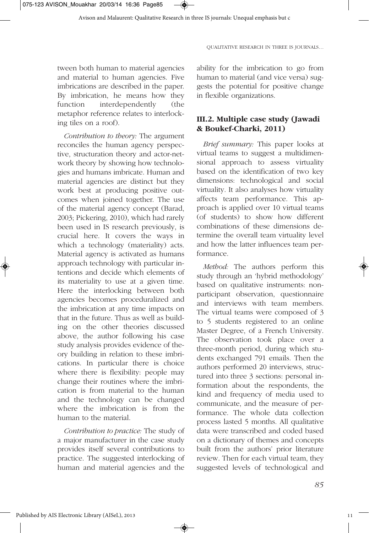tween both human to material agencies and material to human agencies. Five imbrications are described in the paper. By imbrication, he means how they function interdependently (the metaphor reference relates to interlocking tiles on a roof).

*Contribution to theory:* The argument reconciles the human agency perspective, structuration theory and actor-network theory by showing how technologies and humans imbricate. Human and material agencies are distinct but they work best at producing positive outcomes when joined together. The use of the material agency concept (Barad, 2003; Pickering, 2010), which had rarely been used in IS research previously, is crucial here. It covers the ways in which a technology (materiality) acts. Material agency is activated as humans approach technology with particular intentions and decide which elements of its materiality to use at a given time. Here the interlocking between both agencies becomes proceduralized and the imbrication at any time impacts on that in the future. Thus as well as building on the other theories discussed above, the author following his case study analysis provides evidence of theory building in relation to these imbrications. In particular there is choice where there is flexibility: people may change their routines where the imbrication is from material to the human and the technology can be changed where the imbrication is from the human to the material.

*Contribution to practice:* The study of a major manufacturer in the case study provides itself several contributions to practice. The suggested interlocking of human and material agencies and the

ability for the imbrication to go from human to material (and vice versa) suggests the potential for positive change in flexible organizations.

## **III.2. Multiple case study (Jawadi & Boukef-Charki, 2011)**

*Brief summary:* This paper looks at virtual teams to suggest a multidimensional approach to assess virtuality based on the identification of two key dimensions: technological and social virtuality. It also analyses how virtuality affects team performance. This approach is applied over 10 virtual teams (of students) to show how different combinations of these dimensions determine the overall team virtuality level and how the latter influences team performance.

*Method:* The authors perform this study through an 'hybrid methodology' based on qualitative instruments: nonparticipant observation, questionnaire and interviews with team members. The virtual teams were composed of 3 to 5 students registered to an online Master Degree, of a French University. The observation took place over a three-month period, during which students exchanged 791 emails. Then the authors performed 20 interviews, structured into three 3 sections: personal information about the respondents, the kind and frequency of media used to communicate, and the measure of performance. The whole data collection process lasted 5 months. All qualitative data were transcribed and coded based on a dictionary of themes and concepts built from the authors' prior literature review. Then for each virtual team, they suggested levels of technological and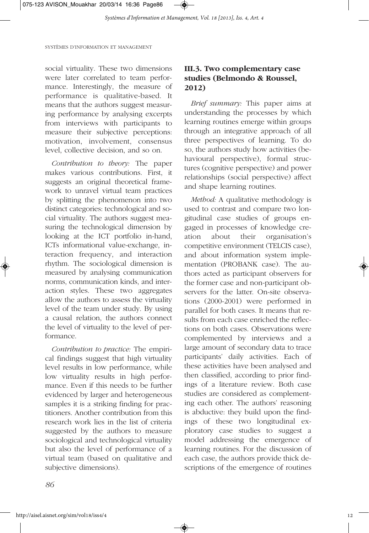social virtuality. These two dimensions were later correlated to team performance. Interestingly, the measure of performance is qualitative-based. It means that the authors suggest measuring performance by analysing excerpts from interviews with participants to measure their subjective perceptions: motivation, involvement, consensus level, collective decision, and so on.

*Contribution to theory:* The paper makes various contributions. First, it suggests an original theoretical framework to unravel virtual team practices by splitting the phenomenon into two distinct categories: technological and social virtuality. The authors suggest measuring the technological dimension by looking at the ICT portfolio in-hand, ICTs informational value-exchange, interaction frequency, and interaction rhythm. The sociological dimension is measured by analysing communication norms, communication kinds, and interaction styles. These two aggregates allow the authors to assess the virtuality level of the team under study. By using a causal relation, the authors connect the level of virtuality to the level of performance.

*Contribution to practice:* The empirical findings suggest that high virtuality level results in low performance, while low virtuality results in high performance. Even if this needs to be further evidenced by larger and heterogeneous samples it is a striking finding for practitioners. Another contribution from this research work lies in the list of criteria suggested by the authors to measure sociological and technological virtuality but also the level of performance of a virtual team (based on qualitative and subjective dimensions).

## **III.3. Two complementary case studies (Belmondo & Roussel, 2012)**

*Brief summary:* This paper aims at understanding the processes by which learning routines emerge within groups through an integrative approach of all three perspectives of learning. To do so, the authors study how activities (behavioural perspective), formal structures (cognitive perspective) and power relationships (social perspective) affect and shape learning routines.

*Method:* A qualitative methodology is used to contrast and compare two longitudinal case studies of groups engaged in processes of knowledge creation about their organisation's competitive environment (TELCIS case), and about information system implementation (PROBANK case). The authors acted as participant observers for the former case and non-participant observers for the latter. On-site observations (2000-2001) were performed in parallel for both cases. It means that results from each case enriched the reflections on both cases. Observations were complemented by interviews and a large amount of secondary data to trace participants' daily activities. Each of these activities have been analysed and then classified, according to prior findings of a literature review. Both case studies are considered as complementing each other. The authors' reasoning is abductive: they build upon the findings of these two longitudinal exploratory case studies to suggest a model addressing the emergence of learning routines. For the discussion of each case, the authors provide thick descriptions of the emergence of routines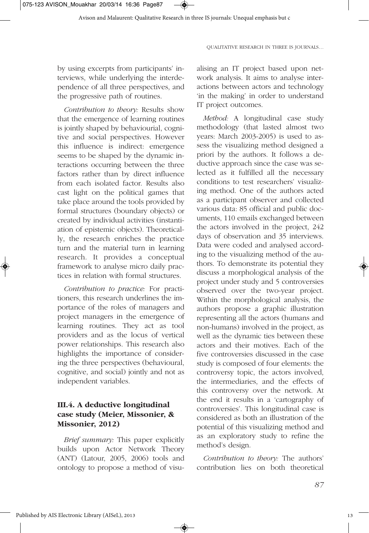075-123 AVISON\_Mouakhar 20/03/14 16:36 Page87

Avison and Malaurent: Qualitative Research in three IS journals: Unequal emphasis but c

QUALITATIVE RESEARCH IN THREE IS JOURNALS…

by using excerpts from participants' interviews, while underlying the interdependence of all three perspectives, and the progressive path of routines.

*Contribution to theory:* Results show that the emergence of learning routines is jointly shaped by behaviourial, cognitive and social perspectives. However this influence is indirect: emergence seems to be shaped by the dynamic interactions occurring between the three factors rather than by direct influence from each isolated factor. Results also cast light on the political games that take place around the tools provided by formal structures (boundary objects) or created by individual activities (instantiation of epistemic objects). Theoretically, the research enriches the practice turn and the material turn in learning research. It provides a conceptual framework to analyse micro daily practices in relation with formal structures.

*Contribution to practice:* For practitioners, this research underlines the importance of the roles of managers and project managers in the emergence of learning routines. They act as tool providers and as the locus of vertical power relationships. This research also highlights the importance of considering the three perspectives (behavioural, cognitive, and social) jointly and not as independent variables.

## **III.4. A deductive longitudinal case study (Meier, Missonier, & Missonier, 2012)**

*Brief summary:* This paper explicitly builds upon Actor Network Theory (ANT) (Latour, 2005, 2006) tools and ontology to propose a method of visualising an IT project based upon network analysis. It aims to analyse interactions between actors and technology 'in the making' in order to understand IT project outcomes.

*Method:* A longitudinal case study methodology (that lasted almost two years: March 2003-2005) is used to assess the visualizing method designed a priori by the authors. It follows a deductive approach since the case was selected as it fulfilled all the necessary conditions to test researchers' visualizing method. One of the authors acted as a participant observer and collected various data: 85 official and public documents, 110 emails exchanged between the actors involved in the project, 242 days of observation and 35 interviews. Data were coded and analysed according to the visualizing method of the authors. To demonstrate its potential they discuss a morphological analysis of the project under study and 5 controversies observed over the two-year project. Within the morphological analysis, the authors propose a graphic illustration representing all the actors (humans and non-humans) involved in the project, as well as the dynamic ties between these actors and their motives. Each of the five controversies discussed in the case study is composed of four elements: the controversy topic, the actors involved, the intermediaries, and the effects of this controversy over the network. At the end it results in a 'cartography of controversies'. This longitudinal case is considered as both an illustration of the potential of this visualizing method and as an exploratory study to refine the method's design.

*Contribution to theory:* The authors' contribution lies on both theoretical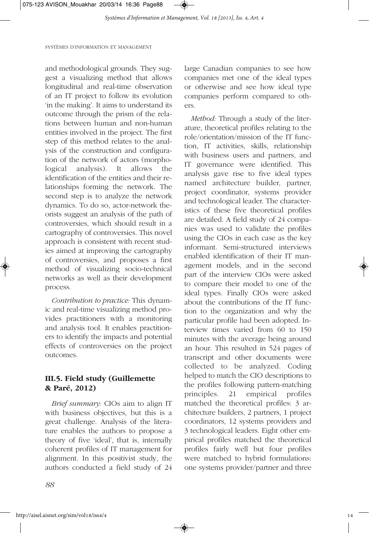and methodological grounds. They suggest a visualizing method that allows longitudinal and real-time observation of an IT project to follow its evolution 'in the making'. It aims to understand its outcome through the prism of the relations between human and non-human entities involved in the project. The first step of this method relates to the analysis of the construction and configuration of the network of actors (morphological analysis). It allows the identification of the entities and their relationships forming the network. The second step is to analyze the network dynamics. To do so, actor-network theorists suggest an analysis of the path of controversies, which should result in a cartography of controversies. This novel approach is consistent with recent studies aimed at improving the cartography of controversies, and proposes a first method of visualizing socio-technical networks as well as their development process.

*Contribution to practice:* This dynamic and real-time visualizing method provides practitioners with a monitoring and analysis tool. It enables practitioners to identify the impacts and potential effects of controversies on the project outcomes.

## **III.5. Field study (Guillemette & Paré, 2012)**

*Brief summary:* CIOs aim to align IT with business objectives, but this is a great challenge. Analysis of the literature enables the authors to propose a theory of five 'ideal', that is, internally coherent profiles of IT management for alignment. In this positivist study, the authors conducted a field study of 24

large Canadian companies to see how companies met one of the ideal types or otherwise and see how ideal type companies perform compared to others.

*Method:* Through a study of the literature, theoretical profiles relating to the role/orientation/mission of the IT function, IT activities, skills, relationship with business users and partners, and IT governance were identified. This analysis gave rise to five ideal types named architecture builder, partner, project coordinator, systems provider and technological leader. The characteristics of these five theoretical profiles are detailed. A field study of 24 companies was used to validate the profiles using the CIOs in each case as the key informant. Semi-structured interviews enabled identification of their IT management models, and in the second part of the interview CIOs were asked to compare their model to one of the ideal types. Finally CIOs were asked about the contributions of the IT function to the organization and why the particular profile had been adopted. Interview times varied from 60 to 150 minutes with the average being around an hour. This resulted in 524 pages of transcript and other documents were collected to be analyzed. Coding helped to match the CIO descriptions to the profiles following pattern-matching principles. 21 empirical profiles matched the theoretical profiles: 3 architecture builders, 2 partners, 1 project coordinators, 12 systems providers and 3 technological leaders. Eight other empirical profiles matched the theoretical profiles fairly well but four profiles were matched to hybrid formulations: one systems provider/partner and three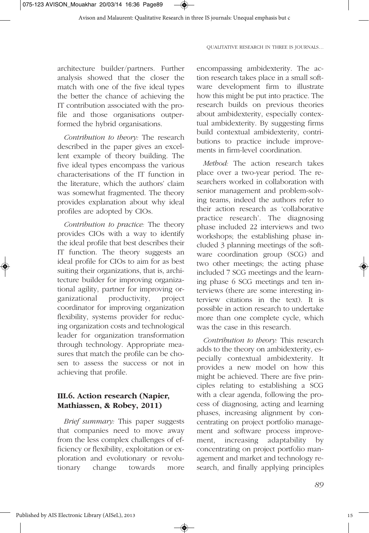architecture builder/partners. Further analysis showed that the closer the match with one of the five ideal types the better the chance of achieving the IT contribution associated with the profile and those organisations outperformed the hybrid organisations.

*Contribution to theory:* The research described in the paper gives an excellent example of theory building. The five ideal types encompass the various characterisations of the IT function in the literature, which the authors' claim was somewhat fragmented. The theory provides explanation about why ideal profiles are adopted by CIOs.

*Contribution to practice:* The theory provides CIOs with a way to identify the ideal profile that best describes their IT function. The theory suggests an ideal profile for CIOs to aim for as best suiting their organizations, that is, architecture builder for improving organizational agility, partner for improving organizational productivity, project coordinator for improving organization flexibility, systems provider for reducing organization costs and technological leader for organization transformation through technology. Appropriate measures that match the profile can be chosen to assess the success or not in achieving that profile.

## **III.6. Action research (Napier, Mathiassen, & Robey, 2011)**

*Brief summary:* This paper suggests that companies need to move away from the less complex challenges of efficiency or flexibility, exploitation or exploration and evolutionary or revolutionary change towards more

encompassing ambidexterity. The action research takes place in a small software development firm to illustrate how this might be put into practice. The research builds on previous theories about ambidexterity, especially contextual ambidexterity. By suggesting firms build contextual ambidexterity, contributions to practice include improvements in firm-level coordination.

*Method:* The action research takes place over a two-year period. The researchers worked in collaboration with senior management and problem-solving teams, indeed the authors refer to their action research as 'collaborative practice research'. The diagnosing phase included 22 interviews and two workshops; the establishing phase included 3 planning meetings of the software coordination group (SCG) and two other meetings; the acting phase included 7 SCG meetings and the learning phase 6 SCG meetings and ten interviews (there are some interesting interview citations in the text). It is possible in action research to undertake more than one complete cycle, which was the case in this research.

*Contribution to theory:* This research adds to the theory on ambidexterity, especially contextual ambidexterity. It provides a new model on how this might be achieved. There are five principles relating to establishing a SCG with a clear agenda, following the process of diagnosing, acting and learning phases, increasing alignment by concentrating on project portfolio management and software process improvement, increasing adaptability by concentrating on project portfolio management and market and technology research, and finally applying principles

15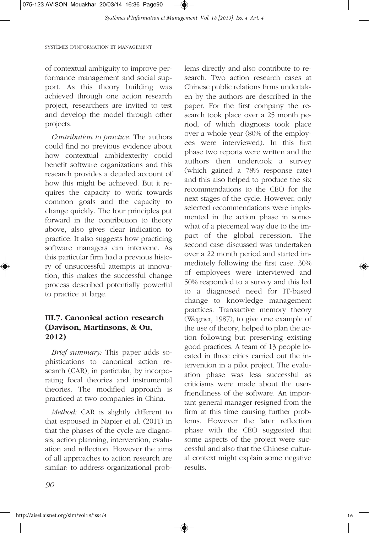of contextual ambiguity to improve performance management and social support. As this theory building was achieved through one action research project, researchers are invited to test and develop the model through other projects.

*Contribution to practice:* The authors could find no previous evidence about how contextual ambidexterity could benefit software organizations and this research provides a detailed account of how this might be achieved. But it requires the capacity to work towards common goals and the capacity to change quickly. The four principles put forward in the contribution to theory above, also gives clear indication to practice. It also suggests how practicing software managers can intervene. As this particular firm had a previous history of unsuccessful attempts at innovation, this makes the successful change process described potentially powerful to practice at large.

## **III.7. Canonical action research (Davison, Martinsons, & Ou, 2012)**

*Brief summary:* This paper adds sophistications to canonical action research (CAR), in particular, by incorporating focal theories and instrumental theories. The modified approach is practiced at two companies in China.

*Method:* CAR is slightly different to that espoused in Napier et al. (2011) in that the phases of the cycle are diagnosis, action planning, intervention, evaluation and reflection. However the aims of all approaches to action research are similar: to address organizational problems directly and also contribute to research. Two action research cases at Chinese public relations firms undertaken by the authors are described in the paper. For the first company the research took place over a 25 month period, of which diagnosis took place over a whole year (80% of the employees were interviewed). In this first phase two reports were written and the authors then undertook a survey (which gained a 78% response rate) and this also helped to produce the six recommendations to the CEO for the next stages of the cycle. However, only selected recommendations were implemented in the action phase in somewhat of a piecemeal way due to the impact of the global recession. The second case discussed was undertaken over a 22 month period and started immediately following the first case. 30% of employees were interviewed and 50% responded to a survey and this led to a diagnosed need for IT-based change to knowledge management practices. Transactive memory theory (Wegner, 1987), to give one example of the use of theory, helped to plan the action following but preserving existing good practices. A team of 13 people located in three cities carried out the intervention in a pilot project. The evaluation phase was less successful as criticisms were made about the userfriendliness of the software. An important general manager resigned from the firm at this time causing further problems. However the later reflection phase with the CEO suggested that some aspects of the project were successful and also that the Chinese cultural context might explain some negative results.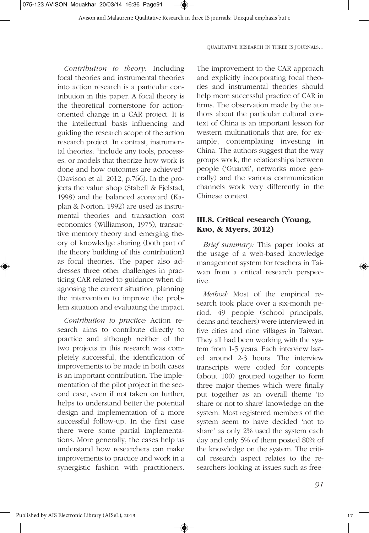*Contribution to theory:* Including focal theories and instrumental theories into action research is a particular contribution in this paper. A focal theory is the theoretical cornerstone for actionoriented change in a CAR project. It is the intellectual basis influencing and guiding the research scope of the action research project. In contrast, instrumental theories: "include any tools, processes, or models that theorize how work is done and how outcomes are achieved" (Davison et al. 2012, p.766). In the projects the value shop (Stabell & Fjelstad, 1998) and the balanced scorecard (Kaplan & Norton, 1992) are used as instrumental theories and transaction cost economics (Williamson, 1975), transactive memory theory and emerging theory of knowledge sharing (both part of the theory building of this contribution) as focal theories. The paper also addresses three other challenges in practicing CAR related to guidance when diagnosing the current situation, planning the intervention to improve the problem situation and evaluating the impact.

*Contribution to practice:* Action research aims to contribute directly to practice and although neither of the two projects in this research was completely successful, the identification of improvements to be made in both cases is an important contribution. The implementation of the pilot project in the second case, even if not taken on further, helps to understand better the potential design and implementation of a more successful follow-up. In the first case there were some partial implementations. More generally, the cases help us understand how researchers can make improvements to practice and work in a synergistic fashion with practitioners.

The improvement to the CAR approach and explicitly incorporating focal theories and instrumental theories should help more successful practice of CAR in firms. The observation made by the authors about the particular cultural context of China is an important lesson for western multinationals that are, for example, contemplating investing in China. The authors suggest that the way groups work, the relationships between people ('Guanxi', networks more generally) and the various communication channels work very differently in the Chinese context.

## **III.8. Critical research (Young, Kuo, & Myers, 2012)**

*Brief summary:* This paper looks at the usage of a web-based knowledge management system for teachers in Taiwan from a critical research perspective.

*Method:* Most of the empirical research took place over a six-month period. 49 people (school principals, deans and teachers) were interviewed in five cities and nine villages in Taiwan. They all had been working with the system from 1-5 years. Each interview lasted around 2-3 hours. The interview transcripts were coded for concepts (about 100) grouped together to form three major themes which were finally put together as an overall theme 'to share or not to share' knowledge on the system. Most registered members of the system seem to have decided 'not to share' as only 2% used the system each day and only 5% of them posted 80% of the knowledge on the system. The critical research aspect relates to the researchers looking at issues such as free-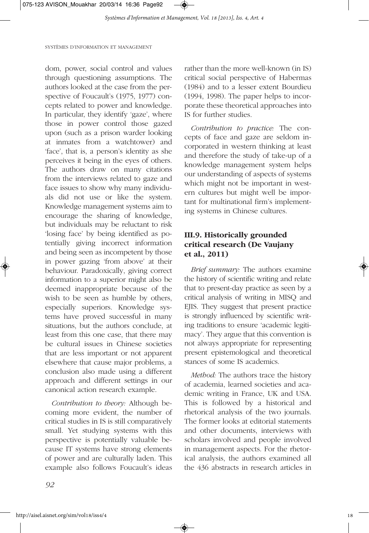dom, power, social control and values through questioning assumptions. The authors looked at the case from the perspective of Foucault's (1975, 1977) concepts related to power and knowledge. In particular, they identify 'gaze', where those in power control those gazed upon (such as a prison warder looking at inmates from a watchtower) and 'face', that is, a person's identity as she perceives it being in the eyes of others. The authors draw on many citations from the interviews related to gaze and face issues to show why many individuals did not use or like the system. Knowledge management systems aim to encourage the sharing of knowledge, but individuals may be reluctant to risk 'losing face' by being identified as potentially giving incorrect information and being seen as incompetent by those in power gazing 'from above' at their behaviour. Paradoxically, giving correct information to a superior might also be deemed inappropriate because of the wish to be seen as humble by others, especially superiors. Knowledge systems have proved successful in many situations, but the authors conclude, at least from this one case, that there may be cultural issues in Chinese societies that are less important or not apparent elsewhere that cause major problems, a conclusion also made using a different approach and different settings in our canonical action research example.

*Contribution to theory:* Although becoming more evident, the number of critical studies in IS is still comparatively small. Yet studying systems with this perspective is potentially valuable because IT systems have strong elements of power and are culturally laden. This example also follows Foucault's ideas

rather than the more well-known (in IS) critical social perspective of Habermas (1984) and to a lesser extent Bourdieu (1994, 1998). The paper helps to incorporate these theoretical approaches into IS for further studies.

*Contribution to practice:* The concepts of face and gaze are seldom incorporated in western thinking at least and therefore the study of take-up of a knowledge management system helps our understanding of aspects of systems which might not be important in western cultures but might well be important for multinational firm's implementing systems in Chinese cultures.

## **III.9. Historically grounded critical research (De Vaujany et al., 2011)**

*Brief summary:* The authors examine the history of scientific writing and relate that to present-day practice as seen by a critical analysis of writing in MISQ and EJIS. They suggest that present practice is strongly influenced by scientific writing traditions to ensure 'academic legitimacy'. They argue that this convention is not always appropriate for representing present epistemological and theoretical stances of some IS academics.

*Method:* The authors trace the history of academia, learned societies and academic writing in France, UK and USA. This is followed by a historical and rhetorical analysis of the two journals. The former looks at editorial statements and other documents, interviews with scholars involved and people involved in management aspects. For the rhetorical analysis, the authors examined all the 436 abstracts in research articles in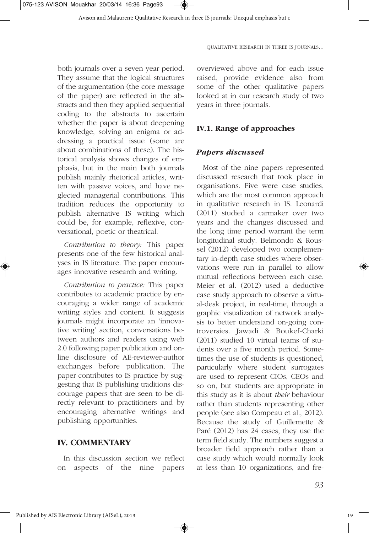both journals over a seven year period. They assume that the logical structures of the argumentation (the core message of the paper) are reflected in the abstracts and then they applied sequential coding to the abstracts to ascertain whether the paper is about deepening knowledge, solving an enigma or addressing a practical issue (some are about combinations of these). The historical analysis shows changes of emphasis, but in the main both journals publish mainly rhetorical articles, written with passive voices, and have neglected managerial contributions. This tradition reduces the opportunity to publish alternative IS writing which could be, for example, reflexive, conversational, poetic or theatrical.

*Contribution to theory:* This paper presents one of the few historical analyses in IS literature. The paper encourages innovative research and writing.

*Contribution to practice:* This paper contributes to academic practice by encouraging a wider range of academic writing styles and content. It suggests journals might incorporate an 'innovative writing' section, conversations between authors and readers using web 2.0 following paper publication and online disclosure of AE-reviewer-author exchanges before publication. The paper contributes to IS practice by suggesting that IS publishing traditions discourage papers that are seen to be directly relevant to practitioners and by encouraging alternative writings and publishing opportunities.

## **IV. COMMENTARY**

In this discussion section we reflect on aspects of the nine papers

overviewed above and for each issue raised, provide evidence also from some of the other qualitative papers looked at in our research study of two years in three journals.

## **IV.1. Range of approaches**

## *Papers discussed*

Most of the nine papers represented discussed research that took place in organisations. Five were case studies, which are the most common approach in qualitative research in IS. Leonardi (2011) studied a carmaker over two years and the changes discussed and the long time period warrant the term longitudinal study. Belmondo & Roussel (2012) developed two complementary in-depth case studies where observations were run in parallel to allow mutual reflections between each case. Meier et al. (2012) used a deductive case study approach to observe a virtual-desk project, in real-time, through a graphic visualization of network analysis to better understand on-going controversies. Jawadi & Boukef-Charki (2011) studied 10 virtual teams of students over a five month period. Sometimes the use of students is questioned, particularly where student surrogates are used to represent CIOs, CEOs and so on, but students are appropriate in this study as it is about *their* behaviour rather than students representing other people (see also Compeau et al., 2012). Because the study of Guillemette & Paré (2012) has 24 cases, they use the term field study. The numbers suggest a broader field approach rather than a case study which would normally look at less than 10 organizations, and fre-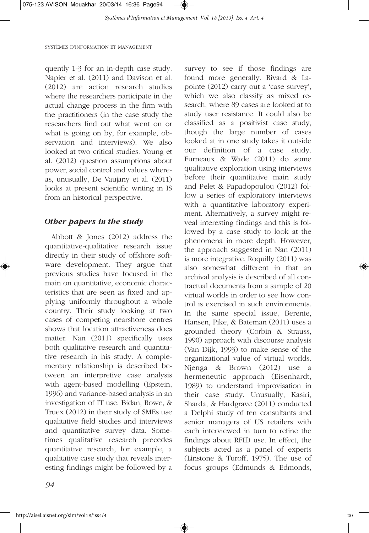quently 1-3 for an in-depth case study. Napier et al. (2011) and Davison et al. (2012) are action research studies where the researchers participate in the actual change process in the firm with the practitioners (in the case study the researchers find out what went on or what is going on by, for example, observation and interviews). We also looked at two critical studies. Young et al. (2012) question assumptions about power, social control and values whereas, unusually, De Vaujany et al. (2011) looks at present scientific writing in IS from an historical perspective.

#### *Other papers in the study*

Abbott & Jones (2012) address the quantitative-qualitative research issue directly in their study of offshore software development. They argue that previous studies have focused in the main on quantitative, economic characteristics that are seen as fixed and applying uniformly throughout a whole country. Their study looking at two cases of competing nearshore centres shows that location attractiveness does matter. Nan (2011) specifically uses both qualitative research and quantitative research in his study. A complementary relationship is described between an interpretive case analysis with agent-based modelling (Epstein, 1996) and variance-based analysis in an investigation of IT use. Bidan, Rowe, & Truex (2012) in their study of SMEs use qualitative field studies and interviews and quantitative survey data. Sometimes qualitative research precedes quantitative research, for example, a qualitative case study that reveals interesting findings might be followed by a

survey to see if those findings are found more generally. Rivard & Lapointe (2012) carry out a 'case survey', which we also classify as mixed research, where 89 cases are looked at to study user resistance. It could also be classified as a positivist case study, though the large number of cases looked at in one study takes it outside our definition of a case study. Furneaux & Wade (2011) do some qualitative exploration using interviews before their quantitative main study and Pelet & Papadopoulou (2012) follow a series of exploratory interviews with a quantitative laboratory experiment. Alternatively, a survey might reveal interesting findings and this is followed by a case study to look at the phenomena in more depth. However, the approach suggested in Nan (2011) is more integrative. Roquilly (2011) was also somewhat different in that an archival analysis is described of all contractual documents from a sample of 20 virtual worlds in order to see how control is exercised in such environments. In the same special issue, Berente, Hansen, Pike, & Bateman (2011) uses a grounded theory (Corbin & Strauss, 1990) approach with discourse analysis (Van Dijk, 1993) to make sense of the organizational value of virtual worlds. Njenga & Brown (2012) use a hermeneutic approach (Eisenhardt, 1989) to understand improvisation in their case study. Unusually, Kasiri, Sharda, & Hardgrave (2011) conducted a Delphi study of ten consultants and senior managers of US retailers with each interviewed in turn to refine the findings about RFID use. In effect, the subjects acted as a panel of experts (Linstone & Turoff, 1975). The use of focus groups (Edmunds & Edmonds,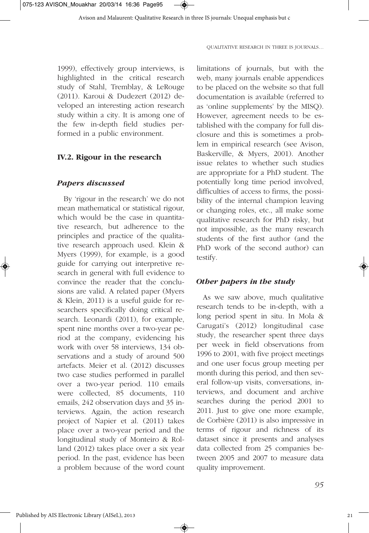

1999), effectively group interviews, is highlighted in the critical research study of Stahl, Tremblay, & LeRouge (2011). Karoui & Dudezert (2012) developed an interesting action research study within a city. It is among one of the few in-depth field studies performed in a public environment.

#### **IV.2. Rigour in the research**

#### *Papers discussed*

By 'rigour in the research' we do not mean mathematical or statistical rigour, which would be the case in quantitative research, but adherence to the principles and practice of the qualitative research approach used. Klein & Myers (1999), for example, is a good guide for carrying out interpretive research in general with full evidence to convince the reader that the conclusions are valid. A related paper (Myers & Klein, 2011) is a useful guide for researchers specifically doing critical research. Leonardi (2011), for example, spent nine months over a two-year period at the company, evidencing his work with over 58 interviews, 134 observations and a study of around 500 artefacts. Meier et al. (2012) discusses two case studies performed in parallel over a two-year period. 110 emails were collected, 85 documents, 110 emails, 242 observation days and 35 interviews. Again, the action research project of Napier et al. (2011) takes place over a two-year period and the longitudinal study of Monteiro & Rolland (2012) takes place over a six year period. In the past, evidence has been a problem because of the word count

limitations of journals, but with the web, many journals enable appendices to be placed on the website so that full documentation is available (referred to as 'online supplements' by the MISQ). However, agreement needs to be established with the company for full disclosure and this is sometimes a problem in empirical research (see Avison, Baskerville, & Myers, 2001). Another issue relates to whether such studies are appropriate for a PhD student. The potentially long time period involved, difficulties of access to firms, the possibility of the internal champion leaving or changing roles, etc., all make some qualitative research for PhD risky, but not impossible, as the many research students of the first author (and the PhD work of the second author) can testify.

#### *Other papers in the study*

As we saw above, much qualitative research tends to be in-depth, with a long period spent in situ. In Mola & Carugati's (2012) longitudinal case study, the researcher spent three days per week in field observations from 1996 to 2001, with five project meetings and one user focus group meeting per month during this period, and then several follow-up visits, conversations, interviews, and document and archive searches during the period 2001 to 2011. Just to give one more example, de Corbière (2011) is also impressive in terms of rigour and richness of its dataset since it presents and analyses data collected from 25 companies between 2005 and 2007 to measure data quality improvement.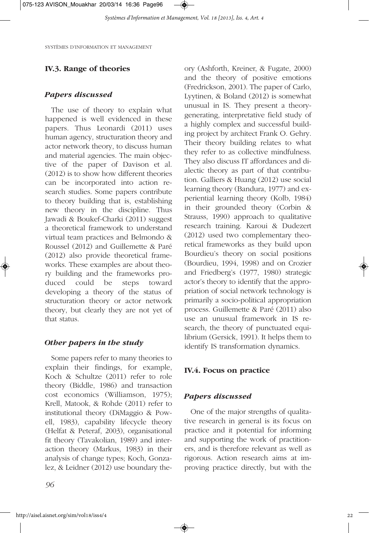## **IV.3. Range of theories**

### *Papers discussed*

The use of theory to explain what happened is well evidenced in these papers. Thus Leonardi (2011) uses human agency, structuration theory and actor network theory, to discuss human and material agencies. The main objective of the paper of Davison et al. (2012) is to show how different theories can be incorporated into action research studies. Some papers contribute to theory building that is, establishing new theory in the discipline. Thus Jawadi & Boukef-Charki (2011) suggest a theoretical framework to understand virtual team practices and Belmondo & Roussel (2012) and Guillemette & Paré (2012) also provide theoretical frameworks. These examples are about theory building and the frameworks produced could be steps toward developing a theory of the status of structuration theory or actor network theory, but clearly they are not yet of that status.

## *Other papers in the study*

Some papers refer to many theories to explain their findings, for example, Koch & Schultze (2011) refer to role theory (Biddle, 1986) and transaction cost economics (Williamson, 1975); Krell, Matook, & Rohde (2011) refer to institutional theory (DiMaggio & Powell, 1983), capability lifecycle theory (Helfat & Peteraf, 2003), organisational fit theory (Tavakolian, 1989) and interaction theory (Markus, 1983) in their analysis of change types; Koch, Gonzalez, & Leidner (2012) use boundary theory (Ashforth, Kreiner, & Fugate, 2000) and the theory of positive emotions (Fredrickson, 2001). The paper of Carlo, Lyytinen, & Boland (2012) is somewhat unusual in IS. They present a theorygenerating, interpretative field study of a highly complex and successful building project by architect Frank O. Gehry. Their theory building relates to what they refer to as collective mindfulness. They also discuss IT affordances and dialectic theory as part of that contribution. Galliers & Huang (2012) use social learning theory (Bandura, 1977) and experiential learning theory (Kolb, 1984) in their grounded theory (Corbin & Strauss, 1990) approach to qualitative research training. Karoui & Dudezert (2012) used two complementary theoretical frameworks as they build upon Bourdieu's theory on social positions (Bourdieu, 1994, 1998) and on Crozier and Friedberg's (1977, 1980) strategic actor's theory to identify that the appropriation of social network technology is primarily a socio-political appropriation process. Guillemette & Paré (2011) also use an unusual framework in IS research, the theory of punctuated equilibrium (Gersick, 1991). It helps them to identify IS transformation dynamics.

### **IV.4. Focus on practice**

### *Papers discussed*

One of the major strengths of qualitative research in general is its focus on practice and it potential for informing and supporting the work of practitioners, and is therefore relevant as well as rigorous. Action research aims at improving practice directly, but with the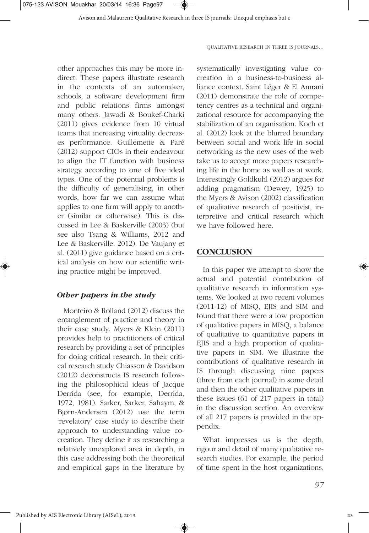other approaches this may be more indirect. These papers illustrate research in the contexts of an automaker, schools, a software development firm and public relations firms amongst many others. Jawadi & Boukef-Charki (2011) gives evidence from 10 virtual teams that increasing virtuality decreases performance. Guillemette & Paré (2012) support CIOs in their endeavour to align the IT function with business strategy according to one of five ideal types. One of the potential problems is the difficulty of generalising, in other words, how far we can assume what applies to one firm will apply to another (similar or otherwise). This is discussed in Lee & Baskerville (2003) (but see also Tsang & Williams, 2012 and Lee & Baskerville. 2012). De Vaujany et al. (2011) give guidance based on a critical analysis on how our scientific writing practice might be improved.

#### *Other papers in the study*

Monteiro & Rolland (2012) discuss the entanglement of practice and theory in their case study. Myers & Klein (2011) provides help to practitioners of critical research by providing a set of principles for doing critical research. In their critical research study Chiasson & Davidson (2012) deconstructs IS research following the philosophical ideas of Jacque Derrida (see, for example, Derrida, 1972, 1981). Sarker, Sarker, Sahaym, & Bjørn-Andersen (2012) use the term 'revelatory' case study to describe their approach to understanding value cocreation. They define it as researching a relatively unexplored area in depth, in this case addressing both the theoretical and empirical gaps in the literature by systematically investigating value cocreation in a business-to-business alliance context. Saint Léger & El Amrani (2011) demonstrate the role of competency centres as a technical and organizational resource for accompanying the stabilization of an organisation. Koch et al. (2012) look at the blurred boundary between social and work life in social networking as the new uses of the web take us to accept more papers researching life in the home as well as at work. Interestingly Goldkuhl (2012) argues for adding pragmatism (Dewey, 1925) to the Myers & Avison (2002) classification of qualitative research of positivist, interpretive and critical research which we have followed here.

#### **CONCLUSION**

In this paper we attempt to show the actual and potential contribution of qualitative research in information systems. We looked at two recent volumes (2011-12) of MISQ, EJIS and SIM and found that there were a low proportion of qualitative papers in MISQ, a balance of qualitative to quantitative papers in EJIS and a high proportion of qualitative papers in SIM. We illustrate the contributions of qualitative research in IS through discussing nine papers (three from each journal) in some detail and then the other qualitative papers in these issues (61 of 217 papers in total) in the discussion section. An overview of all 217 papers is provided in the appendix.

What impresses us is the depth, rigour and detail of many qualitative research studies. For example, the period of time spent in the host organizations,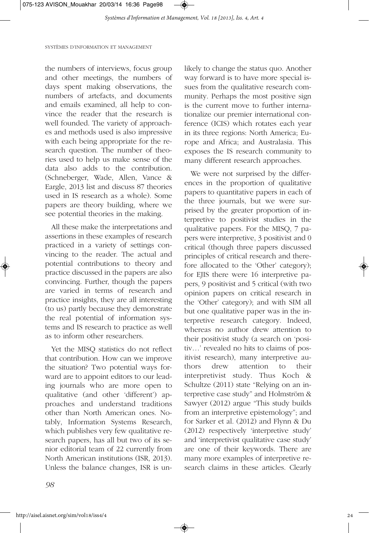

the numbers of interviews, focus group and other meetings, the numbers of days spent making observations, the numbers of artefacts, and documents and emails examined, all help to convince the reader that the research is well founded. The variety of approaches and methods used is also impressive with each being appropriate for the research question. The number of theories used to help us make sense of the data also adds to the contribution. (Schneberger, Wade, Allen, Vance & Eargle, 2013 list and discuss 87 theories used in IS research as a whole). Some papers are theory building, where we see potential theories in the making.

All these make the interpretations and assertions in these examples of research practiced in a variety of settings convincing to the reader. The actual and potential contributions to theory and practice discussed in the papers are also convincing. Further, though the papers are varied in terms of research and practice insights, they are all interesting (to us) partly because they demonstrate the real potential of information systems and IS research to practice as well as to inform other researchers.

Yet the MISQ statistics do not reflect that contribution. How can we improve the situation? Two potential ways forward are to appoint editors to our leading journals who are more open to qualitative (and other 'different') approaches and understand traditions other than North American ones. Notably, Information Systems Research, which publishes very few qualitative research papers, has all but two of its senior editorial team of 22 currently from North American institutions (ISR, 2013). Unless the balance changes, ISR is unlikely to change the status quo. Another way forward is to have more special issues from the qualitative research community. Perhaps the most positive sign is the current move to further internationalize our premier international conference (ICIS) which rotates each year in its three regions: North America; Europe and Africa; and Australasia. This exposes the IS research community to many different research approaches.

We were not surprised by the differences in the proportion of qualitative papers to quantitative papers in each of the three journals, but we were surprised by the greater proportion of interpretive to positivist studies in the qualitative papers. For the MISQ, 7 papers were interpretive, 3 positivist and 0 critical (though three papers discussed principles of critical research and therefore allocated to the 'Other' category); for EJIS there were 16 interpretive papers, 9 positivist and 5 critical (with two opinion papers on critical research in the 'Other' category); and with SIM all but one qualitative paper was in the interpretive research category. Indeed, whereas no author drew attention to their positivist study (a search on 'positiv…' revealed no hits to claims of positivist research), many interpretive authors drew attention to their interpretivist study. Thus Koch & Schultze (2011) state "Relying on an interpretive case study" and Holmström & Sawyer (2012) argue "This study builds from an interpretive epistemology"; and for Sarker et al. (2012) and Flynn & Du (2012) respectively 'interpretive study' and 'interpretivist qualitative case study' are one of their keywords. There are many more examples of interpretive research claims in these articles. Clearly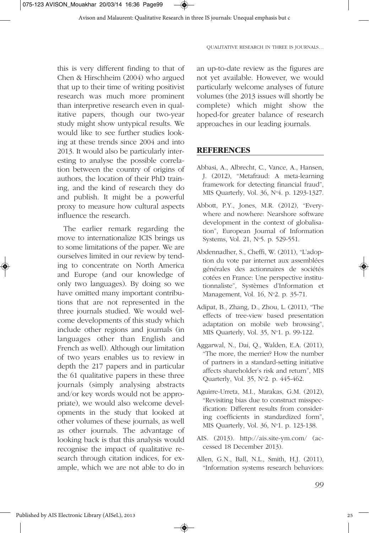this is very different finding to that of Chen & Hirschheim (2004) who argued that up to their time of writing positivist research was much more prominent than interpretive research even in qualitative papers, though our two-year study might show untypical results. We would like to see further studies looking at these trends since 2004 and into 2013. It would also be particularly interesting to analyse the possible correlation between the country of origins of authors, the location of their PhD training, and the kind of research they do and publish. It might be a powerful proxy to measure how cultural aspects influence the research.

The earlier remark regarding the move to internationalize ICIS brings us to some limitations of the paper. We are ourselves limited in our review by tending to concentrate on North America and Europe (and our knowledge of only two languages). By doing so we have omitted many important contributions that are not represented in the three journals studied. We would welcome developments of this study which include other regions and journals (in languages other than English and French as well). Although our limitation of two years enables us to review in depth the 217 papers and in particular the 61 qualitative papers in these three journals (simply analysing abstracts and/or key words would not be appropriate), we would also welcome developments in the study that looked at other volumes of these journals, as well as other journals. The advantage of looking back is that this analysis would recognise the impact of qualitative research through citation indices, for example, which we are not able to do in

an up-to-date review as the figures are not yet available. However, we would particularly welcome analyses of future volumes (the 2013 issues will shortly be complete) which might show the hoped-for greater balance of research approaches in our leading journals.

#### **REFERENCES**

- Abbasi, A., Albrecht, C., Vance, A., Hansen, J. (2012), "Metafraud: A meta-learning framework for detecting financial fraud", MIS Quarterly, Vol. 36, N°4. p. 1293-1327.
- Abbott, P.Y., Jones, M.R. (2012), "Everywhere and nowhere: Nearshore software development in the context of globalisation", European Journal of Information Systems, Vol. 21, N°5. p. 529-551.
- Abdennadher, S., Cheffi, W. (2011), "L'adoption du vote par internet aux assemblées générales des actionnaires de sociétés cotées en France: Une perspective institutionnaliste", Systèmes d'Information et Management, Vol. 16, Nº2. p. 35-71.
- Adipat, B., Zhang, D., Zhou, L. (2011), "The effects of tree-view based presentation adaptation on mobile web browsing", MIS Quarterly, Vol. 35, N°1, p. 99-122.
- Aggarwal, N., Dai, Q., Walden, E.A. (2011), "The more, the merrier? How the number of partners in a standard-setting initiative affects shareholder's risk and return", MIS Quarterly, Vol. 35, No 2. p. 445-462.
- Aguirre-Urreta, M.I., Marakas, G.M. (2012), "Revisiting bias due to construct misspecification: Different results from considering coefficients in standardized form", MIS Quarterly, Vol. 36, Nº1, p. 123-138.
- AIS. (2013). http://ais.site-ym.com/ (accessed 18 December 2013).
- Allen, G.N., Ball, N.L., Smith, H.J. (2011), "Information systems research behaviors: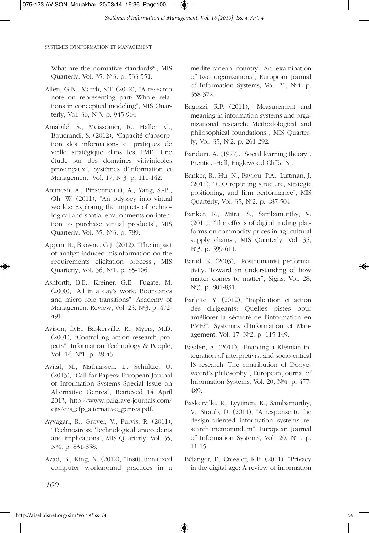What are the normative standards?", MIS Quarterly, Vol. 35, N°3. p. 533-551.

- Allen, G.N., March, S.T. (2012), "A research note on representing part: Whole relations in conceptual modeling", MIS Quarterly, Vol. 36, No 3. p. 945-964.
- Amabilé, S., Meissonier, R., Haller, C., Boudrandi, S. (2012), "Capacité d'absorption des informations et pratiques de veille stratégique dans les PME: Une étude sur des domaines vitivinicoles provençaux", Systèmes d'Information et Management, Vol. 17, N°3. p. 111-142.
- Animesh, A., Pinsonneault, A., Yang, S.-B., Oh, W. (2011), "An odyssey into virtual worlds: Exploring the impacts of technological and spatial environments on intention to purchase virtual products", MIS Quarterly, Vol. 35, No 3. p. 789.
- Appan, R., Browne, G.J. (2012), "The impact of analyst-induced misinformation on the requirements elicitation process", MIS Ouarterly, Vol. 36, N°1. p. 85-106.
- Ashforth, B.E., Kreiner, G.E., Fugate, M. (2000), "All in a day's work: Boundaries and micro role transitions", Academy of Management Review, Vol. 25, N°3, p. 472-491.
- Avison, D.E., Baskerville, R., Myers, M.D. (2001), "Controlling action research projects", Information Technology & People, Vol. 14, N°1. p. 28-45.
- Avital, M., Mathiassen, L., Schultze, U. (2013), "Call for Papers: European Journal of Information Systems Special Issue on Alternative Genres", Retrieved 14 April 2013, http://www.palgrave-journals.com/ ejis/ejis\_cfp\_alternative\_genres.pdf.
- Ayyagari, R., Grover, V., Purvis, R. (2011), "Technostress: Technological antecedents and implications", MIS Quarterly, Vol. 35, N°4. p. 831-858.
- Azad, B., King, N. (2012), "Institutionalized computer workaround practices in a

mediterranean country: An examination of two organizations", European Journal of Information Systems, Vol. 21, N°4. p. 358-372.

- Bagozzi, R.P. (2011), "Measurement and meaning in information systems and organizational research: Methodological and philosophical foundations", MIS Quarterly, Vol. 35, N°2. p. 261-292.
- Bandura, A. (1977). "Social learning theory". Prentice-Hall, Englewood Cliffs, NJ.
- Banker, R., Hu, N., Pavlou, P.A., Luftman, J. (2011), "CIO reporting structure, strategic positioning, and firm performance", MIS Quarterly, Vol. 35, N°2. p. 487-504.
- Banker, R., Mitra, S., Sambamurthy, V. (2011), "The effects of digital trading platforms on commodity prices in agricultural supply chains", MIS Quarterly, Vol. 35, N°3. p. 599-611.
- Barad, K. (2003), "Posthumanist performativity: Toward an understanding of how matter comes to matter", Signs, Vol. 28, N°3. p. 801-831.
- Barlette, Y. (2012), "Implication et action des dirigeants: Quelles pistes pour améliorer la sécurité de l'information en PME?", Systèmes d'Information et Management, Vol. 17, No 2. p. 115-149.
- Basden, A. (2011), "Enabling a Kleinian integration of interpretivist and socio-critical IS research: The contribution of Dooyeweerd's philosophy", European Journal of Information Systems, Vol. 20, N°4, p. 477-489.
- Baskerville, R., Lyytinen, K., Sambamurthy, V., Straub, D. (2011), "A response to the design-oriented information systems research memorandum", European Journal of Information Systems, Vol. 20, N°1, p. 11-15.
- Bélanger, F., Crossler, R.E. (2011), "Privacy in the digital age: A review of information

*100*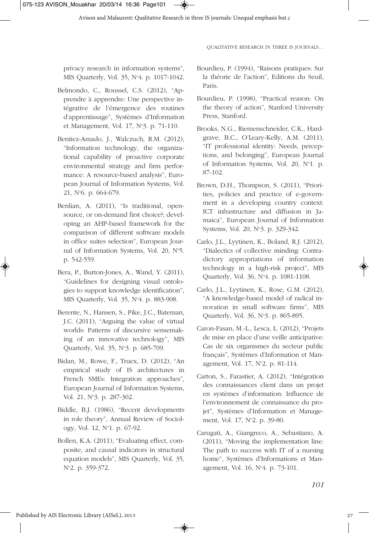privacy research in information systems", MIS Quarterly, Vol. 35, N°4. p. 1017-1042.

- Belmondo, C., Roussel, C.S. (2012), "Apprendre à apprendre: Une perspective intégrative de l'émergence des routines d'apprentissage", Systèmes d'Information et Management, Vol. 17, N°3. p. 71-110.
- Benitez-Amado, J., Walczuch, R.M. (2012), "Information technology, the organizational capability of proactive corporate environmental strategy and firm performance: A resource-based analysis", European Journal of Information Systems, Vol. 21, No 6. p. 664-679.
- Benlian, A. (2011), "Is traditional, opensource, or on-demand first choice?; developing an AHP-based framework for the comparison of different software models in office suites selection", European Journal of Information Systems, Vol. 20, N°5. p. 542-559.
- Bera, P., Burton-Jones, A., Wand, Y. (2011), "Guidelines for designing visual ontologies to support knowledge identification", MIS Quarterly, Vol. 35, No 4. p. 883-908.
- Berente, N., Hansen, S., Pike, J.C., Bateman, J.C. (2011), "Arguing the value of virtual worlds: Patterns of discursive sensemaking of an innovative technology", MIS Quarterly, Vol. 35, No 3. p. 685-709.
- Bidan, M., Rowe, F., Truex, D. (2012), "An empirical study of IS architectures in French SMEs: Integration approaches", European Journal of Information Systems, Vol. 21, N°3, p. 287-302.
- Biddle, B.J. (1986), "Recent developments in role theory", Annual Review of Sociology, Vol. 12, No 1. p. 67-92.
- Bollen, K.A. (2011), "Evaluating effect, composite, and causal indicators in structural equation models", MIS Quarterly, Vol. 35, N°2. p. 359-372.
- Bourdieu, P. (1994), "Raisons pratiques: Sur la théorie de l'action", Editions du Seuil, Paris.
- Bourdieu, P. (1998), "Practical reason: On the theory of action", Stanford University Press, Stanford.
- Brooks, N.G., Riemenschneider, C.K., Hardgrave, B.C., O'Leary-Kelly, A.M. (2011), "IT professional identity: Needs, perceptions, and belonging", European Journal of Information Systems, Vol. 20, N°1. p. 87-102.
- Brown, D.H., Thompson, S. (2011), "Priorities, policies and practice of e-government in a developing country context: ICT infrastructure and diffusion in Jamaica", European Journal of Information Systems, Vol. 20, N°3, p. 329-342.
- Carlo, J.L., Lyytinen, K., Boland, R.J. (2012), "Dialectics of collective minding: Contradictory appropriations of information technology in a high-risk project", MIS Quarterly, Vol. 36, No 4. p. 1081-1108.
- Carlo, J.L., Lyytinen, K., Rose, G.M. (2012), "A knowledge-based model of radical innovation in small software firms", MIS Quarterly, Vol. 36, No 3. p. 865-895.
- Caron-Fasan, M.-L., Lesca, L. (2012), "Projets de mise en place d'une veille anticipative: Cas de six organismes du secteur public français", Systèmes d'Information et Management, Vol. 17, N°2. p. 81-114.
- Carton, S., Farastier, A. (2012), "Intégration des connaissances client dans un projet en systèmes d'information: Influence de l'environnement de connaissance du projet", Systèmes d'Information et Management, Vol. 17, N°2, p. 39-80.
- Carugati, A., Giangreco, A., Sebastiano, A. (2011), "Moving the implementation line: The path to success with IT of a nursing home", Systèmes d'Informations et Management, Vol. 16, No 4. p. 73-101.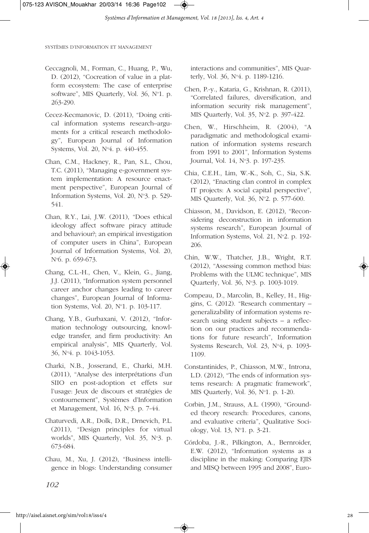- Ceccagnoli, M., Forman, C., Huang, P., Wu, D. (2012), "Cocreation of value in a platform ecosystem: The case of enterprise software", MIS Quarterly, Vol. 36, N°1. p. 263-290.
- Cecez-Kecmanovic, D. (2011), "Doing critical information systems research–arguments for a critical research methodology", European Journal of Information Systems, Vol. 20, N°4. p. 440-455.
- Chan, C.M., Hackney, R., Pan, S.L., Chou, T.C. (2011), "Managing e-government system implementation: A resource enactment perspective", European Journal of Information Systems, Vol. 20, N°3. p. 529-541.
- Chan, R.Y., Lai, J.W. (2011), "Does ethical ideology affect software piracy attitude and behaviour?; an empirical investigation of computer users in China", European Journal of Information Systems, Vol. 20, N°6. p. 659-673.
- Chang, C.L.-H., Chen, V., Klein, G., Jiang, J.J. (2011), "Information system personnel career anchor changes leading to career changes", European Journal of Information Systems, Vol. 20, N°1. p. 103-117.
- Chang, Y.B., Gurbaxani, V. (2012), "Information technology outsourcing, knowledge transfer, and firm productivity: An empirical analysis", MIS Quarterly, Vol. 36, No 4. p. 1043-1053.
- Charki, N.B., Josserand, E., Charki, M.H. (2011), "Analyse des interprétations d'un SIIO en post-adoption et effets sur l'usage: Jeux de discours et stratégies de contournement", Systèmes d'Information et Management, Vol. 16, N°3, p. 7-44.
- Chaturvedi, A.R., Dolk, D.R., Drnevich, P.L. (2011), "Design principles for virtual worlds", MIS Quarterly, Vol. 35, N°3, p. 673-684.
- Chau, M., Xu, J. (2012), "Business intelligence in blogs: Understanding consumer

interactions and communities", MIS Quarterly, Vol. 36, N°4. p. 1189-1216.

- Chen, P.-y., Kataria, G., Krishnan, R. (2011), "Correlated failures, diversification, and information security risk management", MIS Quarterly, Vol. 35, N°2. p. 397-422.
- Chen, W., Hirschheim, R. (2004), "A paradigmatic and methodological examination of information systems research from 1991 to 2001", Information Systems Journal, Vol. 14, Nº3. p. 197-235.
- Chia, C.E.H., Lim, W.-K., Soh, C., Sia, S.K. (2012), "Enacting clan control in complex IT projects: A social capital perspective", MIS Quarterly, Vol. 36, N°2. p. 577-600.
- Chiasson, M., Davidson, E. (2012), "Reconsidering deconstruction in information systems research", European Journal of Information Systems, Vol. 21, N°2. p. 192-206.
- Chin, W.W., Thatcher, J.B., Wright, R.T. (2012), "Assessing common method bias: Problems with the ULMC technique", MIS Ouarterly, Vol. 36, N°3. p. 1003-1019.
- Compeau, D., Marcolin, B., Kelley, H., Higgins, C. (2012). "Research commentary – generalizability of information systems research using student subjects – a reflection on our practices and recommendations for future research", Information Systems Research, Vol. 23,  $N^64$ , p. 1093-1109.
- Constantinides, P., Chiasson, M.W., Introna, L.D. (2012), "The ends of information systems research: A pragmatic framework", MIS Quarterly, Vol. 36, No 1. p. 1-20.
- Corbin, J.M., Strauss, A.L. (1990), "Grounded theory research: Procedures, canons, and evaluative criteria", Qualitative Sociology, Vol. 13, No 1. p. 3-21.
- Córdoba, J.-R., Pilkington, A., Bernroider, E.W. (2012), "Information systems as a discipline in the making: Comparing EJIS and MISQ between 1995 and 2008", Euro-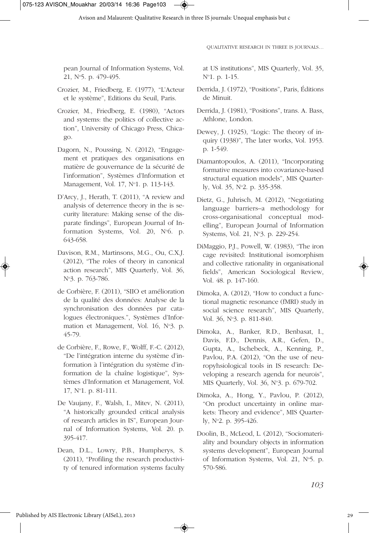pean Journal of Information Systems, Vol. 21, No 5. p. 479-495.

- Crozier, M., Friedberg, E. (1977), "L'Acteur et le système", Editions du Seuil, Paris.
- Crozier, M., Friedberg, E. (1980), "Actors and systems: the politics of collective action", University of Chicago Press, Chicago.
- Dagorn, N., Poussing, N. (2012), "Engagement et pratiques des organisations en matière de gouvernance de la sécurité de l'information", Systèmes d'Information et Management, Vol. 17, N°1. p. 113-143.
- D'Arcy, J., Herath, T. (2011), "A review and analysis of deterrence theory in the is security literature: Making sense of the disparate findings", European Journal of Information Systems, Vol. 20, N°6. p. 643-658.
- Davison, R.M., Martinsons, M.G., Ou, C.X.J. (2012), "The roles of theory in canonical action research", MIS Quarterly, Vol. 36, N<sup>o</sup>3. p. 763-786.
- de Corbière, F. (2011), "SIIO et amélioration de la qualité des données: Analyse de la synchronisation des données par catalogues électroniques.", Systèmes d'Information et Management, Vol. 16, N°3, p. 45-79.
- de Corbière, F., Rowe, F., Wolff, F.-C. (2012), "De l'intégration interne du système d'information à l'intégration du système d'information de la chaîne logistique", Systèmes d'Information et Management, Vol. 17, No 1. p. 81-111.
- De Vaujany, F., Walsh, I., Mitev, N. (2011), "A historically grounded critical analysis of research articles in IS", European Journal of Information Systems, Vol. 20. p. 395-417.
- Dean, D.L., Lowry, P.B., Humpherys, S. (2011), "Profiling the research productivity of tenured information systems faculty

◈

QUALITATIVE RESEARCH IN THREE IS JOURNALS…

at US institutions", MIS Quarterly, Vol. 35, No 1. p. 1-15.

- Derrida, J. (1972), "Positions", Paris, Éditions de Minuit.
- Derrida, J. (1981), "Positions", trans. A. Bass, Athlone, London.
- Dewey, J. (1925), "Logic: The theory of inquiry (1938)", The later works, Vol. 1953. p. 1-549.
- Diamantopoulos, A. (2011), "Incorporating formative measures into covariance-based structural equation models", MIS Quarterly, Vol. 35, N°2. p. 335-358.
- Dietz, G., Juhrisch, M. (2012), "Negotiating language barriers–a methodology for cross-organisational conceptual modelling", European Journal of Information Systems, Vol. 21, N°3, p. 229-254.
- DiMaggio, P.J., Powell, W. (1983), "The iron cage revisited: Institutional isomorphism and collective rationality in organisational fields", American Sociological Review, Vol. 48. p. 147-160.
- Dimoka, A. (2012), "How to conduct a functional magnetic resonance (fMRI) study in social science research", MIS Quarterly, Vol. 36, N°3. p. 811-840.
- Dimoka, A., Banker, R.D., Benbasat, I., Davis, F.D., Dennis, A.R., Gefen, D., Gupta, A., Ischebeck, A., Kenning, P., Pavlou, P.A. (2012), "On the use of neuropyhsiological tools in IS research: Developing a research agenda for neurois", MIS Quarterly, Vol. 36, Nº3, p. 679-702.
- Dimoka, A., Hong, Y., Pavlou, P. (2012), "On product uncertainty in online markets: Theory and evidence", MIS Quarterly, N°2, p. 395-426.
- Doolin, B., McLeod, L. (2012), "Sociomateriality and boundary objects in information systems development", European Journal of Information Systems, Vol. 21, Nº5, p. 570-586.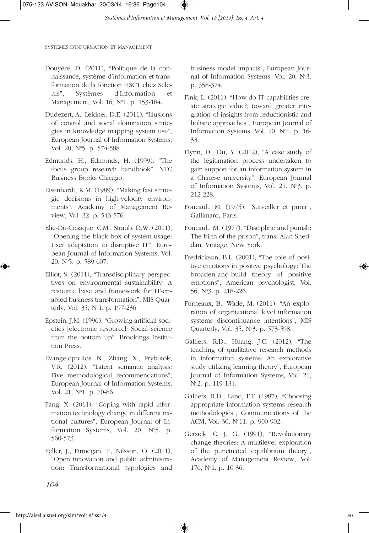- Douyère, D. (2011), "Politique de la connaissance, système d'information et transformation de la fonction HSCT chez Selenis", Systèmes d'Information et Management, Vol. 16, N°1. p. 153-184.
- Dudezert, A., Leidner, D.E. (2011), "Illusions of control and social domination strategies in knowledge mapping system use", European Journal of Information Systems, Vol. 20, N°5. p. 574-588.
- Edmunds, H., Edmonds, H. (1999). "The focus group research handbook". NTC Business Books Chicago.
- Eisenhardt, K.M. (1989), "Making fast strategic decisions in high-velocity environments", Academy of Management Review, Vol. 32. p. 543-576.
- Elie-Dit-Cosaque, C.M., Straub, D.W. (2011), "Opening the black box of system usage: User adaptation to disruptive IT", European Journal of Information Systems, Vol. 20, No 5. p. 589-607.
- Elliot, S. (2011), "Transdisciplinary perspectives on environmental sustainability: A resource base and framework for IT-enabled business transformation", MIS Quarterly, Vol. 35, N°1, p. 197-236.
- Epstein, J.M. (1996). "Growing artificial societies [electronic resource]: Social science from the bottom up". Brookings Institution Press.
- Evangelopoulos, N., Zhang, X., Prybutok, V.R. (2012), "Latent semantic analysis: Five methodological recommendations", European Journal of Information Systems, Vol. 21, N°1, p. 70-86.
- Fang, X. (2011), "Coping with rapid information technology change in different national cultures", European Journal of Information Systems, Vol. 20, N°5, p. 560-573.
- Feller, J., Finnegan, P., Nilsson, O. (2011), "Open innovation and public administration: Transformational typologies and

business model impacts", European Journal of Information Systems, Vol. 20, N°3. p. 358-374.

- Fink, L. (2011), "How do IT capabilities create strategic value?; toward greater integration of insights from reductionistic and holistic approaches", European Journal of Information Systems, Vol. 20, N°1. p. 16-33.
- Flynn, D., Du, Y. (2012), "A case study of the legitimation process undertaken to gain support for an information system in a Chinese university", European Journal of Information Systems, Vol. 21, N°3. p. 212-228.
- Foucault, M. (1975), "Surveiller et punir", Gallimard, Paris.
- Foucault, M. (1977), "Discipline and punish: The birth of the prison", trans. Alan Sheridan, Vintage, New York.
- Fredrickson, B.L. (2001), "The role of positive emotions in positive psychology: The broaden-and-build theory of positive emotions", American psychologist, Vol. 56, No 3. p. 218-226.
- Furneaux, B., Wade, M. (2011), "An exploration of organizational level information systems discontinuance intentions", MIS Quarterly, Vol. 35, No 3. p. 573-598.
- Galliers, R.D., Huang, J.C. (2012), "The teaching of qualitative research methods in information systems: An explorative study utilizing learning theory", European Journal of Information Systems, Vol. 21, No 2. p. 119-134.
- Galliers, R.D., Land, F.F. (1987), "Choosing appropriate information systems research methodologies", Communications of the ACM, Vol. 30, N°11, p. 900-902.
- Gersick, C. J. G. (1991), "Revolutionary change theories: A multilevel exploration of the punctuated equilibrium theory", Academy of Management Review, Vol. 176, No 1. p. 10-36.

*104*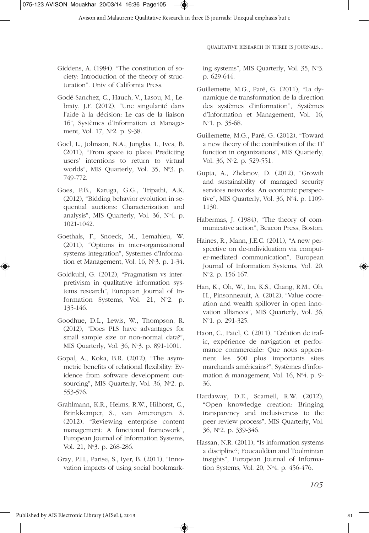- Giddens, A. (1984). "The constitution of society: Introduction of the theory of structuration". Univ of California Press.
- Godé-Sanchez, C., Hauch, V., Lasou, M., Lebraty, J.F. (2012), "Une singularité dans l'aide à la décision: Le cas de la liaison 16", Systèmes d'Information et Management, Vol. 17, N°2. p. 9-38.
- Goel, L., Johnson, N.A., Junglas, I., Ives, B. (2011), "From space to place: Predicting users' intentions to return to virtual worlds", MIS Quarterly, Vol. 35, N°3. p. 749-772.
- Goes, P.B., Karuga, G.G., Tripathi, A.K. (2012), "Bidding behavior evolution in sequential auctions: Characterization and analysis", MIS Quarterly, Vol. 36, No 4. p. 1021-1042.
- Goethals, F., Snoeck, M., Lemahieu, W. (2011), "Options in inter-organizational systems integration", Systemes d'Information et Management, Vol.  $16$ , N°3. p.  $1-34$ .
- Goldkuhl, G. (2012), "Pragmatism vs interpretivism in qualitative information systems research", European Journal of Information Systems, Vol. 21,  $N^{\circ}2$ . p. 135-146.
- Goodhue, D.L., Lewis, W., Thompson, R. (2012), "Does PLS have advantages for small sample size or non-normal data?", MIS Quarterly, Vol. 36, N°3. p. 891-1001.
- Gopal, A., Koka, B.R. (2012), "The asymmetric benefits of relational flexibility: Evidence from software development outsourcing", MIS Quarterly, Vol. 36, N°2. p. 553-576.
- Grahlmann, K.R., Helms, R.W., Hilhorst, C., Brinkkemper, S., van Amerongen, S. (2012), "Reviewing enterprise content management: A functional framework", European Journal of Information Systems, Vol. 21, N°3, p. 268-286.
- Gray, P.H., Parise, S., Iyer, B. (2011), "Innovation impacts of using social bookmark-

◈

ing systems", MIS Quarterly, Vol. 35, N°3. p. 629-644.

- Guillemette, M.G., Paré, G. (2011), "La dynamique de transformation de la direction des systèmes d'information", Systèmes d'Information et Management, Vol. 16, N°1. p. 35-68.
- Guillemette, M.G., Paré, G. (2012), "Toward a new theory of the contribution of the IT function in organizations", MIS Quarterly, Vol. 36, N°2. p. 529-551.
- Gupta, A., Zhdanov, D. (2012), "Growth and sustainability of managed security services networks: An economic perspective", MIS Quarterly, Vol. 36, N°4, p. 1109-1130.
- Habermas, J. (1984), "The theory of communicative action", Beacon Press, Boston.
- Haines, R., Mann, J.E.C. (2011), "A new perspective on de-individuation via computer-mediated communication", European Journal of Information Systems, Vol. 20, No 2. p. 156-167.
- Han, K., Oh, W., Im, K.S., Chang, R.M., Oh, H., Pinsonneault, A. (2012), "Value cocreation and wealth spillover in open innovation alliances", MIS Quarterly, Vol. 36, N<sup>o</sup>1. p. 291-325.
- Haon, C., Patel, C. (2011), "Création de trafic, expérience de navigation et performance commerciale: Que nous apprennent les 500 plus importants sites marchands américains?", Systèmes d'information & management, Vol. 16, N<sup>o</sup>4, p. 9-36.
- Hardaway, D.E., Scamell, R.W. (2012), "Open knowledge creation: Bringing transparency and inclusiveness to the peer review process", MIS Quarterly, Vol. 36, No 2. p. 339-346.
- Hassan, N.R. (2011), "Is information systems a discipline?; Foucauldian and Toulminian insights", European Journal of Information Systems, Vol. 20, No 4. p. 456-476.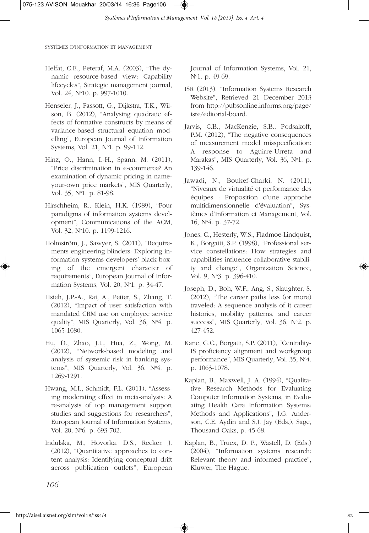- Helfat, C.E., Peteraf, M.A. (2003), "The dynamic resource based view: Capability lifecycles", Strategic management journal, Vol. 24, N°10. p. 997-1010.
- Henseler, J., Fassott, G., Dijkstra, T.K., Wilson, B. (2012), "Analysing quadratic effects of formative constructs by means of variance-based structural equation modelling", European Journal of Information Systems, Vol. 21, N°1, p. 99-112.
- Hinz, O., Hann, I.-H., Spann, M. (2011), "Price discrimination in e-commerce? An examination of dynamic pricing in nameyour-own price markets", MIS Quarterly, Vol. 35, N°1. p. 81-98.
- Hirschheim, R., Klein, H.K. (1989), "Four paradigms of information systems development", Communications of the ACM, Vol. 32, N°10. p. 1199-1216.
- Holmström, J., Sawyer, S. (2011), "Requirements engineering blinders: Exploring information systems developers' black-boxing of the emergent character of requirements", European Journal of Information Systems, Vol. 20, N°1. p. 34-47.
- Hsieh, J.P.-A., Rai, A., Petter, S., Zhang, T. (2012), "Impact of user satisfaction with mandated CRM use on employee service quality", MIS Quarterly, Vol. 36, N°4. p. 1065-1080.
- Hu, D., Zhao, J.L., Hua, Z., Wong, M. (2012), "Network-based modeling and analysis of systemic risk in banking systems", MIS Quarterly, Vol. 36, No 4. p. 1269-1291.
- Hwang, M.I., Schmidt, F.L. (2011), "Assessing moderating effect in meta-analysis: A re-analysis of top management support studies and suggestions for researchers", European Journal of Information Systems, Vol. 20, N°6, p. 693-702.
- Indulska, M., Hovorka, D.S., Recker, J. (2012), "Quantitative approaches to content analysis: Identifying conceptual drift across publication outlets", European

Journal of Information Systems, Vol. 21, N°1. p. 49-69.

- ISR (2013), "Information Systems Research Website", Retrieved 21 December 2013 from http://pubsonline.informs.org/page/ isre/editorial-board.
- Jarvis, C.B., MacKenzie, S.B., Podsakoff, P.M. (2012), "The negative consequences of measurement model misspecification: A response to Aguirre-Urreta and Marakas", MIS Quarterly, Vol. 36, N°1. p. 139-146.
- Jawadi, N., Boukef-Charki, N. (2011), "Niveaux de virtualité et performance des équipes : Proposition d'une approche multidimensionnelle d'évaluation", Systèmes d'Information et Management, Vol. 16, No 4. p. 37-72.
- Jones, C., Hesterly, W.S., Fladmoe-Lindquist, K., Borgatti, S.P. (1998), "Professional service constellations: How strategies and capabilities influence collaborative stability and change", Organization Science, Vol. 9, N°3. p. 396-410.
- Joseph, D., Boh, W.F., Ang, S., Slaughter, S. (2012), "The career paths less (or more) traveled: A sequence analysis of it career histories, mobility patterns, and career success", MIS Quarterly, Vol. 36, N°2. p. 427-452.
- Kane, G.C., Borgatti, S.P. (2011), "Centrality-IS proficiency alignment and workgroup performance", MIS Quarterly, Vol. 35, N°4. p. 1063-1078.
- Kaplan, B., Maxwell, J. A. (1994), "Qualitative Research Methods for Evaluating Computer Information Systems, in Evaluating Health Care Information Systems: Methods and Applications", J.G. Anderson, C.E. Aydin and S.J. Jay (Eds.), Sage, Thousand Oaks, p. 45-68.
- Kaplan, B., Truex, D. P., Wastell, D. (Eds.) (2004), "Information systems research: Relevant theory and informed practice", Kluwer, The Hague.

*106*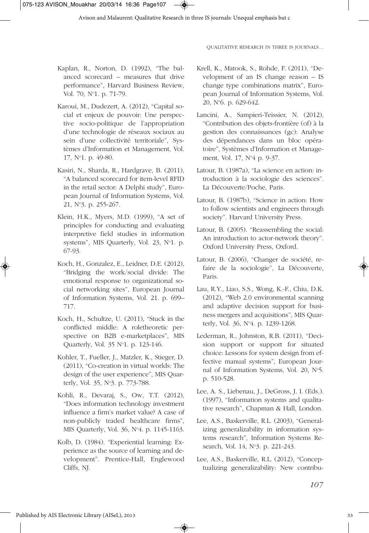- Kaplan, R., Norton, D. (1992), "The balanced scorecard – measures that drive performance", Harvard Business Review, Vol. 70, N°1. p. 71-79.
- Karoui, M., Dudezert, A. (2012), "Capital social et enjeux de pouvoir: Une perspective socio-politique de l'appropriation d'une technologie de réseaux sociaux au sein d'une collectivité territoriale", Systèmes d'Information et Management, Vol. 17, N°1, p. 49-80.
- Kasiri, N., Sharda, R., Hardgrave, B. (2011), "A balanced scorecard for item-level RFID in the retail sector: A Delphi study", European Journal of Information Systems, Vol. 21, No 3. p. 255-267.
- Klein, H.K., Myers, M.D. (1999), "A set of principles for conducting and evaluating interpretive field studies in information systems", MIS Quarterly, Vol. 23,  $N^{\circ}1$ . p. 67-93.
- Koch, H., Gonzalez, E., Leidner, D.E. (2012), "Bridging the work/social divide: The emotional response to organizational social networking sites", European Journal of Information Systems, Vol. 21. p. 699– 717.
- Koch, H., Schultze, U. (2011), "Stuck in the conflicted middle: A roletheoretic perspective on B2B e-marketplaces", MIS Quarterly, Vol. 35 No 1. p. 123-146.
- Kohler, T., Fueller, J., Matzler, K., Stieger, D. (2011), "Co-creation in virtual worlds: The design of the user experience", MIS Quarterly, Vol. 35, N°3, p. 773-788.
- Kohli, R., Devaraj, S., Ow, T.T. (2012), "Does information technology investment influence a firm's market value? A case of non-publicly traded healthcare firms", MIS Quarterly, Vol. 36, No 4. p. 1145-1163.
- Kolb, D. (1984). "Experiential learning: Experience as the source of learning and development". Prentice-Hall, Englewood Cliffs, NJ.

◈

- Krell, K., Matook, S., Rohde, F. (2011), "Development of an IS change reason – IS change type combinations matrix", European Journal of Information Systems, Vol. 20, No 6. p. 629-642.
- Lancini, A., Sampieri-Teissier, N. (2012), "Contribution des objets-frontière (of) à la gestion des connaissances (gc): Analyse des dépendances dans un bloc opératoire", Systèmes d'Information et Management, Vol. 17, N°4 p. 9-37.
- Latour, B. (1987a), "La science en action: introduction à la sociologie des sciences". La Découverte/Poche, Paris.
- Latour, B. (1987b), "Science in action: How to follow scientists and engineers through society". Harvard University Press.
- Latour, B. (2005). "Reassembling the social: An introduction to actor-network theory". Oxford University Press, Oxford.
- Latour, B. (2006), "Changer de société, refaire de la sociologie", La Découverte, Paris.
- Lau, R.Y., Liao, S.S., Wong, K.-F., Chiu, D.K. (2012), "Web 2.0 environmental scanning and adaptive decision support for business mergers and acquisitions", MIS Quarterly, Vol. 36, N°4. p. 1239-1268.
- Lederman, R., Johnston, R.B. (2011), "Decision support or support for situated choice: Lessons for system design from effective manual systems", European Journal of Information Systems, Vol. 20, N°5. p. 510-528.
- Lee, A. S., Liebenau, J., DeGross, J. I. (Eds.). (1997), "Information systems and qualitative research", Chapman & Hall, London.
- Lee, A.S., Baskerville, R.L. (2003), "Generalizing generalizability in information systems research", Information Systems Research, Vol. 14, N°3, p. 221-243.
- Lee, A.S., Baskerville, R.L. (2012), "Conceptualizing generalizability: New contribu-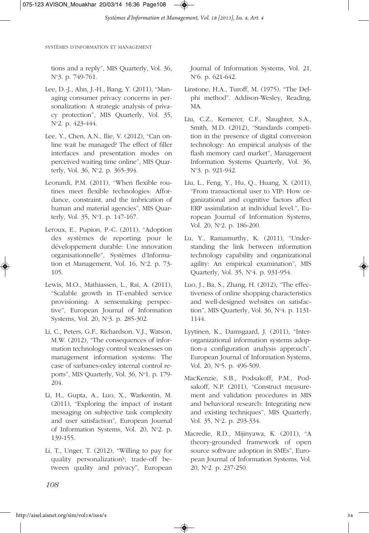tions and a reply", MIS Quarterly, Vol. 36, N°3. p. 749-761.

- Lee, D.-J., Ahn, J.-H., Bang, Y. (2011), "Managing consumer privacy concerns in personalization: A strategic analysis of privacy protection", MIS Quarterly, Vol. 35, N°2. p. 423-444.
- Lee, Y., Chen, A.N., Ilie, V. (2012), "Can online wait be managed? The effect of filler interfaces and presentation modes on perceived waiting time online", MIS Quarterly, Vol. 36, N°2. p. 365-394.
- Leonardi, P.M. (2011), "When flexible routines meet flexible technologies: Affordance, constraint, and the imbrication of human and material agencies", MIS Quarterly, Vol. 35, N°1. p. 147-167.
- Leroux, E., Pupion, P.-C. (2011), "Adoption des systèmes de reporting pour le développement durable: Une innovation organisationnelle", Systèmes d'Information et Management, Vol.  $16$ , N°2. p. 73-105.
- Lewis, M.O., Mathiassen, L., Rai, A. (2011), "Scalable growth in IT-enabled service provisioning: A sensemaking perspective", European Journal of Information Systems, Vol. 20, N°3. p. 285-302.
- Li, C., Peters, G.F., Richardson, V.J., Watson, M.W. (2012), "The consequences of information technology control weaknesses on management information systems: The case of sarbanes-oxley internal control reports", MIS Quarterly, Vol. 36, N°1, p. 179-204.
- Li, H., Gupta, A., Luo, X., Warkentin, M. (2011), "Exploring the impact of instant messaging on subjective task complexity and user satisfaction", European Journal of Information Systems, Vol. 20, N°2. p. 139-155.
- Li, T., Unger, T. (2012), "Willing to pay for quality personalization?; trade-off between quality and privacy", European

Journal of Information Systems, Vol. 21, No 6. p. 621-642.

- Linstone, H.A., Turoff, M. (1975). "The Delphi method". Addison-Wesley, Reading, MA.
- Liu, C.Z., Kemerer, C.F., Slaughter, S.A., Smith, M.D. (2012), "Standards competition in the presence of digital conversion technology: An empirical analysis of the flash memory card market", Management Information Systems Quarterly, Vol. 36, N°3. p. 921-942.
- Liu, L., Feng, Y., Hu, Q., Huang, X. (2011), "From transactional user to VIP: How organizational and cognitive factors affect ERP assimilation at individual level.", European Journal of Information Systems, Vol. 20, N°2. p. 186-200.
- Lu, Y., Ramamurthy, K. (2011), "Understanding the link between information technology capability and organizational agility: An empirical examination", MIS Quarterly, Vol. 35, No 4. p. 931-954.
- Luo, J., Ba, S., Zhang, H. (2012), "The effectiveness of online shopping characteristics and well-designed websites on satisfaction", MIS Quarterly, Vol. 36, No 4. p. 1131- 1144.
- Lyytinen, K., Damsgaard, J. (2011), "Interorganizational information systems adoption-a configuration analysis approach", European Journal of Information Systems, Vol. 20, N°5. p. 496-509.
- MacKenzie, S.B., Podsakoff, P.M., Podsakoff, N.P. (2011), "Construct measurement and validation procedures in MIS and behavioral research: Integrating new and existing techniques", MIS Quarterly, Vol. 35, N°2, p. 293-334.
- Macredie, R.D., Mijinyawa, K. (2011), "A theory-grounded framework of open source software adoption in SMEs", European Journal of Information Systems, Vol. 20, No 2. p. 237-250.

*108*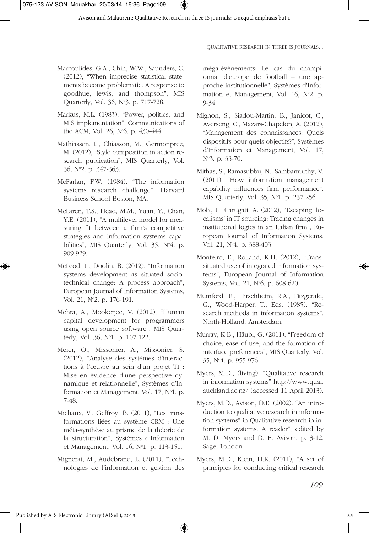- Marcoulides, G.A., Chin, W.W., Saunders, C. (2012), "When imprecise statistical statements become problematic: A response to goodhue, lewis, and thompson", MIS Quarterly, Vol. 36, N°3. p. 717-728.
- Markus, M.L. (1983), "Power, politics, and MIS implementation", Communications of the ACM, Vol. 26, N°6. p. 430-444.
- Mathiassen, L., Chiasson, M., Germonprez, M. (2012), "Style composition in action research publication", MIS Quarterly, Vol. 36, No 2. p. 347-363.
- McFarlan, F.W. (1984). "The information systems research challenge". Harvard Business School Boston, MA.
- McLaren, T.S., Head, M.M., Yuan, Y., Chan, Y.E. (2011), "A multilevel model for measuring fit between a firm's competitive strategies and information systems capabilities", MIS Quarterly, Vol. 35, N°4. p. 909-929.
- McLeod, L., Doolin, B. (2012), "Information systems development as situated sociotechnical change: A process approach", European Journal of Information Systems, Vol. 21, N°2. p. 176-191.
- Mehra, A., Mookerjee, V. (2012), "Human capital development for programmers using open source software", MIS Quarterly, Vol. 36, N°1, p. 107-122.
- Meier, O., Missonier, A., Missonier, S. (2012), "Analyse des systèmes d'interactions à l'œuvre au sein d'un projet TI : Mise en évidence d'une perspective dynamique et relationnelle", Systèmes d'Information et Management, Vol. 17, N°1, p. 7-48.
- Michaux, V., Geffroy, B. (2011), "Les transformations liées au système CRM : Une méta-synthèse au prisme de la théorie de la structuration", Systèmes d'Information et Management, Vol. 16, N°1, p. 113-151.
- Mignerat, M., Audebrand, L. (2011), "Technologies de l'information et gestion des

◈

méga-événements: Le cas du championnat d'europe de football – une approche institutionnelle", Systèmes d'Information et Management, Vol. 16, N°2. p. 9-34.

- Mignon, S., Siadou-Martin, B., Janicot, C., Averseng, C., Mazars-Chapelon, A. (2012), "Management des connaissances: Quels dispositifs pour quels objectifs?", Systèmes d'Information et Management, Vol. 17, No 3. p. 33-70.
- Mithas, S., Ramasubbu, N., Sambamurthy, V. (2011), "How information management capability influences firm performance", MIS Quarterly, Vol. 35, Nº1. p. 237-256.
- Mola, L., Carugati, A. (2012), "Escaping 'localisms' in IT sourcing: Tracing changes in institutional logics in an Italian firm", European Journal of Information Systems, Vol. 21, N<sup>o</sup>4. p. 388-403.
- Monteiro, E., Rolland, K.H. (2012), "Transsituated use of integrated information systems", European Journal of Information Systems, Vol. 21, N°6. p. 608-620.
- Mumford, E., Hirschheim, R.A., Fitzgerald, G., Wood-Harper, T., Eds. (1985). "Research methods in information systems". North-Holland, Amsterdam.
- Murray, K.B., Häubl, G. (2011), "Freedom of choice, ease of use, and the formation of interface preferences", MIS Quarterly, Vol. 35, No 4. p. 955-976.
- Myers, M.D., (living). "Qualitative research in information systems" http://www.qual. auckland.ac.nz/ (accessed 11 April 2013).
- Myers, M.D., Avison, D.E. (2002). "An introduction to qualitative research in information systems" in Qualitative research in information systems: A reader", edited by M. D. Myers and D. E. Avison, p. 3-12. Sage, London.
- Myers, M.D., Klein, H.K. (2011), "A set of principles for conducting critical research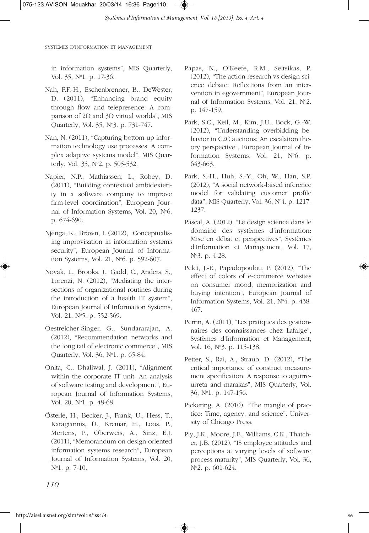in information systems", MIS Quarterly, Vol. 35, N°1. p. 17-36.

- Nah, F.F.-H., Eschenbrenner, B., DeWester, D. (2011), "Enhancing brand equity through flow and telepresence: A comparison of 2D and 3D virtual worlds", MIS Quarterly, Vol. 35, N°3. p. 731-747.
- Nan, N. (2011), "Capturing bottom-up information technology use processes: A complex adaptive systems model", MIS Quarterly, Vol. 35, N°2. p. 505-532.
- Napier, N.P., Mathiassen, L., Robey, D. (2011), "Building contextual ambidexterity in a software company to improve firm-level coordination", European Journal of Information Systems, Vol. 20, N°6. p. 674-690.
- Njenga, K., Brown, I. (2012), "Conceptualising improvisation in information systems security", European Journal of Information Systems, Vol. 21, No 6. p. 592-607.
- Novak, L., Brooks, J., Gadd, C., Anders, S., Lorenzi, N. (2012), "Mediating the intersections of organizational routines during the introduction of a health IT system", European Journal of Information Systems, Vol. 21, N°5, p. 552-569.
- Oestreicher-Singer, G., Sundararajan, A. (2012), "Recommendation networks and the long tail of electronic commerce", MIS Quarterly, Vol. 36, No 1. p. 65-84.
- Onita, C., Dhaliwal, J. (2011), "Alignment within the corporate IT unit: An analysis of software testing and development", European Journal of Information Systems, Vol. 20, N°1, p. 48-68.
- Österle, H., Becker, J., Frank, U., Hess, T., Karagiannis, D., Krcmar, H., Loos, P., Mertens, P., Oberweis, A., Sinz, E.J. (2011), "Memorandum on design-oriented information systems research", European Journal of Information Systems, Vol. 20, No 1. p. 7-10.
- Papas, N., O'Keefe, R.M., Seltsikas, P. (2012), "The action research vs design science debate: Reflections from an intervention in egovernment", European Journal of Information Systems, Vol. 21, N°2. p. 147-159.
- Park, S.C., Keil, M., Kim, J.U., Bock, G.-W. (2012), "Understanding overbidding behavior in C2C auctions: An escalation theory perspective", European Journal of Information Systems, Vol. 21, N°6. p. 643-663.
- Park, S.-H., Huh, S.-Y., Oh, W., Han, S.P. (2012), "A social network-based inference model for validating customer profile data", MIS Quarterly, Vol. 36, No 4. p. 1217- 1237.
- Pascal, A. (2012), "Le design science dans le domaine des systèmes d'information: Mise en débat et perspectives", Systèmes d'Information et Management, Vol. 17, No 3. p. 4-28.
- Pelet, J.-É., Papadopoulou, P. (2012), "The effect of colors of e-commerce websites on consumer mood, memorization and buying intention", European Journal of Information Systems, Vol. 21, N°4. p. 438-467.
- Perrin, A. (2011), "Les pratiques des gestionnaires des connaissances chez Lafarge", Systèmes d'Information et Management, Vol. 16, N°3. p. 115-138.
- Petter, S., Rai, A., Straub, D. (2012), "The critical importance of construct measurement specification: A response to aguirreurreta and marakas", MIS Quarterly, Vol. 36, No 1. p. 147-156.
- Pickering, A. (2010). "The mangle of practice: Time, agency, and science". University of Chicago Press.
- Ply, J.K., Moore, J.E., Williams, C.K., Thatcher, J.B. (2012), "IS employee attitudes and perceptions at varying levels of software process maturity", MIS Quarterly, Vol. 36, No 2. p. 601-624.

*110*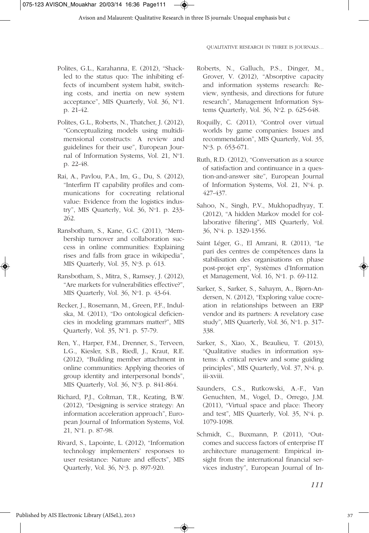- Polites, G.L., Karahanna, E. (2012), "Shackled to the status quo: The inhibiting effects of incumbent system habit, switching costs, and inertia on new system acceptance", MIS Quarterly, Vol. 36, N°1. p. 21-42.
- Polites, G.L., Roberts, N., Thatcher, J. (2012), "Conceptualizing models using multidimensional constructs: A review and guidelines for their use", European Journal of Information Systems, Vol. 21, N°1. p. 22-48.
- Rai, A., Pavlou, P.A., Im, G., Du, S. (2012), "Interfirm IT capability profiles and communications for cocreating relational value: Evidence from the logistics industry", MIS Quarterly, Vol. 36, No 1. p. 233- 262.
- Ransbotham, S., Kane, G.C. (2011), "Membership turnover and collaboration success in online communities: Explaining rises and falls from grace in wikipedia", MIS Quarterly, Vol. 35, N°3. p. 613.
- Ransbotham, S., Mitra, S., Ramsey, J. (2012), "Are markets for vulnerabilities effective?", MIS Quarterly, Vol. 36, N°1, p. 43-64.
- Recker, J., Rosemann, M., Green, P.F., Indulska, M. (2011), "Do ontological deficiencies in modeling grammars matter?", MIS Quarterly, Vol. 35, No 1. p. 57-79.
- Ren, Y., Harper, F.M., Drenner, S., Terveen, L.G., Kiesler, S.B., Riedl, J., Kraut, R.E. (2012), "Building member attachment in online communities: Applying theories of group identity and interpersonal bonds", MIS Quarterly, Vol. 36, N°3, p. 841-864.
- Richard, P.J., Coltman, T.R., Keating, B.W. (2012), "Designing is service strategy: An information acceleration approach", European Journal of Information Systems, Vol. .<br>21, №1. p. 87-98.
- Rivard, S., Lapointe, L. (2012), "Information technology implementers' responses to user resistance: Nature and effects", MIS Quarterly, Vol. 36, No 3. p. 897-920.

◈

- Roberts, N., Galluch, P.S., Dinger, M., Grover, V. (2012), "Absorptive capacity and information systems research: Review, synthesis, and directions for future research", Management Information Systems Quarterly, Vol.  $36$ , N°2. p.  $625-648$ .
- Roquilly, C. (2011), "Control over virtual worlds by game companies: Issues and recommendation", MIS Quarterly, Vol. 35, N°3. p. 653-671.
- Ruth, R.D. (2012), "Conversation as a source of satisfaction and continuance in a question-and-answer site", European Journal of Information Systems, Vol. 21, N°4. p. 427-437.
- Sahoo, N., Singh, P.V., Mukhopadhyay, T. (2012), "A hidden Markov model for collaborative filtering", MIS Quarterly, Vol. 36, No 4. p. 1329-1356.
- Saint Léger, G., El Amrani, R. (2011), "Le pari des centres de compétences dans la stabilisation des organisations en phase post-projet erp", Systèmes d'Information et Management, Vol. 16, N°1. p. 69-112.
- Sarker, S., Sarker, S., Sahaym, A., Bjørn-Andersen, N. (2012), "Exploring value cocreation in relationships between an ERP vendor and its partners: A revelatory case study", MIS Quarterly, Vol. 36, N°1, p. 317-338.
- Sarker, S., Xiao, X., Beaulieu, T. (2013), "Qualitative studies in information systems: A critical review and some guiding principles", MIS Quarterly, Vol. 37, N°4. p. iii-xviii.
- Saunders, C.S., Rutkowski, A.-F., Van Genuchten, M., Vogel, D., Orrego, J.M. (2011), "Virtual space and place: Theory and test", MIS Quarterly, Vol. 35, N°4, p. 1079-1098.
- Schmidt, C., Buxmann, P. (2011), "Outcomes and success factors of enterprise IT architecture management: Empirical insight from the international financial services industry", European Journal of In-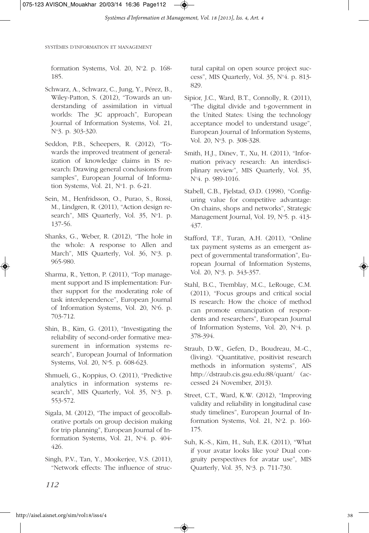formation Systems, Vol. 20,  $N^{\circ}$ 2. p. 168-185.

- Schwarz, A., Schwarz, C., Jung, Y., Pérez, B., Wiley-Patton, S. (2012), "Towards an understanding of assimilation in virtual worlds: The 3C approach", European Journal of Information Systems, Vol. 21, N°3. p. 303-320.
- Seddon, P.B., Scheepers, R. (2012), "Towards the improved treatment of generalization of knowledge claims in IS research: Drawing general conclusions from samples", European Journal of Information Systems, Vol. 21, N°1. p. 6-21.
- Sein, M., Henfridsson, O., Purao, S., Rossi, M., Lindgren, R. (2011), "Action design research", MIS Quarterly, Vol. 35, N°1. p. 137-56.
- Shanks, G., Weber, R. (2012), "The hole in the whole: A response to Allen and March", MIS Quarterly, Vol. 36, N°3. p. 965-980.
- Sharma, R., Yetton, P. (2011), "Top management support and IS implementation: Further support for the moderating role of task interdependence", European Journal of Information Systems, Vol. 20, N°6. p. 703-712.
- Shin, B., Kim, G. (2011), "Investigating the reliability of second-order formative measurement in information systems research", European Journal of Information Systems, Vol. 20, N°5. p. 608-623.
- Shmueli, G., Koppius, O. (2011), "Predictive analytics in information systems research", MIS Quarterly, Vol. 35, N°3, p. 553-572.
- Sigala, M. (2012), "The impact of geocollaborative portals on group decision making for trip planning", European Journal of Information Systems, Vol. 21, N°4, p. 404-426.
- Singh, P.V., Tan, Y., Mookerjee, V.S. (2011), "Network effects: The influence of struc-

tural capital on open source project success", MIS Quarterly, Vol. 35, No 4. p. 813- 829.

- Sipior, J.C., Ward, B.T., Connolly, R. (2011), "The digital divide and t-government in the United States: Using the technology acceptance model to understand usage", European Journal of Information Systems, Vol. 20, N°3. p. 308-328.
- Smith, H.J., Dinev, T., Xu, H. (2011), "Information privacy research: An interdisciplinary review", MIS Quarterly, Vol. 35, N°4. p. 989-1016.
- Stabell, C.B., Fjelstad, Ø.D. (1998), "Configuring value for competitive advantage: On chains, shops and networks", Strategic Management Journal, Vol. 19, N°5. p. 413-437.
- Stafford, T.F., Turan, A.H. (2011), "Online tax payment systems as an emergent aspect of governmental transformation", European Journal of Information Systems, Vol. 20, N°3. p. 343-357.
- Stahl, B.C., Tremblay, M.C., LeRouge, C.M. (2011), "Focus groups and critical social IS research: How the choice of method can promote emancipation of respondents and researchers", European Journal of Information Systems, Vol. 20, No 4. p. 378-394.
- Straub, D.W., Gefen, D., Boudreau, M.-C., (living). "Quantitative, positivist research methods in information systems", AIS http://dstraub.cis.gsu.edu:88/quant/ (accessed 24 November, 2013).
- Street, C.T., Ward, K.W. (2012), "Improving validity and reliability in longitudinal case study timelines", European Journal of Information Systems, Vol. 21,  $N^{\circ}$ 2, p. 160-175.
- Suh, K.-S., Kim, H., Suh, E.K. (2011), "What if your avatar looks like you? Dual congruity perspectives for avatar use", MIS Quarterly, Vol. 35, No 3. p. 711-730.

*112*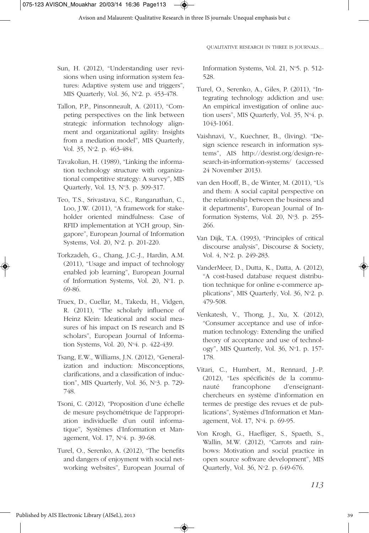

- Sun, H. (2012), "Understanding user revisions when using information system features: Adaptive system use and triggers", MIS Quarterly, Vol. 36, N°2. p. 453-478.
- Tallon, P.P., Pinsonneault, A. (2011), "Competing perspectives on the link between strategic information technology alignment and organizational agility: Insights from a mediation model", MIS Quarterly, Vol. 35, N°2. p. 463-484.
- Tavakolian, H. (1989), "Linking the information technology structure with organizational competitive strategy: A survey", MIS Quarterly, Vol. 13, Nº3. p. 309-317.
- Teo, T.S., Srivastava, S.C., Ranganathan, C., Loo, J.W. (2011), "A framework for stakeholder oriented mindfulness: Case of RFID implementation at YCH group, Singapore", European Journal of Information Systems, Vol. 20, N°2. p. 201-220.
- Torkzadeh, G., Chang, J.C.-J., Hardin, A.M. (2011), "Usage and impact of technology enabled job learning", European Journal of Information Systems, Vol. 20, N°1. p. 69-86.
- Truex, D., Cuellar, M., Takeda, H., Vidgen, R. (2011), "The scholarly influence of Heinz Klein: Ideational and social measures of his impact on IS research and IS scholars", European Journal of Information Systems, Vol. 20, No 4. p. 422-439.
- Tsang, E.W., Williams, J.N. (2012), "Generalization and induction: Misconceptions, clarifications, and a classification of induction", MIS Quarterly, Vol. 36, No 3. p. 729- 748.
- Tsoni, C. (2012), "Proposition d'une échelle de mesure psychométrique de l'appropriation individuelle d'un outil informatique", Systèmes d'Information et Management, Vol. 17, No 4. p. 39-68.
- Turel, O., Serenko, A. (2012), "The benefits and dangers of enjoyment with social networking websites", European Journal of

◈

Information Systems, Vol. 21, N°5. p. 512-528.

- Turel, O., Serenko, A., Giles, P. (2011), "Integrating technology addiction and use: An empirical investigation of online auction users", MIS Quarterly, Vol. 35, No 4. p. 1043-1061.
- Vaishnavi, V., Kuechner, B., (living). "Design science research in information systems", AIS http://desrist.org/design-research-in-information-systems/ (accessed 24 November 2013).
- van den Hooff, B., de Winter, M. (2011), "Us and them: A social capital perspective on the relationship between the business and it departments", European Journal of Information Systems, Vol. 20, N°3. p. 255-266.
- Van Dijk, T.A. (1993), "Principles of critical discourse analysis", Discourse & Society, Vol. 4, N°2. p. 249-283.
- VanderMeer, D., Dutta, K., Datta, A. (2012), "A cost-based database request distribution technique for online e-commerce applications", MIS Quarterly, Vol. 36, N°2. p. 479-508.
- Venkatesh, V., Thong, J., Xu, X. (2012), "Consumer acceptance and use of information technology: Extending the unified theory of acceptance and use of technology", MIS Quarterly, Vol. 36, No 1. p. 157- 178.
- Vitari, C., Humbert, M., Rennard, J.-P. (2012), "Les spécificités de la communauté francophone d'enseignantchercheurs en système d'information en termes de prestige des revues et de publications", Systèmes d'Information et Management, Vol. 17, No 4. p. 69-95.
- Von Krogh, G., Haefliger, S., Spaeth, S., Wallin, M.W. (2012), "Carrots and rainbows: Motivation and social practice in open source software development", MIS Quarterly, Vol. 36, No 2. p. 649-676.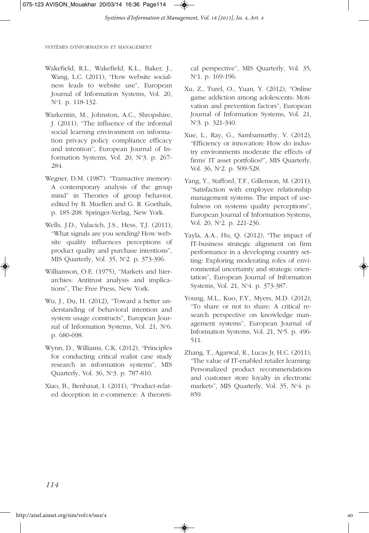- Wakefield, R.L., Wakefield, K.L., Baker, J., Wang, L.C. (2011), "How website socialness leads to website use", European Journal of Information Systems, Vol. 20, No 1. p. 118-132.
- Warkentin, M., Johnston, A.C., Shropshire, J. (2011), "The influence of the informal social learning environment on information privacy policy compliance efficacy and intention", European Journal of Information Systems, Vol. 20,  $N^{\circ}3$ , p. 267-284.
- Wegner, D.M. (1987). "Transactive memory: A contemporary analysis of the group mind" in Theories of group behavior, edited by B. Muellen and G. R. Goethals, p. 185-208. Springer-Verlag, New York.
- Wells, J.D., Valacich, J.S., Hess, T.J. (2011), "What signals are you sending? How website quality influences perceptions of product quality and purchase intentions", MIS Quarterly, Vol. 35, N°2. p. 373-396.
- Williamson, O.E. (1975), "Markets and hierarchies: Antitrust analysis and implications", The Free Press, New York.
- Wu, J., Du, H. (2012), "Toward a better understanding of behavioral intention and system usage constructs", European Journal of Information Systems, Vol. 21, N°6. p. 680-698.
- Wynn, D., Williams, C.K. (2012), "Principles for conducting critical realist case study research in information systems", MIS Quarterly, Vol. 36, No 3. p. 787-810.
- Xiao, B., Benbasat, I. (2011), "Product-related deception in e-commerce: A theoreti-

cal perspective", MIS Quarterly, Vol. 35, N°1. p. 169-196.

- Xu, Z., Turel, O., Yuan, Y. (2012), "Online game addiction among adolescents: Motivation and prevention factors", European Journal of Information Systems, Vol. 21, N°3. p. 321-340.
- Xue, L., Ray, G., Sambamurthy, V. (2012), "Efficiency or innovation: How do industry environments moderate the effects of firms' IT asset portfolios?", MIS Quarterly, Vol. 36, N°2. p. 509-528.
- Yang, Y., Stafford, T.F., Gillenson, M. (2011), "Satisfaction with employee relationship management systems: The impact of usefulness on systems quality perceptions", European Journal of Information Systems, Vol. 20, N°2. p. 221-236.
- Yayla, A.A., Hu, Q. (2012), "The impact of IT-business strategic alignment on firm performance in a developing country setting: Exploring moderating roles of environmental uncertainty and strategic orientation", European Journal of Information Systems, Vol. 21, No 4. p. 373-387.
- Young, M.L., Kuo, F.Y., Myers, M.D. (2012), "To share or not to share: A critical research perspective on knowledge management systems", European Journal of Information Systems, Vol. 21, N°5, p. 496-511.
- Zhang, T., Agarwal, R., Lucas Jr, H.C. (2011), "The value of IT-enabled retailer learning: Personalized product recommendations and customer store loyalty in electronic markets", MIS Quarterly, Vol. 35, N°4. p. 859.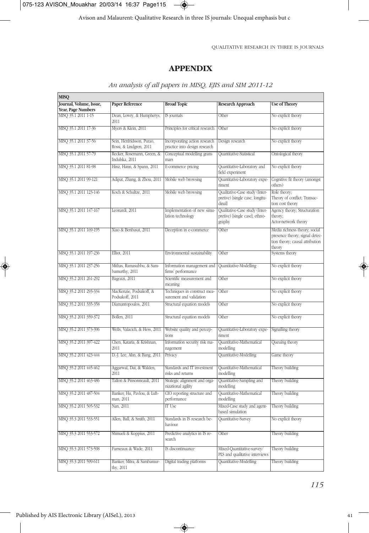075-123 AVISON\_Mouakhar 20/03/14 16:37 Page115

 $\overline{\bullet}$ 

Avison and Malaurent: Qualitative Research in three IS journals: Unequal emphasis but c

QUALITATIVE RESEARCH IN THREE IS JOURNALS

## **APPENDIX**

| <b>MISQ</b>                               |                                                      |                                                                |                                                                             |                                                                                                              |
|-------------------------------------------|------------------------------------------------------|----------------------------------------------------------------|-----------------------------------------------------------------------------|--------------------------------------------------------------------------------------------------------------|
| Journal, Volume, Issue,                   | <b>Paper Reference</b>                               | <b>Broad Topic</b>                                             | <b>Research Approach</b>                                                    | <b>Use of Theory</b>                                                                                         |
| Year, Page Numbers<br>MISQ 35.1 2011 1-15 | Dean, Lowry, & Humpherys,                            | IS journals                                                    | Other                                                                       | No explicit theory                                                                                           |
|                                           | 2011                                                 |                                                                |                                                                             |                                                                                                              |
| MISQ 35.1 2011 17-36                      | Myers & Klein, 2011                                  | Principles for critical research                               | Other                                                                       | No explicit theory                                                                                           |
| MISQ 35.1 2011 37-56                      | Sein, Henfridsson, Purao,<br>Rossi, & Lindgren, 2011 | Incorporating action research<br>practice into design research | Design research                                                             | No explicit theory                                                                                           |
| MISO 35.1 2011 57-79                      | Recker, Rosemann, Green, &<br>Indulska, 2011         | Conceptual modelling gram-<br>mars                             | Quantitative-Statistical                                                    | Ontological theory                                                                                           |
| MISQ 35.1 2011 81-98                      | Hinz, Hann, & Spann, 2011                            | E-commerce pricing                                             | Quantitative-Laboratory and<br>field experiment                             | No explicit theory                                                                                           |
| MISQ 35.1 2011 99-121                     | Adipat, Zhang, & Zhou, 2011                          | Mobile web browsing                                            | Quantitative-Laboratory expe-<br>riment                                     | Cognitive fit theory (amongst<br>others)                                                                     |
| MISO 35.1 2011 123-146                    | Koch & Schultze, 2011                                | Mobile web browsing                                            | Qualitative-Case study (Inter-<br>pretive) [single case, longitu-<br>dinall | Role theory:<br>Theory of conflict; Transac-<br>tion cost theory                                             |
| MISQ 35.1 2011 147-167                    | Leonardi, 2011                                       | Implementation of new simu-<br>lation technology               | Qualitative-Case study (Inter-<br>pretive) [single case]; ethno-<br>graphy  | Agency theory; Structuration<br>theory;<br>Actor-network theory                                              |
| MISQ 35.1 2011 169-195                    | Xiao & Benbasat, 2011                                | Deception in e-commerce                                        | Other                                                                       | Media richness theory; social<br>presence theory; signal detec-<br>tion theory; causal attribution<br>theory |
| MISQ 35.1 2011 197-236                    | <b>Elliot</b> , 2011                                 | Environmental sustainability                                   | Other                                                                       | Systems theory                                                                                               |
| MISQ 35.1 2011 237-256                    | Mithas, Ramasubbu, & Sam-<br>bamurthy, 2011          | Information management and<br>firms' performance               | Quantitative-Modelling                                                      | No explicit theory                                                                                           |
| MISQ 35.2 2011 261-292                    | Bagozzi, 2011                                        | Scientific measurement and<br>meaning                          | Other                                                                       | No explicit theory                                                                                           |
| MISQ 35.2 2011 293-334                    | MacKenzie, Podsakoff, &<br>Podsakoff, 2011           | Techniques in construct mea-<br>surement and validation        | Other                                                                       | No explicit theory                                                                                           |
| MISQ 35.2 2011 335-358                    | Diamantopoulos, 2011                                 | Structural equation models                                     | Other                                                                       | No explicit theory                                                                                           |
| MISQ 35.2 2011 359-372                    | <b>Bollen, 2011</b>                                  | Structural equation models                                     | Other                                                                       | No explicit theory                                                                                           |
| MISQ 35.2 2011 373-396                    | Wells, Valacich, & Hess, 2011                        | Website quality and percep-<br>tions                           | Quantitative-Laboratory expe-<br>riment                                     | Signalling theory                                                                                            |
| MISQ 35.2 2011 397-422                    | Chen, Kataria, & Krishnan,<br>2011                   | Information security risk ma-<br>nagement                      | Quantitative-Mathematical<br>modelling                                      | Queuing theory                                                                                               |
| MISQ 35.2 2011 423-444                    | D.-J. Lee, Ahn, & Bang, 2011                         | Privacy                                                        | Quantitative-Modelling                                                      | Game theory                                                                                                  |
| MISO 35.2 2011 445-462                    | Aggarwal, Dai, & Walden,<br>2011                     | Standards and IT investment<br>risks and returns               | Quantitative-Mathematical<br>modelling                                      | Theory building                                                                                              |
| MISQ 35.2 2011 463-486                    | Tallon & Pinsonneault, 2011                          | Strategic alignment and orga-<br>nizational agility            | Quantitative-Sampling and<br>modelling                                      | Theory building                                                                                              |
| MISQ 35.2 2011 487-504                    | Banker, Hu, Pavlou, & Luft-<br>man, 2011             | CIO reporting structure and<br>performance                     | Quantitative-Mathematical<br>modelling                                      | Theory building                                                                                              |
| MISQ 35.2 2011 505-532                    | Nan, 2011                                            | <b>IT</b> Use                                                  | Mixed-Case study and agent-<br>based simulation                             | Theory building                                                                                              |
| MISQ 35.3 2011 533-551                    | Allen, Ball, & Smith, 2011                           | Standards in IS research be-<br>haviour                        | Quantitative-Survey                                                         | No explicit theory                                                                                           |
| MISQ 35.3 2011 553-572                    | Shmueli & Koppius, 2011                              | Predictive analytics in IS re-<br>search                       | Other                                                                       | Theory building                                                                                              |
| MISQ 35.3 2011 573-598                    | Furneaux & Wade, 2011                                | IS discontinuance                                              | Mixed-Quantitative-survey/<br>PLS and qualitative interviews                | Theory building                                                                                              |
| MISQ 35.3 2011 599-611                    | Banker, Mitra, & Sambamur-<br>thy, 2011              | Digital trading platforms                                      | Quantitative-Modelling                                                      | Theory building                                                                                              |

 $\color{red} \blacklozenge$ 

## *An analysis of all papers in MISQ, EJIS and SIM 2011-12*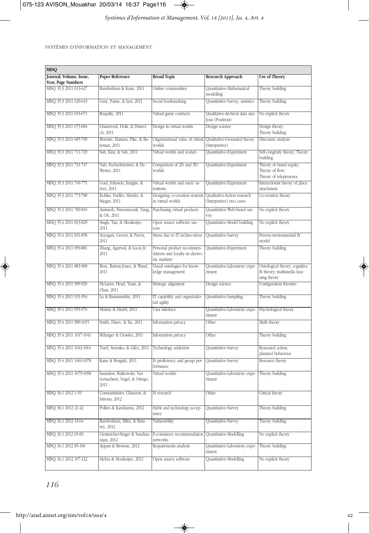

÷,

SYSTÈMES D'INFORMATION ET MANAGEMENT

| <b>MISQ</b>                                   |                                                                 |                                                                              |                                                         |                                                                              |
|-----------------------------------------------|-----------------------------------------------------------------|------------------------------------------------------------------------------|---------------------------------------------------------|------------------------------------------------------------------------------|
| Journal, Volume, Issue,<br>Year, Page Numbers | <b>Paper Reference</b>                                          | <b>Broad Topic</b>                                                           | <b>Research Approach</b>                                | <b>Use of Theory</b>                                                         |
| MISO 35.3 2011 613-627                        | Ransbotham & Kane, 2011                                         | Online communities                                                           | Quantitative-Mathematical<br>modelling                  | Theory building                                                              |
| MISQ 35.3 2011 629-643                        | Gray, Parise, & Iyer, 2011                                      | Social bookmarking                                                           | Quantitative-Survey, statistics                         | Theory building                                                              |
| MISQ 35.3 2011 653-671                        | Roquilly, 2011                                                  | Virtual game contracts                                                       | Qualitative-Archival data ana-<br>lysis (Positivist)    | No explicit theory                                                           |
| MISQ 35.3 2011 673-684                        | Chaturvedi, Dolk, & Drnevi-<br>ch, 2011                         | Design in virtual worlds                                                     | Design science                                          | Design theory;<br>Theory building                                            |
| MISQ 35.3 2011 685-709                        | Berente, Hansen, Pike, & Ba-<br>teman, 2011                     | Organizational value of virtua<br>worlds                                     | Qualitative-Grounded theory<br>(Interpretive)           | Discourse analysis                                                           |
| MISO 35.3 2011 711-729                        | Suh, Kim, & Suh, 2011                                           | Virtual worlds and avatars                                                   | Quantitative-Experiment                                 | Self-congruity theory; Theory<br>building                                    |
| MISO 35.3 2011 731-747                        | Nah, Eschenbrenner, & De-<br>Wester, 2011                       | Comparison of 2D and 3D<br>worlds                                            | Quantitative-Experiment                                 | Theory of brand equity;<br>Theory of flow;<br>Theory of telepresence         |
| MISQ 35.3 2011 749-771                        | Goel, Johnson, Junglas, &<br>Ives, 2011                         | Virtual worlds and users' in-<br>tentions                                    | Quantitative-Experiment                                 | Interactionist theory of place<br>attachment                                 |
| MISQ 35.3 2011 773-788                        | Kohler, Fueller, Matzler, &<br>Stieger, 2011                    | Designing co-creation systems<br>in virtual worlds                           | Qualitative-Action research<br>(Interpretive) two cases | Co-creation theory                                                           |
| MISQ 35.3 2011 789-810                        | Animesh, Pinsonneault, Yang,<br>& Oh, 2011                      | Purchasing virtual products                                                  | Quantitative-Web-based sur-<br>vev                      | No explicit theory                                                           |
| MISQ 35.4 2011 813-829                        | Singh, Tan, & Mookerjee,<br>2011                                | Open source software suc-<br>cess                                            | Quantitative-Model building                             | No explicit theory                                                           |
| MISQ 35.4 2011 831-858                        | Ayyagari, Grover, & Purvis,<br>2011                             | Stress due to IT techno-stress                                               | Quantitative-Survey                                     | Person-environmental fit<br>model                                            |
| MISQ 35.4 2011 859-881                        | Zhang, Agarwal, & Lucas Jr,<br>2011                             | Personal product recommen-<br>dations and loyalty in electro-<br>nic markets | Quantitative-Experiment                                 | Theory building                                                              |
| MISQ 35.4 2011 883-908                        | Bera, Burton-Jones, & Wand,<br>2011                             | Visual ontologies for know-<br>ledge management                              | Quantitative-Laboratory expe-<br>riment                 | Ontological theory; cognitive<br>fit theory; multimedia lear-<br>ning theory |
| MISQ 35.4 2011 909-929                        | McLaren, Head, Yuan, &<br>Chan, 2011                            | Strategic alignment                                                          | Design science                                          | Configuration theories                                                       |
| MISQ 35.4 2011 931-954                        | Lu & Ramamurthy, 2011                                           | IT capability and organizatio-<br>nal agility                                | Quantitative-Sampling                                   | Theory building                                                              |
| MISQ 35.4 2011 955-976                        | Murray & Häubl, 2011                                            | User interface                                                               | Quantitative-Laboratory expe-<br>riment                 | Psychological theory                                                         |
| MISQ 35.4 2011 989-1015                       | Smith, Dinev, & Xu, 2011                                        | Information privacy                                                          | Other                                                   | Multi theory                                                                 |
| MISQ 35.4 2011 1017-1041                      | Bélanger & Crossler, 2011                                       | Information privacy                                                          | Other                                                   | Theory building                                                              |
| MISQ 35.4 2011 1043-1061                      | Turel, Serenko, & Giles, 2011                                   | Technology addiction                                                         | Quantitative-Survey                                     | Reasoned action;<br>planned behaviour                                        |
| MISO 35.4 2011 1063-1078                      | Kane & Borgatti, 2011                                           | IS proficiency and group per-<br>formance                                    | Quantitative-Survey                                     | Resource theory                                                              |
| MISQ 35.4 2011 1079-1098                      | Saunders, Rutkowski, Van<br>Genuchten, Vogel, & Orrego,<br>2011 | Virtual worlds                                                               | Quantitative-Laboratory expe-<br>riment                 | Theory building                                                              |
| MISQ 36.1 2012 1-19                           | Constantinides, Chiasson, &<br>Introna, 2012                    | IS research                                                                  | Other                                                   | Critical theory                                                              |
| MISQ 36.1 2012 21-42                          | Polites & Karahanna, 2012                                       | Habit and technology accep-<br>tance                                         | Quantitative-Survey                                     | Theory building                                                              |
| MISQ 36.1 2012 43-64                          | Ransbotham, Mitra, & Ram-<br>sey, 2012                          | Vulnerability                                                                | Quantitative-Survey                                     | Theory building                                                              |
| MISQ 36.1 2012 65-83                          | Oestreicher-Singer & Sundara-<br>rajan, 2012                    | E-commerce recommendation<br>networks                                        | Quantitative-Modelling                                  | No explicit theory                                                           |
| MISQ 36.1 2012 85-106                         | Appan & Browne, 2012                                            | Requirements analysis                                                        | Quantitative-Laboratory expe-<br>riment                 | Theory building                                                              |
| MISQ 36.1 2012 107-122                        | Mehra & Mookerjee, 2012                                         | Open source software                                                         | Quantitative-Modelling                                  | No explicit theory                                                           |

◈

*116*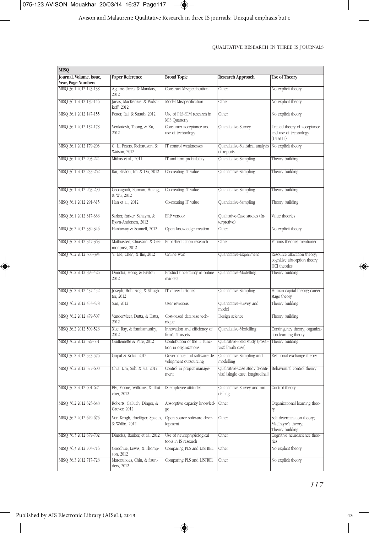

Avison and Malaurent: Qualitative Research in three IS journals: Unequal emphasis but c

QUALITATIVE RESEARCH IN THREE IS JOURNALS

| <b>MISQ</b>                                  |                                                                     |                                                       |                                                                      |                                                                                    |
|----------------------------------------------|---------------------------------------------------------------------|-------------------------------------------------------|----------------------------------------------------------------------|------------------------------------------------------------------------------------|
| Journal, Volume, Issue,                      | <b>Paper Reference</b>                                              | <b>Broad Topic</b>                                    | <b>Research Approach</b>                                             | <b>Use of Theory</b>                                                               |
| Year, Page Numbers<br>MISQ 36.1 2012 123-138 | Aguirre-Urreta & Marakas,<br>2012                                   | <b>Construct Misspecification</b>                     | Other                                                                | No explicit theory                                                                 |
| MISQ 36.1 2012 139-146                       | Jarvis, MacKenzie, & Podsa-<br>koff. 2012                           | Model Misspecification                                | Other                                                                | No explicit theory                                                                 |
| MISQ 36.1 2012 147-155                       | Petter, Rai, & Straub, 2012                                         | Use of PLS-SEM research in<br>MIS Quarterly           | Other                                                                | No explicit theory                                                                 |
| MISQ 36.1 2012 157-178                       | Venkatesh, Thong, & Xu,<br>2012                                     | Consumer acceptance and<br>use of technology          | Quantitative-Survey                                                  | Unified theory of acceptance<br>and use of technology<br>(UTAUT)                   |
| MISQ 36.1 2012 179-203                       | C. Li, Peters, Richardson, &<br>Watson, 2012                        | IT control weaknesses                                 | Quantitative-Statistical analysis No explicit theory<br>of reports   |                                                                                    |
| MISQ 36.1 2012 205-224                       | Mithas et al., 2011                                                 | IT and firm profitability                             | Quantitative-Sampling                                                | Theory building                                                                    |
| MISQ 36.1 2012 233-262                       | Rai, Pavlou, Im, & Du, 2012                                         | Co-creating IT value                                  | Quantitative-Sampling                                                | Theory building                                                                    |
| MISO 36.1 2012 263-290                       | Ceccagnoli, Forman, Huang,<br>& Wu, 2012                            | Co-creating IT value                                  | Quantitative-Sampling                                                | Theory building                                                                    |
| MISQ 36.1 2012 291-315                       | Han et al., 2012                                                    | Co-creating IT value                                  | Quantitative-Sampling                                                | Theory building                                                                    |
| MISQ 36.1 2012 317-338                       | Sarker, Sarker, Sahaym, &<br>Bjørn-Andersen, 2012                   | ERP vendor                                            | Qualitative-Case studies (In-<br>terpretive)                         | Value theories                                                                     |
| MISQ 36.2 2012 339-346                       | Hardaway & Scamell, 2012                                            | Open knowledge creation                               | Other                                                                | No explicit theory                                                                 |
| MISQ 36.2 2012 347-363                       | Mathiassen, Chiasson, & Ger-<br>monprez, 2012                       | Published action research                             | Other                                                                | Various theories mentioned                                                         |
| MISQ 36.2 2012 365-394                       | Y. Lee, Chen, & Ilie, 2012                                          | Online wait                                           | Quantitative-Experiment                                              | Resource allocation theory;<br>cognitive absorption theory;<br><b>HCI</b> theories |
| MISQ 36.2 2012 395-426                       | Dimoka, Hong, & Pavlou,<br>2012                                     | Product uncertainty in online<br>markets              | Quantitative-Modelling                                               | Theory building                                                                    |
| MISQ 36.2 2012 437-452                       | Joseph, Boh, Ang, & Slaugh-<br>ter, 2012                            | IT career histories                                   | Quantitative-Sampling                                                | Human capital theory; career<br>stage theory                                       |
| MISQ 36.2 2012 453-478                       | Sun, 2012                                                           | User revisions                                        | Quantitative-Survey and<br>model                                     | Theory building                                                                    |
| MISQ 36.2 2012 479-507                       | VanderMeer, Dutta, & Datta,<br>2012                                 | Cost-based database tech-<br>nique                    | Design science                                                       | Theory building                                                                    |
| MISQ 36.2 2012 509-528                       | Xue, Ray, & Sambamurthy,<br>2012                                    | Innovation and efficiency of<br>firm's IT assets      | Quantitative-Modelling                                               | Contingency theory; organiza-<br>tion learning theory                              |
| MISQ 36.2 2012 529-551                       | Guillemette & Paré, 2012                                            | Contribution of the IT func-<br>tion in organizations | Qualitative-Field study (Positi-<br>vist) Imulti casel               | Theory building                                                                    |
| MISQ 36.2 2012 553-576                       | Gopal & Koka, 2012                                                  | Governance and software de-<br>velopment outsourcing  | Quantitative-Sampling and<br>modelling                               | Relational exchange theory                                                         |
| MISQ 36.2 2012 577-600                       | Chia, Lim, Soh, & Sia, 2012                                         | Control in project manage-<br>ment                    | Qualitative-Case study (Positi-<br>vist) [single case, longitudinal] | Behavioural control theory                                                         |
| MISQ 50.2 2012 601-624                       | Ply, Moore, Williams, & That-   IS employee attitudes<br>cher, 2012 |                                                       | Quantitative-Survey and mo-<br>delling                               | Control theory                                                                     |
| MISQ 36.2 2012 625-648                       | Roberts, Galluch, Dinger, &<br>Grover, 2012                         | Absorptive capacity knowled-<br>ge                    | Other                                                                | Organizational learning theo-<br>ry                                                |
| MISQ 36.2 2012 649-676                       | Von Krogh, Haefliger, Spaeth,<br>& Wallin, 2012                     | Open source software deve-<br>lopment                 | Other                                                                | Self determination theory;<br>MacIntyre's theory;<br>Theory building               |
| MISQ 36.3 2012 679-702                       | Dimoka, Banker, et al., 2012                                        | Use of neurophysiological<br>tools in IS research     | Other                                                                | Cognitive neuroscience theo-<br>ries                                               |
| MISQ 36.3 2012 703-716                       | Goodhue, Lewis, & Thomp-<br>son, 2012                               | Comparing PLS and LISTREL                             | Other                                                                | No explicit theory                                                                 |
| MISQ 36.3 2012 717-728                       | Marcoulides, Chin, & Saun-<br>ders, 2012                            | Comparing PLS and LISTREL                             | Other                                                                | No explicit theory                                                                 |

 $\rightarrow$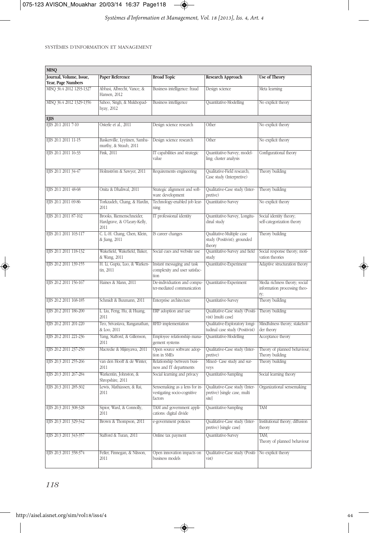

| <b>MISQ</b>                                   |                                                                 |                                                                         |                                                                        |                                                                      |
|-----------------------------------------------|-----------------------------------------------------------------|-------------------------------------------------------------------------|------------------------------------------------------------------------|----------------------------------------------------------------------|
| Journal, Volume, Issue,<br>Year, Page Numbers | <b>Paper Reference</b>                                          | <b>Broad Topic</b>                                                      | <b>Research Approach</b>                                               | <b>Use of Theory</b>                                                 |
| MISQ 36.4 2012 1293-1327                      | Abbasi, Albrecht, Vance, &<br>Hansen, 2012                      | Business intelligence: fraud                                            | Design science                                                         | Meta learning                                                        |
| MISQ 36.4 2012 1329-1356                      | Sahoo, Singh, & Mukhopad-<br>hyay, 2012                         | <b>Business intelligence</b>                                            | Quantitative-Modelling                                                 | No explicit theory                                                   |
| <b>EJIS</b>                                   |                                                                 |                                                                         |                                                                        |                                                                      |
| EJIS 20.1 2011 7-10                           | Osterle et al., 2011                                            | Design science research                                                 | Other                                                                  | No explicit theory                                                   |
| EJIS 20.1 2011 11-15                          | Baskerville, Lyytinen, Samba-<br>murthy, & Straub, 2011         | Design science research                                                 | Other                                                                  | No explicit theory                                                   |
| EJIS 20.1 2011 16-33                          | Fink, 2011                                                      | IT capabilities and strategic<br>value                                  | Quantitative-Survey; model-<br>ling; cluster analysis                  | Configurational theory                                               |
| EJIS 20.1 2011 34-47                          | Holmström & Sawyer, 2011                                        | Requirements engineering                                                | Qualitative-Field research;<br>Case study (Interpretive)               | Theory building                                                      |
| EJIS 20.1 2011 48-68                          | Onita & Dhaliwal, 2011                                          | Strategic alignment and soft-<br>ware development                       | Qualitative-Case study (Inter-<br>pretive)                             | Theory building                                                      |
| EJIS 20.1 2011 69-86                          | Torkzadeh, Chang, & Hardin,<br>2011                             | Technology-enabled job lear-<br>ning                                    | Quantitative-Survey                                                    | No explicit theory                                                   |
| EJIS 20.1 2011 87-102                         | Brooks, Riemenschneider,<br>Hardgrave, & O'Leary-Kelly,<br>2011 | IT professional identity                                                | Quantitative-Survey, Longitu-<br>dinal study                           | Social identity theory;<br>self-categorization theory                |
| EJIS 20.1 2011 103-117                        | C. L.-H. Chang, Chen, Klein,<br>& Jiang, 2011                   | IS career changes                                                       | Qualitative-Multiple case<br>study (Positivist); grounded<br>theory    | Theory building                                                      |
| EJIS 20.1 2011 118-132                        | Wakefield, Wakefield, Baker,<br>& Wang, 2011                    | Social cues and website use                                             | Quantitative-Survey and field<br>study                                 | Social response theory; moti-<br>vation theories                     |
| EJIS 20.2 2011 139-155                        | H. Li, Gupta, Luo, & Warken-<br>tin, 2011                       | Instant messaging and task<br>complexity and user satisfac-<br>tion     | Quantitative-Experiment                                                | Adaptive structuration theory                                        |
| EJIS 20.2 2011 156-167                        | Haines & Mann, 2011                                             | De-individuation and compu-<br>ter-mediated communication               | Quantitative-Experiment                                                | Media richness theory; social<br>information processing theo-<br>ry; |
| EJIS 20.2 2011 168-185                        | Schmidt & Buxmann, 2011                                         | Enterprise architecture                                                 | Quantitative-Survey                                                    | Theory building                                                      |
| EJIS 20.2 2011 186-200                        | L. Liu, Feng, Hu, & Huang,<br>2011                              | ERP adoption and use                                                    | Qualitative-Case study (Positi-<br>vist) [multi case]                  | Theory building                                                      |
| EJIS 20.2 2011 201-220                        | Teo, Srivastava, Ranganathan,<br>& Loo, 2011                    | RFID implementation                                                     | Qualitative-Exploratory longi-<br>tudinal case study (Positivist)      | Mindfulness theory; stakehol-<br>der theory                          |
| EJIS 20.2 2011 221-236                        | Yang, Stafford, & Gillenson,<br>2011                            | Employee relationship mana-<br>gement systems                           | Quantitative-Modelling                                                 | Acceptance theory                                                    |
| EJIS 20.2 2011 237-250                        | Macredie & Mijinyawa, 2011                                      | Open source software adop-<br>tion in SMEs                              | Qualitative-Case study (Inter-<br>pretive)                             | Theory of planned behaviour;<br>Theory building                      |
| EJIS 20.3 2011 255-266                        | van den Hooff & de Winter,<br>2011                              | Relationship between busi-<br>ness and IT departments                   | Mixed- Case study and sur-<br>veys                                     | Theory building                                                      |
| EJIS 20.3 2011 267-284                        | Warkentin, Johnston, &<br>Shropshire, 2011                      | Social learning and privacy                                             | Quantitative-Sampling                                                  | Social learning theory                                               |
| EJIS 20.3 2011 285-302                        | Lewis, Mathiassen, & Rai,<br>2011                               | Sensemaking as a lens for in-<br>vestigating socio-cognitive<br>factors | Qualitative-Case study (Inter-<br>pretive) [single case, multi<br>site | Organizational sensemaking                                           |
| EJIS 20.3 2011 308-328                        | Sipior, Ward, & Connolly,<br>2011                               | TAM and government appli-<br>cations: digital divide                    | Quantitative-Sampling                                                  | <b>TAM</b>                                                           |
| EJIS 20.3 2011 329-342                        | Brown & Thompson, 2011                                          | e-government policies                                                   | Qualitative-Case study (Inter-<br>pretive) [single case]               | Institutional theory; diffusion<br>theory                            |
| EJIS 20.3 2011 343-357                        | Stafford & Turan, 2011                                          | Online tax payment                                                      | Quantitative-Survey                                                    | TAM;<br>Theory of planned behaviour                                  |
| EJIS 20.3 2011 358-374                        | Feller, Finnegan, & Nilsson,<br>2011                            | Open innovation impacts on<br>business models                           | Qualitative-Case study (Positi-<br>vist)                               | No explicit theory                                                   |

 $\color{red}\blacklozenge$ 

*118*

€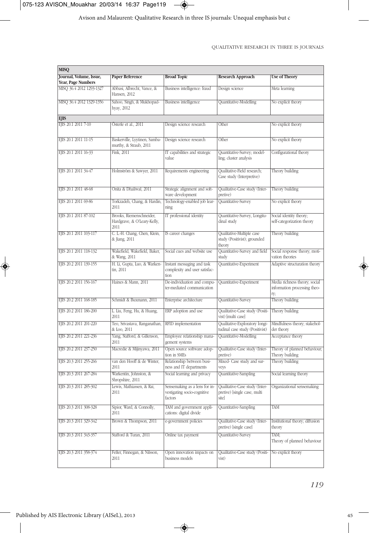

Avison and Malaurent: Qualitative Research in three IS journals: Unequal emphasis but c

#### QUALITATIVE RESEARCH IN THREE IS JOURNALS

| <b>MISQ</b>                                    |                                                                 |                                                                     |                                                                                                                                 |                                                                      |
|------------------------------------------------|-----------------------------------------------------------------|---------------------------------------------------------------------|---------------------------------------------------------------------------------------------------------------------------------|----------------------------------------------------------------------|
| Journal, Volume, Issue,                        | <b>Paper Reference</b>                                          | <b>Broad Topic</b>                                                  | <b>Research Approach</b>                                                                                                        | <b>Use of Theory</b>                                                 |
| Year, Page Numbers<br>MISQ 36.4 2012 1293-1327 | Abbasi, Albrecht, Vance, &                                      | Business intelligence: fraud                                        | Design science                                                                                                                  | Meta learning                                                        |
|                                                | Hansen, 2012                                                    |                                                                     |                                                                                                                                 |                                                                      |
| MISQ 36.4 2012 1329-1356                       | Sahoo, Singh, & Mukhopad-<br>hyay, 2012                         | <b>Business intelligence</b>                                        | Quantitative-Modelling                                                                                                          | No explicit theory                                                   |
| <b>EJIS</b>                                    |                                                                 |                                                                     |                                                                                                                                 |                                                                      |
| EJIS 20.1 2011 7-10                            | Österle et al., 2011                                            | Design science research                                             | Other                                                                                                                           | No explicit theory                                                   |
| EJIS 20.1 2011 11-15                           | Baskerville, Lyytinen, Samba-<br>murthy, & Straub, 2011         | Design science research                                             | Other                                                                                                                           | No explicit theory                                                   |
| EJIS 20.1 2011 16-33                           | Fink, 2011                                                      | IT capabilities and strategic<br>value                              | Quantitative-Survey; model-<br>ling; cluster analysis                                                                           | Configurational theory                                               |
| EJIS 20.1 2011 34-47                           | Holmström & Sawyer, 2011                                        | Requirements engineering                                            | Qualitative-Field research;<br>Case study (Interpretive)                                                                        | Theory building                                                      |
| EJIS 20.1 2011 48-68                           | Onita & Dhaliwal, 2011                                          | Strategic alignment and soft-<br>ware development                   | Qualitative-Case study (Inter-<br>pretive)                                                                                      | Theory building                                                      |
| EJIS 20.1 2011 69-86                           | Torkzadeh, Chang, & Hardin,<br>2011                             | Technology-enabled job lear-<br>ning                                | Quantitative-Survey                                                                                                             | No explicit theory                                                   |
| EJIS 20.1 2011 87-102                          | Brooks, Riemenschneider,<br>Hardgrave, & O'Leary-Kelly,<br>2011 | IT professional identity                                            | Quantitative-Survey, Longitu-<br>dinal study                                                                                    | Social identity theory;<br>self-categorization theory                |
| EJIS 20.1 2011 103-117                         | C. L.-H. Chang, Chen, Klein,<br>& Jiang, 2011                   | IS career changes                                                   | Qualitative-Multiple case<br>study (Positivist); grounded<br>theory                                                             | Theory building                                                      |
| EJIS 20.1 2011 118-132                         | Wakefield, Wakefield, Baker,<br>& Wang, 2011                    | Social cues and website use                                         | Quantitative-Survey and field<br>study                                                                                          | Social response theory; moti-<br>vation theories                     |
| EJIS 20.2 2011 139-155                         | H. Li, Gupta, Luo, & Warken-<br>tin, 2011                       | Instant messaging and task<br>complexity and user satisfac-<br>tion | Quantitative-Experiment                                                                                                         | Adaptive structuration theory                                        |
| EJIS 20.2 2011 156-167                         | Haines & Mann, 2011                                             | De-individuation and compu-<br>ter-mediated communication           | Quantitative-Experiment                                                                                                         | Media richness theory; social<br>information processing theo-<br>ry; |
| EJIS 20.2 2011 168-185                         | Schmidt & Buxmann, 2011                                         | Enterprise architecture                                             | Quantitative-Survey                                                                                                             | Theory building                                                      |
| EJIS 20.2 2011 186-200                         | L. Liu, Feng, Hu, & Huang,<br>2011                              | ERP adoption and use                                                | Qualitative-Case study (Positi-<br>vist) [multi case]                                                                           | Theory building                                                      |
| EJIS 20.2 2011 201-220                         | Teo, Srivastava, Ranganathan,<br>& Loo, 2011                    | RFID implementation                                                 | Qualitative-Exploratory longi-<br>tudinal case study (Positivist)                                                               | Mindfulness theory; stakehol-<br>der theory                          |
| EJIS 20.2 2011 221-236                         | Yang, Stafford, & Gillenson,<br>2011                            | Employee relationship mana-<br>gement systems                       | Quantitative-Modelling                                                                                                          | Acceptance theory                                                    |
| EJIS 20.2 2011 237-250                         | Macredie & Mijinyawa, 2011                                      | Open source software adop-<br>tion in SMEs                          | Qualitative-Case study (Inter-<br>pretive)                                                                                      | Theory of planned behaviour;<br>Theory building                      |
| EJIS 20.3 2011 255-266                         | van den Hooff & de Winter,<br>2011                              | Relationship between busi-<br>ness and IT departments               | Mixed- Case study and sur-<br>veys                                                                                              | Theory building                                                      |
| EJIS 20.3 2011 267-284                         | Warkentin, Johnston, &<br>Shropshire, 2011                      | Social learning and privacy                                         | Quantitative-Sampling                                                                                                           | Social learning theory                                               |
| EJIS 20.3 2011 285-302                         | Lewis, Mathiassen, & Rai,<br>2011                               | vestigating socio-cognitive<br>factors                              | Sensemaking as a lens for in- Qualitative-Case study (Inter- Organizational sensemaking<br>pretive) [single case, multi<br>site |                                                                      |
| EJIS 20.3 2011 308-328                         | Sipior, Ward, & Connolly,<br>2011                               | TAM and government appli-<br>cations: digital divide                | Quantitative-Sampling                                                                                                           | TAM                                                                  |
| EJIS 20.3 2011 329-342                         | Brown & Thompson, 2011                                          | e-government policies                                               | Qualitative-Case study (Inter-<br>pretive) [single case]                                                                        | Institutional theory; diffusion<br>theory                            |
| EJIS 20.3 2011 343-357                         | Stafford & Turan, 2011                                          | Online tax payment                                                  | Quantitative-Survey                                                                                                             | TAM:<br>Theory of planned behaviour                                  |
| EJIS 20.3 2011 358-374                         | Feller, Finnegan, & Nilsson,<br>2011                            | Open innovation impacts on<br>business models                       | Qualitative-Case study (Positi-<br>vist)                                                                                        | No explicit theory                                                   |

 $\rightarrow$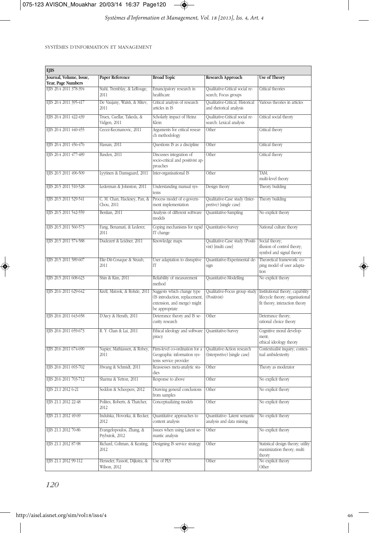

 $\frac{1}{\sqrt{2}}$ 

SYSTÈMES D'INFORMATION ET MANAGEMENT

| <b>EJIS</b>             |                                                |                                                                                                               |                                                             |                                                                                                        |
|-------------------------|------------------------------------------------|---------------------------------------------------------------------------------------------------------------|-------------------------------------------------------------|--------------------------------------------------------------------------------------------------------|
| Journal, Volume, Issue, | <b>Paper Reference</b>                         | <b>Broad Topic</b>                                                                                            | <b>Research Approach</b>                                    | <b>Use of Theory</b>                                                                                   |
| Year, Page Numbers      |                                                |                                                                                                               |                                                             |                                                                                                        |
| EJIS 20.4 2011 378-394  | Stahl, Tremblay, & LeRouge,<br>2011            | Emancipatory research in<br>healthcare                                                                        | Qualitative-Critical social re-<br>search; Focus groups     | Critical theories                                                                                      |
| EJIS 20.4 2011 395-417  | De Vaujany, Walsh, & Mitev,<br>2011            | Critical analysis of research<br>articles in IS                                                               | Qualitative-Critical, Historical<br>and rhetorical analysis | Various theories in articles                                                                           |
| EJIS 20.4 2011 422-439  | Truex, Cuellar, Takeda, &<br>Vidgen, 2011      | Scholarly impact of Heinz<br>Klein                                                                            | Qualitative-Critical social re-<br>search: Lexical analysis | Critical social theory                                                                                 |
| EJIS 20.4 2011 440-455  | Cecez-Kecmanovic, 2011                         | Arguments for critical resear-<br>ch methodology                                                              | Other                                                       | Critical theory                                                                                        |
| EIIS 20.4 2011 456-476  | Hassan, 2011                                   | Questions IS as a discipline                                                                                  | Other                                                       | Critical theory                                                                                        |
| EJS 20.4 2011 477-489   | Basden, 2011                                   | Discusses integration of<br>socio-critical and positivist ap-<br>proaches                                     | Other                                                       | Critical theory                                                                                        |
| EJIS 20.5 2011 496-509  | Lyytinen & Damsgaard, 2011                     | Inter-organisational IS                                                                                       | Other                                                       | TAM;<br>multi-level theory                                                                             |
| EJIS 20.5 2011 510-528  | Lederman & Johnston, 2011                      | Understanding manual sys-<br>tems                                                                             | Design theory                                               | Theory building                                                                                        |
| EJIS 20.5 2011 529-541  | C. M. Chan, Hackney, Pan, &<br>Chou, 2011      | Process model of e-govern-<br>ment implementation                                                             | Qualitative-Case study (Inter-<br>pretive) [single case]    | Theory building                                                                                        |
| EJIS 20.5 2011 542-559  | Benlian, 2011                                  | Analysis of different software<br>models                                                                      | Quantitative-Sampling                                       | No explicit theory                                                                                     |
| EJIS 20.5 2011 560-573  | Fang, Benamati, & Lederer,<br>2011             | Coping mechanisms for rapid<br>IT change                                                                      | Quantitative-Survey                                         | National culture theory                                                                                |
| EJIS 20.5 2011 574-588  | Dudezert & Leidner, 2011                       | Knowledge maps                                                                                                | Qualitative-Case study (Positi-<br>vist) Imulti casel       | Social theory;<br>illusion of control theory;<br>symbol and signal theory                              |
| EJIS 20.5 2011 589-607  | Elie-Dit-Cosaque & Straub,<br>2011             | User adaptation to disruptive<br>IT                                                                           | Quantitative-Experimental de-<br>sign                       | Theoretical framework: co-<br>ping model of user adapta-<br>tion                                       |
| EJIS 20.5 2011 608-623  | Shin & Kim, 2011                               | Reliability of measurement<br>method                                                                          | Quantitative-Modelling                                      | No explicit theory                                                                                     |
| EJS 20.6 2011 629-642   | Krell, Matook, & Rohde, 2011                   | Suggests which change type<br>(IS introduction, replacement,<br>extension, and merge) might<br>be appropriate | Qualitative-Focus group study<br>(Positivist)               | Institutional theory; capability<br>lifecycle theory; organisational<br>fit theory; interaction theory |
| EJIS 20.6 2011 643-658  | D'Arcy & Herath, 2011                          | Deterrance theory and IS se-<br>curity research                                                               | Other                                                       | Deterrance theory;<br>rational choice theory                                                           |
| EJIS 20.6 2011 659-673  | R. Y. Chan & Lai, 2011                         | Ethical ideology and software<br>piracy                                                                       | Quantitative-Survey                                         | Cognitive moral develop-<br>ment;<br>ethical ideology theory                                           |
| EJIS 20.6 2011 674-690  | Napier, Mathiassen, & Robey,<br>2011           | Firm-level co-ordination for a<br>Geographic information sys-<br>tems service provider                        | Qualitative-Action research<br>(Interpretive) [single case] | Contextualist inquiry; contex-<br>tual ambidexterity                                                   |
| EJIS 20.6 2011 693-702  | Hwang & Schmidt, 2011                          | Reassesses meta-analytic stu-<br>dies                                                                         | Other                                                       | Theory as moderator                                                                                    |
| EJIS 20.6 2011 703-712  | Sharma & Yetton, 2011                          | Response to above                                                                                             | Other                                                       | No explicit theory                                                                                     |
| EJIS 21.1 2012 6-21     | Seddon & Scheepers, 2012                       | Drawing general conclusions<br>from samples                                                                   | Other                                                       | No explicit theory                                                                                     |
| EJIS 21.1 2012 22-48    | Polites, Roberts, & Thatcher,<br>2012          | Conceptualizing models                                                                                        | Other                                                       | No explicit theory                                                                                     |
| EJIS 21.1 2012 49-69    | Indulska, Hovorka, & Recker.<br>2012           | Quantitative approaches to<br>content analysis                                                                | Quantitative- Latent semantic<br>analysis and data mining   | No explicit theory                                                                                     |
| EJIS 21.1 2012 70-86    | Evangelopoulos, Zhang, &<br>Prybutok, 2012     | Issues when using Latent se-<br>mantic analysis                                                               | Other                                                       | No explicit theory                                                                                     |
| EJIS 21.1 2012 87-98    | Richard, Coltman, & Keating,<br>2012           | Designing IS service strategy                                                                                 | Other                                                       | Statistical design theory; utility<br>maximization theory; multi<br>theory                             |
| EJIS 21.1 2012 99-112   | Henseler, Fassott, Dijkstra, &<br>Wilson, 2012 | Use of PLS                                                                                                    | Other                                                       | No explicit theory<br>Other                                                                            |

◈

*120*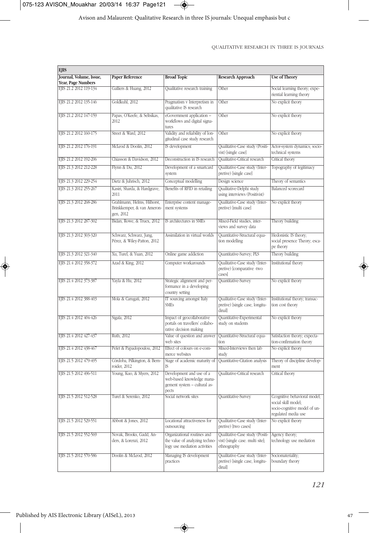

| <b>EJIS</b>                                  |                                                                        |                                                                                                |                                                                                    |                                                                                                            |
|----------------------------------------------|------------------------------------------------------------------------|------------------------------------------------------------------------------------------------|------------------------------------------------------------------------------------|------------------------------------------------------------------------------------------------------------|
| Journal, Volume, Issue,                      | <b>Paper Reference</b>                                                 | <b>Broad Topic</b>                                                                             | <b>Research Approach</b>                                                           | <b>Use of Theory</b>                                                                                       |
| Year, Page Numbers<br>EJIS 21.2 2012 119-134 | Galliers & Huang, 2012                                                 | Qualitative research training                                                                  | Other                                                                              | Social learning theory; expe-                                                                              |
|                                              |                                                                        |                                                                                                |                                                                                    | riential learning theory                                                                                   |
| EJIS 21.2 2012 135-146                       | Goldkuhl, 2012                                                         | Pragmatism v Interpretism in<br>qualitative IS research                                        | Other                                                                              | No explicit theory                                                                                         |
| EJIS 21.2 2012 147-159                       | Papas, O'Keefe, & Seltsikas,<br>2012                                   | eGovernment application -<br>workflows and digital signa-<br>tures                             | Other                                                                              | No explicit theory                                                                                         |
| EJIS 21.2 2012 160-175                       | Street & Ward, 2012                                                    | Validity and reliability of lon-<br>gitudinal case study research                              | Other                                                                              | No explicit theory                                                                                         |
| EJIS 21.2 2012 176-191                       | McLeod & Doolin, 2012                                                  | IS development                                                                                 | Qualitative-Case study (Positi-<br>vist) [single case]                             | Actor-system dynamics; socio-<br>technical systems                                                         |
| EJIS 21.2 2012 192-206                       | Chiasson & Davidson, 2012                                              | Deconstruction in IS research                                                                  | <b>Oualitative-Critical research</b>                                               | Critical theory                                                                                            |
| EJIS 21.3 2012 212-228                       | Flynn & Du, 2012                                                       | Development of a smartcard<br>system                                                           | Qualitative-Case study (Inter-<br>pretive) [single case]                           | Topography of legitimacy                                                                                   |
| EJIS 21.3 2012 229-254                       | Dietz & Juhrisch, 2012                                                 | Conceptual modelling                                                                           | Design science                                                                     | Theory of semantics                                                                                        |
| EJIS 21.3 2012 255-267                       | Kasiri, Sharda, & Hardgrave,<br>2011                                   | Benefits of RFID in retailing                                                                  | Qualitative-Delphi study<br>using interviews (Positivist)                          | <b>Balanced</b> scorecard                                                                                  |
| EJIS 21.3 2012 268-286                       | Grahlmann, Helms, Hilhorst,<br>Brinkkemper, & van Ameron-<br>gen, 2012 | Enterprise content manage-<br>ment systems                                                     | Qualitative-Case study (Inter-<br>pretive) [multi case]                            | No explicit theory                                                                                         |
| EJIS 21.3 2012 287-302                       | Bidan, Rowe, & Truex, 2012                                             | IS architectures in SMEs                                                                       | Mixed-Field studies, inter-<br>views and survey data                               | Theory building                                                                                            |
| EJIS 21.3 2012 303-320                       | Schwarz, Schwarz, Jung,<br>Pérez, & Wiley-Patton, 2012                 | Assimilation in virtual worlds                                                                 | Quantitative-Structural equa-<br>tion modelling                                    | Hedonistic IS theory;<br>social presence Theory; esca-<br>pe theory                                        |
| EJIS 21.3 2012 321-340                       | Xu, Turel, & Yuan, 2012                                                | Online game addiction                                                                          | Quantitative-Survey; PLS                                                           | Theory building                                                                                            |
| EJIS 21.4 2012 358-372                       | Azad & King, 2012                                                      | Computer workarounds                                                                           | Qualitative-Case study (Inter-<br>pretive) [comparative -two<br>cases]             | Institutional theory                                                                                       |
| EJIS 21.4 2012 373-387                       | Yayla & Hu, 2012                                                       | Strategic alignment and per-<br>formance in a developing<br>country setting                    | Quantitative-Survey                                                                | No explicit theory                                                                                         |
| EJIS 21.4 2012 388-403                       | Mola & Carugati, 2012                                                  | IT sourcing amongst Italy<br><b>SMEs</b>                                                       | Qualitative-Case study (Inter-<br>pretive) [single case, longitu-<br>dinal         | Institutional theory; transac-<br>tion cost theory                                                         |
| EJIS 21.4 2012 404-426                       | Sigala, 2012                                                           | Impact of geocollaborative<br>portals on travellers' collabo-<br>rative decision making        | Quantitative-Experimental<br>study on students                                     | No explicit theory                                                                                         |
| EJIS 21.4 2012 427-437                       | Ruth, 2012                                                             | Value of question and answer<br>web sites                                                      | Quantitative-Structural equa-<br>tion                                              | Satisfaction theory; expecta-<br>tion-confirmation theory                                                  |
| EJIS 21.4 2012 438-467                       | Pelet & Papadopoulou, 2012                                             | Effect of colours on e-com-<br>merce websites                                                  | Mixed-Interviews then lab<br>study                                                 | No explicit theory                                                                                         |
| EJIS 21.5 2012 479-495                       | Córdoba, Pilkington, & Bern-<br>roider, 2012                           | Stage of academic maturity of                                                                  | Quantitative-Citation analysis                                                     | Theory of discipline develop-<br>ment                                                                      |
| EJIS 21.5 2012 496-511                       | Young, Kuo, & Myers, 2012                                              | Development and use of a<br>web-based knowledge mana-<br>gement system - cultural as-<br>pects | <b>Oualitative-Critical research</b>                                               | Critical theory                                                                                            |
| EJIS 21.5 2012 512-528                       | Turel & Serenko, 2012                                                  | Social network sites                                                                           | Quantitative-Survey                                                                | Ccognitive behavioral model;<br>social skill model;<br>socio-cognitive model of un-<br>regulated media use |
| EJIS 21.5 2012 529-551                       | Abbott & Jones, 2012                                                   | Locational attractiveness for<br>outsourcing                                                   | Qualitative-Case study (Inter-<br>pretive) [two cases]                             | No explicit theory                                                                                         |
| EJIS 21.5 2012 552-569                       | Novak, Brooks, Gadd, An-<br>ders, & Lorenzi, 2012                      | Organizational routines and<br>the value of analyzing techno-<br>logy use mediation activities | Qualitative-Case study (Positi-<br>vist) [single case. multi site];<br>ethnography | Agency theory;<br>technology use mediation                                                                 |
| EJIS 21.5 2012 570-586                       | Doolin & McLeod, 2012                                                  | Managing IS development<br>practices                                                           | Qualitative-Case study (Inter-<br>pretive) [single case, longitu-<br>dinal         | Sociomateriality;<br>boundary theory                                                                       |

 $\rightarrow$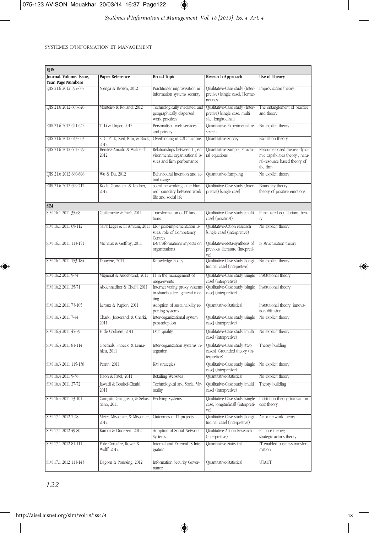

*Systèmes d'Information et Management, Vol. 18 [2013], Iss. 4, Art. 4*

SYSTÈMES D'INFORMATION ET MANAGEMENT

| <b>EJIS</b>             |                                              |                                                                                              |                                                                                       |                                                                                                             |
|-------------------------|----------------------------------------------|----------------------------------------------------------------------------------------------|---------------------------------------------------------------------------------------|-------------------------------------------------------------------------------------------------------------|
| Journal, Volume, Issue, | <b>Paper Reference</b>                       | <b>Broad Topic</b>                                                                           | <b>Research Approach</b>                                                              | <b>Use of Theory</b>                                                                                        |
| Year, Page Numbers      |                                              |                                                                                              |                                                                                       |                                                                                                             |
| EJIS 21.6 2012 592-607  | Njenga & Brown, 2012                         | Practitioner improvisation in<br>information systems security                                | Qualitative-Case study (Inter-<br>pretive) [single case]; Herme-<br>neutics           | Improvisation theory                                                                                        |
| EJIS 21.6 2012 608-620  | Monteiro & Rolland, 2012                     | Technologically mediated and<br>geographically dispersed<br>work practices                   | Qualitative-Case study (Inter-<br>pretive) [single case. multi<br>site, longitudinal] | The entanglement of practice<br>and theory                                                                  |
| EJIS 21.6 2012 621-642  | T. Li & Unger, 2012                          | Personalised web services<br>and privacy                                                     | Quantitative-Experimental re-<br>search                                               | No explicit theory                                                                                          |
| EJIS 21.6 2012 643-663  | S. C. Park, Keil, Kim, & Bock,<br>2012       | Overbidding in C2C auctions                                                                  | Quantitative-Survey                                                                   | Escalation theory                                                                                           |
| EIIS 21.6 2012 664-679  | Benitez-Amado & Walczuch,<br>2012            | Relationships between IT, en-<br>vironmental organizational is-<br>sues and firm performance | Quantitative-Sample; structu-<br>ral equations                                        | Resource-based theory; dyna-<br>mic capabilities theory; natu-<br>ral-resource based theory of<br>the firm; |
| EJIS 21.6 2012 680-698  | Wu & Du, 2012                                | Behavioural intention and ac-<br>tual usage                                                  | Quantitative-Sampling                                                                 | No explicit theory                                                                                          |
| EJIS 21.6 2012 699-717  | Koch, Gonzalez, & Leidner,<br>2012           | social networking - the blur-<br>red boundary between work<br>life and social life           | Qualitative-Case study (Inter-<br>pretive) [single case]                              | Boundary theory;<br>theory of positive emotions                                                             |
| <b>SIM</b>              |                                              |                                                                                              |                                                                                       |                                                                                                             |
| SIM 16.1 2011 35-68     | Guillemette & Paré, 2011                     | Transformation of IT func-<br>tions                                                          | Qualitative-Case study [multi<br>case] (positivist)                                   | Punctuated equilibrium theo-<br>ry                                                                          |
| SIM 16.1 2011 69-112    | Saint Léger & El Amrani, 2011                | ERP post-implementation is-<br>sues: role of Competency<br>Centres                           | Qualitative-Action research<br>[single case] (interpretive)                           | No explicit theory                                                                                          |
| SIM 16.1 2011 113-151   | Michaux & Geffroy, 2011                      | E-transformations impacts on<br>organizations                                                | Qualitative-Meta-synthesis of<br>previous literature (intepreti-<br>ve)               | IS structuration theory                                                                                     |
| SIM 16.1 2011 153-184   | Douyère, 2011                                | Knowledge Policy                                                                             | Qualitative-Case study [longi-<br>tudinal case] (intepretive)                         | No explicit theory                                                                                          |
| SIM 16.2 2011 9-34      | Mignerat & Audebrand, 2011                   | IT in the management of<br>mega-events                                                       | Qualitative-Case study [single<br>case] (interpretive)                                | Institutional theory                                                                                        |
| SIM 16.2 2011 35-71     | Abdennadher & Cheffi, 2011                   | Internet voting proxy systems<br>in shareholders' general mee-<br>ting                       | Qualitative-Case study [single<br>case] (interpretive)                                | Institutional theory                                                                                        |
| SIM 16.2 2011 73-105    | Leroux & Pupion, 2011                        | Adoption of sustainability re-<br>porting systems                                            | Quantitative-Statistical                                                              | Institutional theory; innova-<br>tion diffusion                                                             |
| SIM 16.3 2011 7-44      | Charki, Josserand, & Charki,<br>2011         | Inter-organizational system<br>post-adoption                                                 | Qualitative-Case study [single<br>case] (interpretive)                                | No explicit theory                                                                                          |
| SIM 16.3 2011 45-79     | F. de Corbière, 2011                         | Data quality                                                                                 | Qualitative-Case study [multi<br>case] (interpretive)                                 | No explicit theory                                                                                          |
| SIM 16.3 2011 81-114    | Goethals, Snoeck, & Lema-<br>hieu, 2011      | Inter-organization systems in-<br>tegration                                                  | Qualitative-Case study [two<br>cases]; Grounded theory (in-<br>terpretive)            | Theory building                                                                                             |
| SIM 16.3 2011 115-138   | Perrin, 2011                                 | KM strategies                                                                                | Qualitative-Case study [single<br>case] (interpretive)                                | No explicit theory                                                                                          |
| SIM 16.4 2011 9-36      | Haon & Patel, 2011                           | Retailing Websites                                                                           | Quantitative-Statistical                                                              | No explicit theory                                                                                          |
| SIM 16.4 2011 37-72     | Jawadi & Boukef-Charki,<br>2011              | Technological and Social Vir-<br>tuality                                                     | Qualitative-Case study [multi<br>case] (interpretive)                                 | Theory building                                                                                             |
| SIM 16.4 2011 73-101    | Carugati, Giangreco, & Sebas-<br>tiano, 2011 | <b>Evolving Systems</b>                                                                      | Qualitative-Case study [single<br>case, longitudinal] (interpreti-<br>ve)             | Institution theory; transaction<br>cost theory                                                              |
| SIM 17.1 2012 7-48      | Meier, Missonier, & Missonier,<br>2012       | Outcomes of IT projects                                                                      | Qualitative-Case study [longi-<br>tudinal case] (interpretive)                        | Actor network theory                                                                                        |
| SIM 17.1 2012 49-80     | Karoui & Dudezert, 2012                      | Adoption of Social Network<br>Systems                                                        | Qualitative-Action Research<br>(interpretive)                                         | Practice theory;<br>strategic actor's theory                                                                |
| SIM 17.1 2012 81-111    | F de Corbière, Rowe, &<br>Wolff, 2012        | Internal and External IS Inte-<br>gration                                                    | Quantitative-Statistical                                                              | IT-enabled business transfor-<br>mation                                                                     |
| SIM 17.1 2012 113-143   | Dagorn & Poussing, 2012                      | Information Security Gover-<br>nance                                                         | Quantitative-Statistical                                                              | <b>UTAUT</b>                                                                                                |

◈

*122*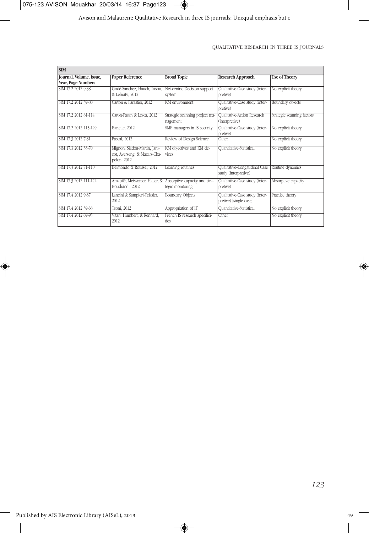

Avison and Malaurent: Qualitative Research in three IS journals: Unequal emphasis but c

#### QUALITATIVE RESEARCH IN THREE IS JOURNALS

| <b>SIM</b>              |                                |                                |                                |                            |
|-------------------------|--------------------------------|--------------------------------|--------------------------------|----------------------------|
| Journal, Volume, Issue, | <b>Paper Reference</b>         | <b>Broad Topic</b>             | <b>Research Approach</b>       | <b>Use of Theory</b>       |
| Year, Page Numbers      |                                |                                |                                |                            |
| SIM 17.2 2012 9-38      | Godé-Sanchez, Hauch, Lasou,    | Net-centric Decision support   | Qualitative-Case study (inter- | No explicit theory         |
|                         | & Lebraty, 2012                | system                         | pretive)                       |                            |
| SIM 17.2 2012 39-80     | Carton & Farastier, 2012       | <b>KM</b> environment          | Qualitative-Case study (inter- | Boundary objects           |
|                         |                                |                                | pretive)                       |                            |
| SIM 17.2 2012 81-114    | Caron-Fasan & Lesca, 2012      | Strategic scanning project ma- | Qualitative-Action Research    | Strategic scanning factors |
|                         |                                | nagement                       | (interpretive)                 |                            |
| SIM 17.2 2012 115-149   | Barlette, 2012                 | SME managers in IS security    | Qualitative-Case study (inter- | No explicit theory         |
|                         |                                |                                | pretive)                       |                            |
| SIM 17.3 2012 7-31      | Pascal, 2012                   | Review of Design Science       | Other                          | No explicit theory         |
| SIM 17.3 2012 33-70     | Mignon, Siadou-Martin, Jani-   | KM objectives and KM de-       | Quantitative-Statistical       | No explicit theory         |
|                         | cot, Averseng, & Mazars-Cha-   | vices                          |                                |                            |
|                         | pelon, 2012                    |                                |                                |                            |
| SIM 17.3 2012 71-110    | Belmondo & Roussel, 2012       | Learning routines              | Qualitative-Longitudinal Case  | Routine dynamics           |
|                         |                                |                                | study (interpretive)           |                            |
| SIM 17.3 2012 111-142   | Amabilé, Meissonier, Haller, & | Absorptive capacity and stra-  | Qualitative-Case study (inter- | Absorptive capacity        |
|                         | Boudrandi, 2012                | tegic monitoring               | pretive)                       |                            |
| SIM 17.4 2012 9-37      | Lancini & Sampieri-Teissier,   | <b>Boundary Objects</b>        | Qualitative-Case study (inter- | Practice theory            |
|                         | 2012                           |                                | pretive) [single case]         |                            |
| SIM 17.4 2012 39-68     | Tsoni, 2012                    | Appropriation of IT            | Quantitative-Statistical       | No explicit theory         |
| SIM 17.4 2012 69-95     | Vitari, Humbert, & Rennard,    | French IS research specifici-  | Other                          | No explicit theory         |
|                         | 2012                           | ties                           |                                |                            |

 $\rightarrow$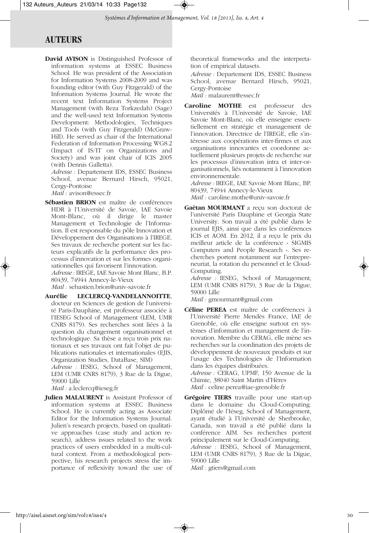## **AUTEURS**

**David AVISON** is Distinguished Professor of information systems at ESSEC Business School. He was president of the Association for Information Systems 2008-2009 and was founding editor (with Guy Fitzgerald) of the Information Systems Journal. He wrote the recent text Information Systems Project Management (with Reza Torkzedah) (Sage) and the well-used text Information Systems Development: Methodologies, Techniques and Tools (with Guy Fitzgerald) (McGraw-Hill). He served as chair of the International Federation of Information Processing WG8.2 (Impact of IS/IT on Organizations and Society) and was joint chair of ICIS 2005 (with Dennis Galletta).

*Adresse :* Departement IDS, ESSEC Business School, avenue Bernard Hirsch, 95021, Cergy-Pontoise

*Mail :* avison@essec.fr

**Sébastien BRION** est maître de conférences HDR à l'Université de Savoie, IAE Savoie Mont-Blanc, où il dirige le master Management et Technologie de l'Informa tion. Il est responsable du pôle Innovation et Développement des Organisations à l'IREGE. Ses travaux de recherche portent sur les facteurs explicatifs de la performance des processus d'innovation et sur les formes organisationnelles qui favorisent l'innovation. *Adresse :* IREGE, IAE Savoie Mont Blanc, B.P.

80439, 74944 Annecy-le-Vieux

*Mail :* sebastien.brion@univ-savoie.fr

**Aurélie LECLERCQ-VANDELANNOITTE**, docteur en Sciences de gestion de l'université Paris-Dauphine, est professeur associée à l'IESEG School of Management (LEM, UMR CNRS 8179). Ses recherches sont liées à la question du changement organisationnel et technologique. Sa thèse a reçu trois prix nationaux et ses travaux ont fait l'objet de publications nationales et internationales (EJIS, Organization Studies, DataBase, SIM)

*Adresse :* IESEG, School of Management, LEM (UMR CNRS 8179), 3 Rue de la Digue, 59000 Lille

*Mail :* a.leclercq@ieseg.fr

**Julien MALAURENT** is Assistant Professor of information systems at ESSEC Business School. He is currently acting as Associate Editor for the Information Systems Journal. Julien's research projects, based on qualitative approaches (case study and action research), address issues related to the work practices of users embedded in a multi-cultural context. From a methodological perspective, his research projects stress the importance of reflexivity toward the use of

theoretical frameworks and the interpretation of empirical datasets.

*Adresse :* Departement IDS, ESSEC Business School, avenue Bernard Hirsch, 95021, Cergy-Pontoise

*Mail :* malaurent@essec.fr

**Caroline MOTHE** est professeur des Universités à l'Université de Savoie, IAE Savoie Mont-Blanc, où elle enseigne essentiellement en stratégie et management de l'innovation. Directrice de l'IREGE, elle s'intéresse aux coopérations inter-firmes et aux organisations innovantes et coordonne actuellement plusieurs projets de recherche sur les processus d'innovation intra et inter-organisationnels, liés notamment à l'innovation environnementale.

*Adresse :* IREGE, IAE Savoie Mont Blanc, BP. 80439, 74944 Annecy-le-Vieux

*Mail :* caroline.mothe@univ-savoie.fr

**Gaëtan MOURMANT** a reçu son doctorat de l'université Paris Dauphine et Georgia State University. Son travail a été publié dans le journal EJIS, ainsi que dans les conférences ICIS et AOM. En 2012, il a reçu le prix du meilleur article de la conférence « SIGMIS Computers and People Research ». Ses recherches portent notamment sur l'entrepreneuriat, la rotation du personnel et le Cloud-Computing.

*Adresse :* IESEG, School of Management, LEM (UMR CNRS 8179), 3 Rue de la Digue, 59000 Lille

*Mail :* gmourmant@gmail.com

**Céline PEREA** est maître de conférences à l'Université Pierre Mendès France, IAE de Grenoble, où elle enseigne surtout en systèmes d'information et management de l'innovation. Membre du CERAG, elle mène ses recherches sur la coordination des projets de développement de nouveaux produits et sur l'usage des Technologies de l'Information dans les équipes distribuées.

*Adresse :* CERAG, UPMF, 150 Avenue de la Chimie, 38040 Saint Martin d'Hères *Mail :* celine.perea@iae-grenoble.fr

**Grégoire TIERS** travaille pour une start-up dans le domaine du Cloud-Computing. Diplômé de l'Iéseg, School of Management, ayant étudié à l'Université de Sherbrooke, Canada, son travail a été publié dans la conférence AIM. Ses recherches portent principalement sur le Cloud-Computing. *Adresse :* IESEG, School of Management, LEM (UMR CNRS 8179), 3 Rue de la Digue, 59000 Lille

*Mail :* gtiers@gmail.com